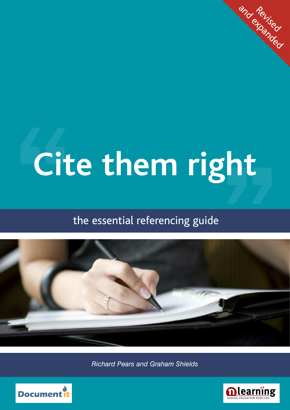# **Cite them right**

# the essential referencing guide



*Richard Pears and Graham Shields*





and Revised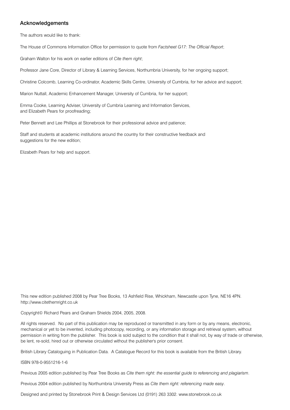#### Acknowledgements

The authors would like to thank:

The House of Commons Information Office for permission to quote from *Factsheet G17: The Official Report*;

Graham Walton for his work on earlier editions of *Cite them right*;

Professor Jane Core, Director of Library & Learning Services, Northumbria University, for her ongoing support;

Christine Colcomb, Learning Co-ordinator, Academic Skills Centre, University of Cumbria, for her advice and support;

Marion Nuttall, Academic Enhancement Manager, University of Cumbria, for her support;

Emma Cooke, Learning Adviser, University of Cumbria Learning and Information Services, and Elizabeth Pears for proofreading;

Peter Bennett and Lee Phillips at Stonebrook for their professional advice and patience;

Staff and students at academic institutions around the country for their constructive feedback and suggestions for the new edition;

Elizabeth Pears for help and support.

This new edition published 2008 by Pear Tree Books, 13 Ashfield Rise, Whickham, Newcastle upon Tyne, NE16 4PN. http://www.citethemright.co.uk

Copyright© Richard Pears and Graham Shields 2004, 2005, 2008.

All rights reserved. No part of this publication may be reproduced or transmitted in any form or by any means, electronic, mechanical or yet to be invented, including photocopy, recording, or any information storage and retrieval system, without permission in writing from the publisher. This book is sold subject to the condition that it shall not, by way of trade or otherwise, be lent, re-sold, hired out or otherwise circulated without the publisher's prior consent.

British Library Cataloguing in Publication Data. A Catalogue Record for this book is available from the British Library.

ISBN 978-0-9551216-1-6

Previous 2005 edition published by Pear Tree Books as *Cite them right: the essential guide to referencing and plagiarism*.

Previous 2004 edition published by Northumbria University Press as *Cite them right: referencing made easy*.

Designed and printed by Stonebrook Print & Design Services Ltd (0191) 263 3302. www.stonebrook.co.uk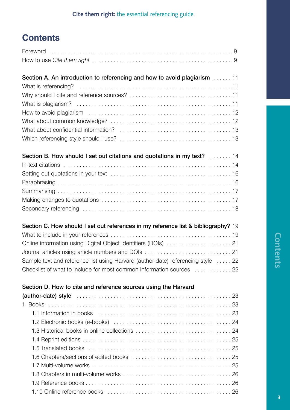## **Contents**

| Section A. An introduction to referencing and how to avoid plagiarism  11                                                                                                                                                     |  |
|-------------------------------------------------------------------------------------------------------------------------------------------------------------------------------------------------------------------------------|--|
|                                                                                                                                                                                                                               |  |
|                                                                                                                                                                                                                               |  |
|                                                                                                                                                                                                                               |  |
|                                                                                                                                                                                                                               |  |
|                                                                                                                                                                                                                               |  |
|                                                                                                                                                                                                                               |  |
|                                                                                                                                                                                                                               |  |
| Section B. How should I set out citations and quotations in my text? 14                                                                                                                                                       |  |
| In-text citations with the control of the control of the control of the control of the control of the control of the control of the control of the control of the control of the control of the control of the control of the |  |
|                                                                                                                                                                                                                               |  |
|                                                                                                                                                                                                                               |  |
|                                                                                                                                                                                                                               |  |
|                                                                                                                                                                                                                               |  |
|                                                                                                                                                                                                                               |  |
| Section C. How should I set out references in my reference list & bibliography? 19                                                                                                                                            |  |
|                                                                                                                                                                                                                               |  |
| Online information using Digital Object Identifiers (DOIs)  21                                                                                                                                                                |  |
|                                                                                                                                                                                                                               |  |
| Sample text and reference list using Harvard (author-date) referencing style  22                                                                                                                                              |  |
| Checklist of what to include for most common information sources  22                                                                                                                                                          |  |
| Section D. How to cite and reference sources using the Harvard                                                                                                                                                                |  |
|                                                                                                                                                                                                                               |  |
|                                                                                                                                                                                                                               |  |
|                                                                                                                                                                                                                               |  |
|                                                                                                                                                                                                                               |  |
|                                                                                                                                                                                                                               |  |
|                                                                                                                                                                                                                               |  |
|                                                                                                                                                                                                                               |  |
|                                                                                                                                                                                                                               |  |
|                                                                                                                                                                                                                               |  |
|                                                                                                                                                                                                                               |  |
|                                                                                                                                                                                                                               |  |
|                                                                                                                                                                                                                               |  |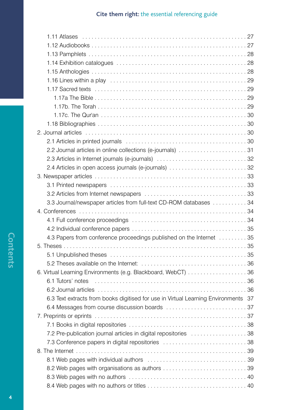| 1.11 Atlases                                                                       |  |
|------------------------------------------------------------------------------------|--|
|                                                                                    |  |
|                                                                                    |  |
|                                                                                    |  |
|                                                                                    |  |
|                                                                                    |  |
|                                                                                    |  |
|                                                                                    |  |
|                                                                                    |  |
|                                                                                    |  |
|                                                                                    |  |
|                                                                                    |  |
|                                                                                    |  |
| 2.2 Journal articles in online collections (e-journals) 31                         |  |
|                                                                                    |  |
| 2.4 Articles in open access journals (e-journals) 32                               |  |
|                                                                                    |  |
|                                                                                    |  |
|                                                                                    |  |
| 3.3 Journal/newspaper articles from full-text CD-ROM databases 34                  |  |
|                                                                                    |  |
|                                                                                    |  |
|                                                                                    |  |
| 4.3 Papers from conference proceedings published on the Internet 35                |  |
|                                                                                    |  |
|                                                                                    |  |
|                                                                                    |  |
| 6. Virtual Learning Environments (e.g. Blackboard, WebCT) 36                       |  |
|                                                                                    |  |
|                                                                                    |  |
| 6.3 Text extracts from books digitised for use in Virtual Learning Environments 37 |  |
|                                                                                    |  |
|                                                                                    |  |
|                                                                                    |  |
| 7.2 Pre-publication journal articles in digital repositories  38                   |  |
| 7.3 Conference papers in digital repositories  38                                  |  |
|                                                                                    |  |
|                                                                                    |  |
|                                                                                    |  |
|                                                                                    |  |
|                                                                                    |  |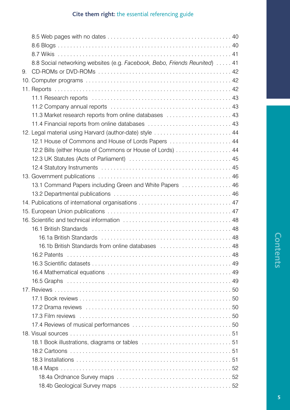|    | 8.8 Social networking websites (e.g. Facebook, Bebo, Friends Reunited)  41                                                    |
|----|-------------------------------------------------------------------------------------------------------------------------------|
| 9. |                                                                                                                               |
|    |                                                                                                                               |
|    |                                                                                                                               |
|    |                                                                                                                               |
|    |                                                                                                                               |
|    | 11.3 Market research reports from online databases  43                                                                        |
|    |                                                                                                                               |
|    | 12. Legal material using Harvard (author-date) style  44                                                                      |
|    | 12.1 House of Commons and House of Lords Papers  44                                                                           |
|    | 12.2 Bills (either House of Commons or House of Lords) 44                                                                     |
|    |                                                                                                                               |
|    |                                                                                                                               |
|    |                                                                                                                               |
|    | 13.1 Command Papers including Green and White Papers  46                                                                      |
|    |                                                                                                                               |
|    |                                                                                                                               |
|    |                                                                                                                               |
|    |                                                                                                                               |
|    |                                                                                                                               |
|    |                                                                                                                               |
|    | 16.1b British Standards from online databases [1, 1, 1, 1, 1, 1, 1, 1, 1, 1, 1, 1, 18]                                        |
|    |                                                                                                                               |
|    |                                                                                                                               |
|    |                                                                                                                               |
|    | 16.5 Graphs (and all contracts and all contracts and all contracts and all contracts and all contracts are determined as $49$ |
|    |                                                                                                                               |
|    |                                                                                                                               |
|    |                                                                                                                               |
|    |                                                                                                                               |
|    |                                                                                                                               |
|    |                                                                                                                               |
|    |                                                                                                                               |
|    |                                                                                                                               |
|    |                                                                                                                               |
|    |                                                                                                                               |
|    |                                                                                                                               |
|    |                                                                                                                               |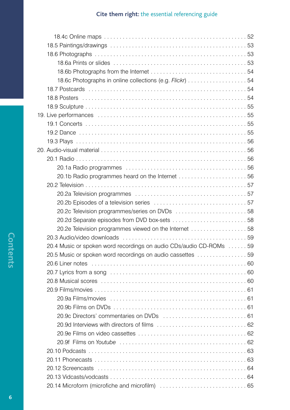| 18.6c Photographs in online collections (e.g. Flickr) 54           |  |
|--------------------------------------------------------------------|--|
|                                                                    |  |
|                                                                    |  |
|                                                                    |  |
|                                                                    |  |
|                                                                    |  |
|                                                                    |  |
|                                                                    |  |
|                                                                    |  |
|                                                                    |  |
|                                                                    |  |
|                                                                    |  |
|                                                                    |  |
|                                                                    |  |
|                                                                    |  |
| 20.2c Television programmes/series on DVDs  58                     |  |
|                                                                    |  |
| 20.2e Television programmes viewed on the Internet 58              |  |
|                                                                    |  |
| 20.4 Music or spoken word recordings on audio CDs/audio CD-ROMs 59 |  |
| 20.5 Music or spoken word recordings on audio cassettes 59         |  |
|                                                                    |  |
|                                                                    |  |
|                                                                    |  |
|                                                                    |  |
|                                                                    |  |
|                                                                    |  |
|                                                                    |  |
|                                                                    |  |
|                                                                    |  |
|                                                                    |  |
|                                                                    |  |
|                                                                    |  |
|                                                                    |  |
|                                                                    |  |
|                                                                    |  |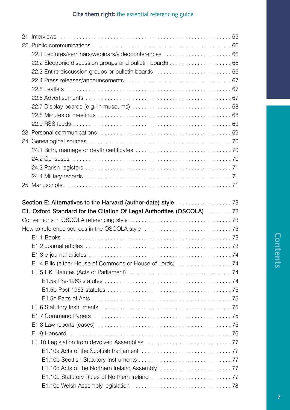| 22.1 Lectures/seminars/webinars/videoconferences  66<br>E1. Oxford Standard for the Citation Of Legal Authorities (OSCOLA)  73 |
|--------------------------------------------------------------------------------------------------------------------------------|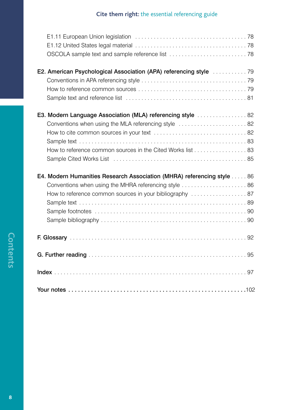| E3. Modern Language Association (MLA) referencing style  82<br>Conventions when using the MLA referencing style  82<br>How to reference common sources in the Cited Works list 83            |
|----------------------------------------------------------------------------------------------------------------------------------------------------------------------------------------------|
| E4. Modern Humanities Research Association (MHRA) referencing style  86<br>Conventions when using the MHRA referencing style  86<br>How to reference common sources in your bibliography  87 |
|                                                                                                                                                                                              |
|                                                                                                                                                                                              |
|                                                                                                                                                                                              |
|                                                                                                                                                                                              |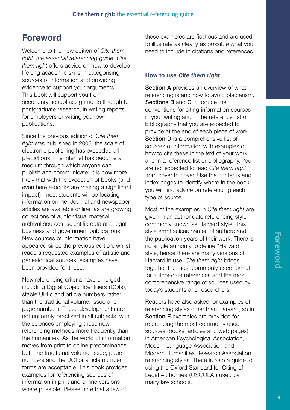## **Foreword**

Welcome to the new edition of *Cite them right: the essential referencing guide. Cite them right* offers advice on how to develop lifelong academic skills in categorising sources of information and providing evidence to support your arguments. This book will support you from secondary-school assignments through to postgraduate research, in writing reports for employers or writing your own publications.

Since the previous edition of *Cite them right* was published in 2005, the scale of electronic publishing has exceeded all predictions. The Internet has become a medium through which anyone can publish and communicate. It is now more likely that with the exception of books (and even here e-books are making a significant impact), most students will be locating information online. Journal and newspaper articles are available online, as are growing collections of audio-visual material, archival sources, scientific data and legal, business and government publications. New sources of information have appeared since the previous edition, whilst readers requested examples of artistic and genealogical sources; examples have been provided for these.

New referencing criteria have emerged, including Digital Object Identifiers (DOIs), stable URLs and article numbers rather than the traditional volume, issue and page numbers. These developments are not uniformly practised in all subjects, with the sciences employing these new referencing methods more frequently than the humanities. As the world of information moves from print to online predominance both the traditional volume, issue, page numbers and the DOI or article number forms are acceptable. This book provides examples for referencing sources of information in print and online versions where possible. Please note that a few of

these examples are fictitious and are used to illustrate as clearly as possible what you need to include in citations and references.

#### **How to use** *Cite them right*

Section A provides an overview of what referencing is and how to avoid plagiarism. Sections B and C introduce the conventions for citing information sources in your writing and in the reference list or bibliography that you are expected to provide at the end of each piece of work. Section D is a comprehensive list of sources of information with examples of how to cite these in the text of your work and in a reference list or bibliography. You are not expected to read *Cite them right* from cover to cover. Use the contents and index pages to identify where in the book you will find advice on referencing each type of source.

Most of the examples in *Cite them right* are given in an author-date referencing style commonly known as Harvard style. This style emphasises names of authors and the publication years of their work. There is no single authority to define "Harvard" style, hence there are many versions of Harvard in use. *Cite them right* brings together the most commonly used format for author-date references and the most comprehensive range of sources used by today's students and researchers.

Readers have also asked for examples of referencing styles other than Harvard, so in Section E examples are provided for referencing the most commonly used sources (books, articles and web pages) in American Psychological Association, Modern Language Association and Modern Humanities Research Association referencing styles. There is also a guide to using the Oxford Standard for Citing of Legal Authorities (OSCOLA ) used by many law schools.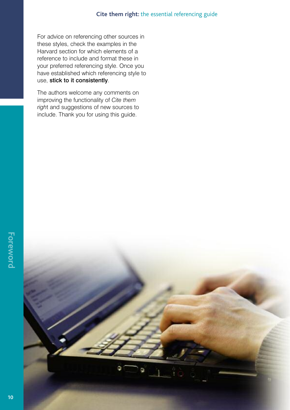For advice on referencing other sources in these styles, check the examples in the Harvard section for which elements of a reference to include and format these in your preferred referencing style. Once you have established which referencing style to use, stick to it consistently.

The authors welcome any comments on improving the functionality of *Cite them righ*t and suggestions of new sources to include. Thank you for using this guide.

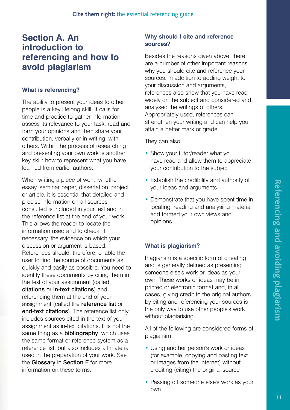## **Section A. An introduction to referencing and how to avoid plagiarism**

#### **What is referencing?**

The ability to present your ideas to other people is a key lifelong skill. It calls for time and practice to gather information, assess its relevance to your task, read and form your opinions and then share your contribution, verbally or in writing, with others. Within the process of researching and presenting your own work is another key skill: how to represent what you have learned from earlier authors.

When writing a piece of work, whether essay, seminar paper, dissertation, project or article, it is essential that detailed and precise information on all sources consulted is included in your text and in the reference list at the end of your work. This allows the reader to locate the information used and to check, if necessary, the evidence on which your discussion or argument is based. References should, therefore, enable the user to find the source of documents as quickly and easily as possible. You need to identify these documents by citing them in the text of your assignment (called citations or in-text citations) and referencing them at the end of your assignment (called the reference list or end-text citations). The reference list only includes sources cited in the text of your assignment as in-text citations. It is not the same thing as a **bibliography**, which uses the same format or reference system as a reference list, but also includes all material used in the preparation of your work. See the Glossary in Section F for more information on these terms.

#### **Why should I cite and reference sources?**

Besides the reasons given above, there are a number of other important reasons why you should cite and reference your sources. In addition to adding weight to your discussion and arguments, references also show that you have read widely on the subject and considered and analysed the writings of others. Appropriately used, references can strengthen your writing and can help you attain a better mark or grade.

They can also:

- Show your tutor/reader what you have read and allow them to appreciate your contribution to the subject
- Establish the credibility and authority of your ideas and arguments
- Demonstrate that you have spent time in locating, reading and analysing material and formed your own views and opinions

#### **What is plagiarism?**

Plagiarism is a specific form of cheating and is generally defined as presenting someone else's work or ideas as your own. These works or ideas may be in printed or electronic format and, in all cases, giving credit to the original authors by citing and referencing your sources is the only way to use other people's work without plagiarising.

All of the following are considered forms of plagiarism:

- Using another person's work or ideas (for example, copying and pasting text or images from the Internet) without crediting (citing) the original source
- Passing off someone else's work as your own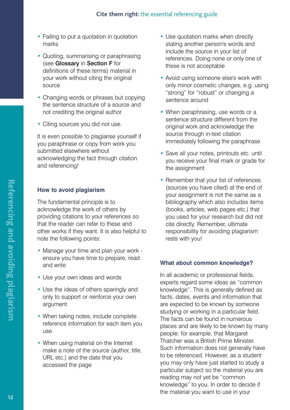- Failing to put a quotation in quotation marks
- Quoting, summarising or paraphrasing (see Glossary in Section F for definitions of these terms) material in your work without citing the original source
- Changing words or phrases but copying the sentence structure of a source and not crediting the original author
- Citing sources you did not use.

It is even possible to plagiarise yourself if you paraphrase or copy from work you submitted elsewhere without acknowledging the fact through citation and referencing!

#### **How to avoid plagiarism**

The fundamental principle is to acknowledge the work of others by providing citations to your references so that the reader can refer to these and other works if they want. It is also helpful to note the following points:

- Manage your time and plan your work ensure you have time to prepare, read and write
- Use your own ideas and words
- Use the ideas of others sparingly and only to support or reinforce your own argument
- When taking notes, include complete reference information for each item you use
- When using material on the Internet make a note of the source (author, title, URL etc.) and the date that you accessed the page
- Use quotation marks when directly stating another person's words and include the source in your list of references. Doing none or only one of these is not acceptable
- Avoid using someone else's work with only minor cosmetic changes, e.g. using "strong" for "robust" or changing a sentence around
- When paraphrasing, use words or a sentence structure different from the original work and acknowledge the source through in-text citation immediately following the paraphrase
- Save all your notes, printouts etc. until you receive your final mark or grade for the assignment
- Remember that your list of references (sources you have cited) at the end of your assignment is not the same as a bibliography which also includes items (books, articles, web pages etc.) that you used for your research but did not cite directly. Remember, ultimate responsibility for avoiding plagiarism rests with you!

#### **What about common knowledge?**

In all academic or professional fields, experts regard some ideas as "common knowledge". This is generally defined as facts, dates, events and information that are expected to be known by someone studying or working in a particular field. The facts can be found in numerous places and are likely to be known by many people: for example, that Margaret Thatcher was a British Prime Minister. Such information does not generally have to be referenced. However, as a student you may only have just started to study a particular subject so the material you are reading may not yet be "common knowledge" to you. In order to decide if the material you want to use in your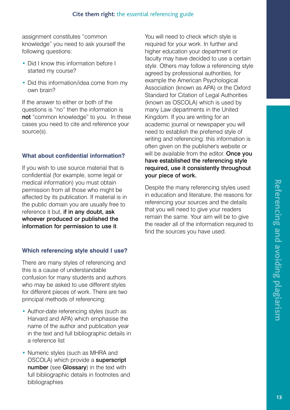assignment constitutes "common knowledge" you need to ask yourself the following questions:

- Did I know this information before I started my course?
- Did this information/idea come from my own brain?

If the answer to either or both of the questions is "no" then the information is not "common knowledge" to you. In these cases you need to cite and reference your source(s).

#### **What about confidential information?**

If you wish to use source material that is confidential (for example, some legal or medical information) you must obtain permission from all those who might be affected by its publication. If material is in the public domain you are usually free to reference it but, if in any doubt, ask whoever produced or published the information for permission to use it.

#### **Which referencing style should I use?**

There are many styles of referencing and this is a cause of understandable confusion for many students and authors who may be asked to use different styles for different pieces of work. There are two principal methods of referencing:

- Author-date referencing styles (such as Harvard and APA) which emphasise the name of the author and publication year in the text and full bibliographic details in a reference list
- Numeric styles (such as MHRA and OSCOLA) which provide a superscript number (see Glossary) in the text with full bibliographic details in footnotes and bibliographies

You will need to check which style is required for your work. In further and higher education your department or faculty may have decided to use a certain style. Others may follow a referencing style agreed by professional authorities, for example the American Psychological Association (known as APA) or the Oxford Standard for Citation of Legal Authorities (known as OSCOLA) which is used by many Law departments in the United Kingdom. If you are writing for an academic journal or newspaper you will need to establish the preferred style of writing and referencing: this information is often given on the publisher's website or will be available from the editor. Once you have established the referencing style required, use it consistently throughout your piece of work.

Despite the many referencing styles used in education and literature, the reasons for referencing your sources and the details that you will need to give your readers remain the same. Your aim will be to give the reader all of the information required to find the sources you have used.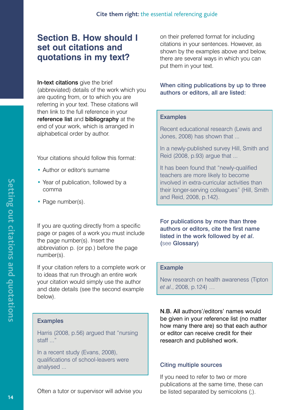## **Section B. How should I set out citations and quotations in my text?**

In-text citations give the brief

(abbreviated) details of the work which you are quoting from, or to which you are referring in your text. These citations will then link to the full reference in your reference list and bibliography at the end of your work, which is arranged in alphabetical order by author.

Your citations should follow this format:

- Author or editor's surname
- Year of publication, followed by a comma
- Page number(s).

If you are quoting directly from a specific page or pages of a work you must include the page number(s). Insert the abbreviation p. (or pp.) before the page number(s).

If your citation refers to a complete work or to ideas that run through an entire work your citation would simply use the author and date details (see the second example below).

#### Examples

Harris (2008, p.56) argued that "nursing staff "

In a recent study (Evans, 2008), qualifications of school-leavers were analysed ...

on their preferred format for including citations in your sentences. However, as shown by the examples above and below, there are several ways in which you can put them in your text.

#### When citing publications by up to three authors or editors, all are listed:

#### Examples

Recent educational research (Lewis and Jones, 2008) has shown that ...

In a newly-published survey Hill, Smith and Reid (2008, p.93) argue that ...

It has been found that "newly-qualified teachers are more likely to become involved in extra-curricular activities than their longer-serving colleagues" (Hill, Smith and Reid, 2008, p.142).

For publications by more than three authors or editors, cite the first name listed in the work followed by *et al*. (see Glossary)

#### Example

New research on health awareness (Tipton *et al*., 2008, p.124) …

N.B. All authors'/editors' names would be given in your reference list (no matter how many there are) so that each author or editor can receive credit for their research and published work.

#### Citing multiple sources

If you need to refer to two or more publications at the same time, these can be listed separated by semicolons (;).

<u>ဟ</u>

**e t tin**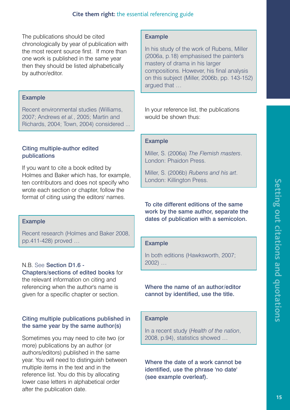The publications should be cited chronologically by year of publication with the most recent source first. If more than one work is published in the same year then they should be listed alphabetically by author/editor.

#### Example

Recent environmental studies (Williams, 2007; Andrews *et al.*, 2005; Martin and Richards, 2004; Town, 2004) considered ...

#### Citing multiple-author edited publications

If you want to cite a book edited by Holmes and Baker which has, for example, ten contributors and does not specify who wrote each section or chapter, follow the format of citing using the editors' names.

#### Example

Recent research (Holmes and Baker 2008, pp.411-428) proved …

#### N.B. See Section D1.6 -

Chapters/sections of edited books for the relevant information on citing and referencing when the author's name is given for a specific chapter or section.

#### Citing multiple publications published in the same year by the same author(s)

Sometimes you may need to cite two (or more) publications by an author (or authors/editors) published in the same year. You will need to distinguish between multiple items in the text and in the reference list. You do this by allocating lower case letters in alphabetical order after the publication date.

#### Example

In his study of the work of Rubens, Miller (2006a, p.18) emphasised the painter's mastery of drama in his larger compositions. However, his final analysis on this subject (Miller, 2006b, pp. 143-152) argued that …

In your reference list, the publications would be shown thus:

#### Example

Miller, S. (2006a) *The Flemish masters*. London: Phaidon Press.

Miller, S. (2006b) *Rubens and his art*. London: Killington Press.

To cite different editions of the same work by the same author, separate the dates of publication with a semicolon.

#### Example

In both editions (Hawksworth, 2007; 2002) …

Where the name of an author/editor cannot by identified, use the title.

#### Example

In a recent study (*Health of the nation*, 2008, p.94), statistics showed …

Where the date of a work cannot be identified, use the phrase 'no date' (see example overleaf).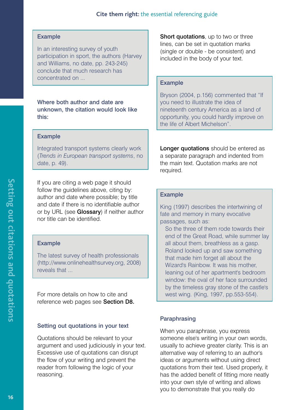#### Example

In an interesting survey of youth participation in sport, the authors (Harvey and Williams, no date, pp. 243-245) conclude that much research has concentrated on ...

Where both author and date are unknown, the citation would look like this:

#### Example

Integrated transport systems clearly work (*Trends in European transport systems*, no date, p. 49).

If you are citing a web page it should follow the guidelines above, citing by: author and date where possible; by title and date if there is no identifiable author or by URL (see **Glossary**) if neither author nor title can be identified.

#### Example

The latest survey of health professionals (http://www.onlinehealthsurvey.org, 2008) reveals that ...

For more details on how to cite and reference web pages see Section D8.

#### Setting out quotations in your text

Quotations should be relevant to your argument and used judiciously in your text. Excessive use of quotations can disrupt the flow of your writing and prevent the reader from following the logic of your reasoning.

**Short quotations**, up to two or three lines, can be set in quotation marks (single or double - be consistent) and included in the body of your text.

#### Example

Bryson (2004, p.156) commented that "If you need to illustrate the idea of nineteenth century America as a land of opportunity, you could hardly improve on the life of Albert Michelson".

Longer quotations should be entered as a separate paragraph and indented from the main text. Quotation marks are not required.

#### Example

King (1997) describes the intertwining of fate and memory in many evocative passages, such as:

So the three of them rode towards their end of the Great Road, while summer lay all about them, breathless as a gasp. Roland looked up and saw something that made him forget all about the Wizard's Rainbow. It was his mother, leaning out of her apartment's bedroom window: the oval of her face surrounded by the timeless gray stone of the castle's west wing. (King, 1997, pp.553-554).

#### Paraphrasing

When you paraphrase, you express someone else's writing in your own words, usually to achieve greater clarity. This is an alternative way of referring to an author's ideas or arguments without using direct quotations from their text. Used properly, it has the added benefit of fitting more neatly into your own style of writing and allows you to demonstrate that you really do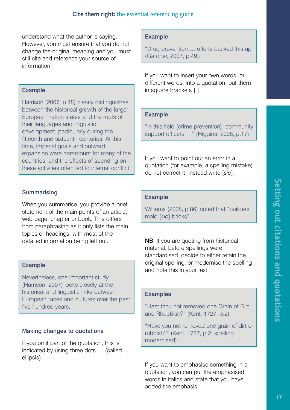understand what the author is saying. However, you must ensure that you do not change the original meaning and you must still cite and reference your source of information.

#### Example

Harrison (2007, p.48) clearly distinguishes between the historical growth of the larger European nation states and the roots of their languages and linguistic development, particularly during the fifteenth and sixteenth centuries. At this time, imperial goals and outward expansion were paramount for many of the countries, and the effects of spending on these activities often led to internal conflict.

#### **Summarising**

When you summarise, you provide a brief statement of the main points of an article, web page, chapter or book. This differs from paraphrasing as it only lists the main topics or headings, with most of the detailed information being left out.

#### Example

Nevertheless, one important study (Harrison, 2007) looks closely at the historical and linguistic links between European races and cultures over the past five hundred years.

#### Making changes to quotations

If you omit part of the quotation, this is indicated by using three dots … (called ellipsis).

#### Example

"Drug prevention … efforts backed this up" (Gardner, 2007, p.49).

If you want to insert your own words, or different words, into a quotation, put them in square brackets [ ].

#### Example

"In this field [crime prevention], community support officers ..." (Higgins, 2008, p.17).

If you want to point out an error in a quotation (for example, a spelling mistake) do not correct it; instead write [*sic*].

#### Example

Williams (2008, p.86) noted that "builders maid [*sic*] bricks".

NB. If you are quoting from historical material, before spellings were standardised, decide to either retain the original spelling, or modernise the spelling and note this in your text.

#### **Examples**

"Hast thou not removed one Grain of Dirt and Rhubbish?" (Kent, 1727, p.2).

"Have you not removed one grain of dirt or rubbish?" (Kent, 1727, p.2, spelling modernised).

If you want to emphasise something in a quotation, you can put the emphasised words in italics and state that you have added the emphasis.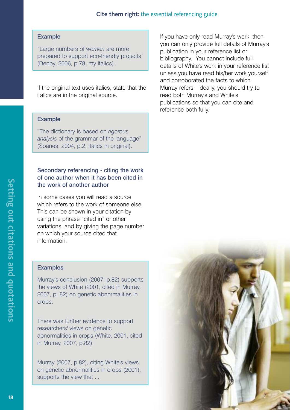#### Example

"Large numbers of *women* are more prepared to support eco-friendly projects" (Denby, 2006, p.78, my italics).

If the original text uses italics, state that the italics are in the original source.

#### Example

"The dictionary is based on *rigorous analysis* of the grammar of the language" (Soanes, 2004, p.2, italics in original).

#### Secondary referencing - citing the work of one author when it has been cited in the work of another author

In some cases you will read a source which refers to the work of someone else. This can be shown in your citation by using the phrase "cited in" or other variations, and by giving the page number on which your source cited that information.

#### Examples

Murray's conclusion (2007, p.82) supports the views of White (2001, cited in Murray, 2007, p. 82) on genetic abnormalities in crops.

There was further evidence to support researchers' views on genetic abnormalities in crops (White, 2001, cited in Murray, 2007, p.82).

Murray (2007, p.82), citing White's views on genetic abnormalities in crops (2001), supports the view that ...

If you have only read Murray's work, then you can only provide full details of Murray's publication in your reference list or bibliography. You cannot include full details of White's work in your reference list unless you have read his/her work yourself and corroborated the facts to which Murray refers. Ideally, you should try to read both Murray's and White's publications so that you can cite and reference both fully.

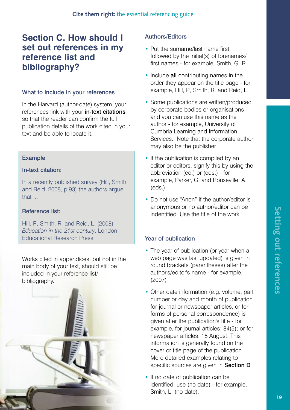## **Section C. How should I set out references in my reference list and bibliography?**

#### What to include in your references

In the Harvard (author-date) system, your references link with your in-text citations so that the reader can confirm the full publication details of the work cited in your text and be able to locate it.

#### Example

#### In-text citation:

In a recently published survey (Hill, Smith and Reid, 2008, p.93) the authors argue that ...

#### Reference list:

Hill, P., Smith, R. and Reid, L. (2008) *Education in the 21st century*. London: Educational Research Press.

Works cited in appendices, but not in the main body of your text, should still be included in your reference list/ bibliography.



#### Authors/Editors

- Put the surname/last name first, followed by the initial(s) of forenames/ first names - for example, Smith, G. R.
- Include **all** contributing names in the order they appear on the title page - for example, Hill, P., Smith, R. and Reid, L.
- Some publications are written/produced by corporate bodies or organisations and you can use this name as the author - for example, University of Cumbria Learning and Information Services. Note that the corporate author may also be the publisher
- If the publication is compiled by an editor or editors, signify this by using the abbreviation (ed.) or (eds.) - for example, Parker, G. and Rouxeville, A. (eds.)
- Do not use "Anon" if the author/editor is anonymous or no author/editor can be indentified. Use the title of the work.

#### Year of publication

- The year of publication (or year when a web page was last updated) is given in round brackets (parentheses) after the author's/editor's name - for example, (2007)
- Other date information (e.g. volume, part number or day and month of publication for journal or newspaper articles, or for forms of personal correspondence) is given after the publication's title - for example, for journal articles: 84(5); or for newspaper articles: 15 August. This information is generally found on the cover or title page of the publication. More detailed examples relating to specific sources are given in Section D
- If no date of publication can be identified, use (no date) - for example, Smith, L. (no date).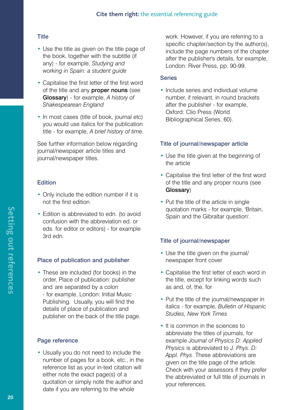#### **Title**

- Use the title as given on the title page of the book, together with the subtitle (if any) - for example, *Studying and working in Spain: a student guide*
- Capitalise the first letter of the first word of the title and any **proper nouns** (see Glossary) - for example, *A history of Shakespearean England*
- In most cases (title of book, journal etc) you would use italics for the publication title - for example, *A brief history of time.*

See further information below regarding journal/newspaper article titles and journal/newspaper titles.

#### **Edition**

- Only include the edition number if it is not the first edition
- Edition is abbreviated to edn. (to avoid confusion with the abbreviation ed. or eds. for editor or editors) - for example 3rd edn.

#### Place of publication and publisher

• These are included (for books) in the order, Place of publication: publisher and are separated by a colon - for example, London: Initial Music Publishing. Usually, you will find the details of place of publication and publisher on the back of the title page.

#### Page reference

• Usually you do not need to include the number of pages for a book, etc., in the reference list as your in-text citation will either note the exact page(s) of a quotation or simply note the author and date if you are referring to the whole

work. However, if you are referring to a specific chapter/section by the author(s), include the page numbers of the chapter after the publisher's details, for example, London: River Press, pp. 90-99.

#### Series

• Include series and individual volume number, if relevant, in round brackets after the publisher - for example, Oxford: Clio Press (World Bibliographical Series, 60).

#### Title of journal/newspaper article

- Use the title given at the beginning of the article
- Capitalise the first letter of the first word of the title and any proper nouns (see Glossary)
- Put the title of the article in single quotation marks - for example, 'Britain, Spain and the Gibraltar question'.

#### Title of journal/newspaper

- Use the title given on the journal/ newspaper front cover
- Capitalise the first letter of each word in the title, except for linking words such as and, of, the, for
- Put the title of the journal/newspaper in italics - for example, *Bulletin of Hispanic Studies, New York Times*
- It is common in the sciences to abbreviate the titles of journals, for example *Journal of Physics D: Applied Physics* is abbreviated to *J. Phys. D: Appl. Phys*. These abbreviations are given on the title page of the article. Check with your assessors if they prefer the abbreviated or full title of journals in your references.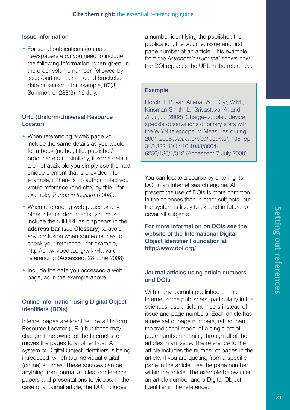#### Issue information

• For serial publications (journals, newspapers etc.) you need to include the following information, when given, in the order volume number, followed by issue/part number in round brackets, date or season - for example, 87(3), Summer; or 238(3), 19 July.

#### URL (Uniform/Universal Resource Locator)

- When referencing a web page you include the same details as you would for a book (author, title, publisher/ producer etc.). Similarly, if some details are not available you simply use the next unique element that is provided - for example, if there is no author noted you would reference (and cite) by title - for example, *Trends in tourism* (2008)..
- When referencing web pages or any other Internet documents you must include the full URL as it appears in the address bar (see Glossary) to avoid any confusion when someone tries to check your reference - for example, http://en.wikipedia.org/wiki/Harvard\_ referencing (Accessed: 28 June 2008)
- Include the date you accessed a web page, as in the example above.

#### Online information using Digital Object Identifiers (DOIs)

Internet pages are identified by a Uniform Resource Locator (URL) but these may change if the owner of the Internet site moves the pages to another host. A system of Digital Object Identifiers is being introduced, which tag individual digital (online) sources. These sources can be anything from journal articles, conference papers and presentations to videos. In the case of a journal article, the DOI includes

a number identifying the publisher, the publication, the volume, issue and first page number of an article. This example from the *Astronomical Journal* shows how the DOI replaces the URL in the reference:

#### Example

Horch, E.P., van Altena, W.F., Cyr, W.M., Kinsman-Smith, L., Srivastava, A. and Zhou, J. (2008) 'Charge-coupled device speckle observations of binary stars with the WIYN telescope. V. Measures during 2001-2006', *Astronomical Journal*, 136, pp. 312-322. DOI: 10.1088/0004- 6256/136/1/312 (Accessed: 7 July 2008).

You can locate a source by entering its DOI in an Internet search engine. At present the use of DOIs is more common in the sciences than in other subjects, but the system is likely to expand in future to cover all subjects.

For more information on DOIs see the website of the International Digital Object Identifier Foundation at http://www.doi.org/

#### Journal articles using article numbers and DOIs

With many journals published on the Internet some publishers, particularly in the sciences, use article numbers instead of issue and page numbers. Each article has a new set of page numbers, rather than the traditional model of a single set of page numbers running through all of the articles in an issue. The reference to the article includes the number of pages in the article. If you are quoting from a specific page in the article, use the page number within the article. The example below uses an article number and a Digital Object Identifier in the reference: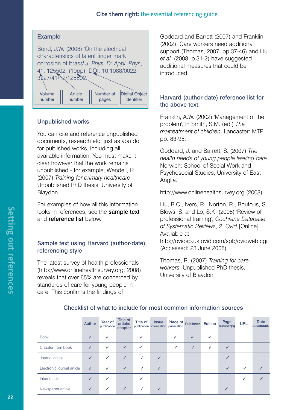

#### Unpublished works

You can cite and reference unpublished documents, research etc. just as you do for published works, including all available information. You must make it clear however that the work remains unpublished - for example, Wendell, R. (2007) *Training for primary healthcare*. Unpublished PhD thesis. University of Blaydon.

For examples of how all this information looks in references, see the sample text and reference list below.

#### Sample text using Harvard (author-date) referencing style

The latest survey of health professionals (http://www.onlinehealthsurvey.org, 2008) reveals that over 65% are concerned by standards of care for young people in care. This confirms the findings of

Goddard and Barrett (2007) and Franklin (2002). Care workers need additional support (Thomas, 2007, pp.37-46) and Liu *et al.* (2008, p.31-2) have suggested additional measures that could be introduced.

#### Harvard (author-date) reference list for the above text:

Franklin, A.W. (2002) 'Management of the problem', in Smith, S.M. (ed.) *The maltreatment of children*. Lancaster: MTP, pp. 83-95.

Goddard, J. and Barrett, S. (2007) *The health needs of young people leaving care*. Norwich: School of Social Work and Psychosocial Studies, University of East Anglia.

http://www.onlinehealthsurvey.org (2008).

Liu, B.C., Ivers, R., Norton, R., Boufous, S., Blows, S. and Lo, S.K. (2008) 'Review of professional training', *Cochrane Database of Systematic Reviews*, 2, *Ovid* [Online]. Available at:

http://ovidsp.uk.ovid.com/spb/ovidweb.cgi (Accessed: 23 June 2008).

Thomas, R. (2007) *Training for care workers*. Unpublished PhD thesis. University of Blaydon.

|                            | Author       | Year of<br>publication | <b>Title of</b><br>article/<br>chapter | Title of<br>publication | <b>Issue</b><br>information publication |   | Place of Publisher Edition |   | Page<br>number(s) | URL | Date<br>accessed |
|----------------------------|--------------|------------------------|----------------------------------------|-------------------------|-----------------------------------------|---|----------------------------|---|-------------------|-----|------------------|
| <b>Book</b>                | √            | ✓                      |                                        | ✓                       |                                         | ✓ | ✓                          | ✓ |                   |     |                  |
| Chapter from book          | ✓            | $\checkmark$           | $\checkmark$                           | ✓                       |                                         | ✓ | $\sqrt{}$                  | ✓ | ✓                 |     |                  |
| Journal article            | $\checkmark$ | ✓                      | $\checkmark$                           | ✓                       | ✓                                       |   |                            |   |                   |     |                  |
| Electronic journal article | $\checkmark$ | ✓                      | ✓                                      | ✓                       | $\sqrt{}$                               |   |                            |   |                   | ✓   |                  |
| Internet site              | J            | ✓                      |                                        | ✓                       |                                         |   |                            |   |                   | ✓   |                  |
| Newspaper article          | √            | ✓                      | $\sqrt{}$                              | $\checkmark$            |                                         |   |                            |   | ✓                 |     |                  |

#### Checklist of what to include for most common information sources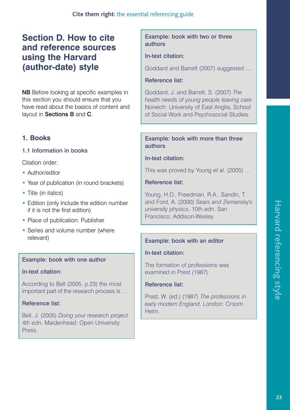## **Section D. How to cite and reference sources using the Harvard (author-date) style**

NB Before looking at specific examples in this section you should ensure that you have read about the basics of content and layout in Sections B and C.

## **1. Books**

#### 1.1 Information in books

Citation order:

- Author/editor
- Year of publication (in round brackets)
- Title (in italics)
- Edition (only include the edition number if it is not the first edition)
- Place of publication: Publisher
- Series and volume number (where relevant)

#### Example: book with one author

#### In-text citation:

According to Bell (2005, p.23) the most important part of the research process is …

#### Reference list:

Bell, J. (2005) *Doing your research project*. 4th edn. Maidenhead: Open University Press.

#### Example: book with two or three authors

#### In-text citation:

Goddard and Barrett (2007) suggested …

#### Reference list:

Goddard, J. and Barrett, S. (2007) *The health needs of young people leaving care*. Norwich: University of East Anglia, School of Social Work and Psychosocial Studies.

#### Example: book with more than three authors

#### In-text citation:

This was proved by Young *et al*. (2005) …

#### Reference list:

Young, H.D., Freedman, R.A., Sandin, T. and Ford, A. (2000) *Sears and Zemansky's university physics*. 10th edn. San Francisco: Addison-Wesley.

#### Example: book with an editor

#### In-text citation:

The formation of professions was examined in Prest (1987).

#### Reference list:

Prest, W. (ed.) (1987) *The professions in early modern England*. London: Croom Helm.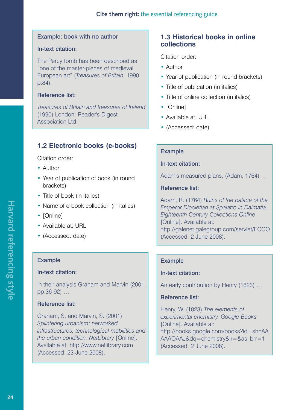#### Example: book with no author

#### In-text citation:

The Percy tomb has been described as "one of the master-pieces of medieval European art" (*Treasures of Britain*, 1990, p.84).

#### Reference list:

*Treasures of Britain and treasures of Ireland* (1990) London: Reader's Digest Association Ltd.

## **1.2 Electronic books (e-books)**

Citation order:

- Author
- Year of publication of book (in round brackets)
- Title of book (in italics)
- Name of e-book collection (in italics)
- [Online]
- Available at: URL
- (Accessed: date)

#### Example

#### In-text citation:

In their analysis Graham and Marvin (2001, pp.36-92) …

#### Reference list:

Graham, S. and Marvin, S. (2001) *Splintering urbanism: networked infrastructures, technological mobilities and the urban condition. NetLibrary* [Online]. Available at: http://www.netlibrary.com (Accessed: 23 June 2008).

#### **1.3 Historical books in online collections**

Citation order:

- Author
- Year of publication (in round brackets)
- Title of publication (in italics)
- Title of online collection (in italics)
- [Online]
- Available at: URL
- (Accessed: date)

#### Example

#### In-text citation:

Adam's measured plans, (Adam, 1764) …

#### Reference list:

Adam, R. (1764) *Ruins of the palace of the Emperor Diocletian at Spalatro in Dalmatia. Eighteenth Century Collections Online* [Online]. Available at: http://galenet.galegroup.com/servlet/ECCO (Accessed: 2 June 2008).

#### Example

#### In-text citation:

An early contribution by Henry (1823) …

#### Reference list:

Henry, W. (1823) *The elements of experimental chemistry. Google Books* [Online]. Available at: http://books.google.com/books?id=shcAA AAAQAAJ&dq=chemistry&lr=&as\_brr=1 (Accessed: 2 June 2008).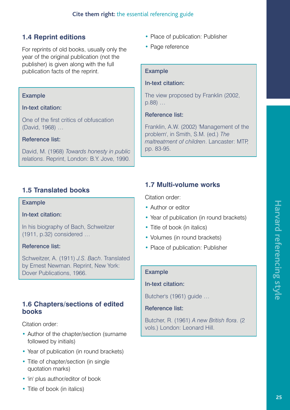## **1.4 Reprint editions**

For reprints of old books, usually only the year of the original publication (not the publisher) is given along with the full publication facts of the reprint.

#### Example

#### In-text citation:

One of the first critics of obfuscation (David, 1968) …

#### Reference list:

David, M. (1968) *Towards honesty in public relations*. Reprint, London: B.Y. Jove, 1990.

#### **1.5 Translated books**

#### Example

#### In-text citation:

In his biography of Bach, Schweitzer (1911, p.32) considered …

#### Reference list:

Schweitzer, A. (1911) *J.S. Bach*. Translated by Ernest Newman. Reprint, New York: Dover Publications, 1966.

#### **1.6 Chapters/sections of edited books**

Citation order:

- Author of the chapter/section (surname followed by initials)
- Year of publication (in round brackets)
- Title of chapter/section (in single quotation marks)
- 'in' plus author/editor of book

#### • Title of book (in italics)

- Place of publication: Publisher
- Page reference

#### Example

#### In-text citation:

The view proposed by Franklin (2002, p.88) …

#### Reference list:

Franklin, A.W. (2002) 'Management of the problem', in Smith, S.M. (ed.) *The maltreatment of children*. Lancaster: MTP, pp. 83-95.

## **1.7 Multi-volume works**

Citation order:

- Author or editor
- Year of publication (in round brackets)
- Title of book (in italics)
- Volumes (in round brackets)
- Place of publication: Publisher

#### Example

In-text citation:

Butcher's (1961) guide …

#### Reference list:

Butcher, R. (1961) *A new British flora*. (2 vols.) London: Leonard Hill.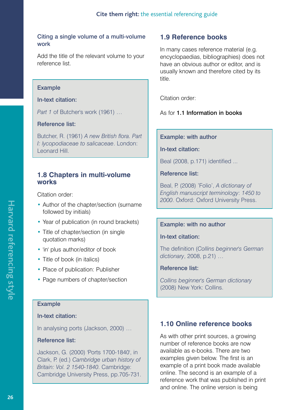#### Citing a single volume of a multi-volume work

Add the title of the relevant volume to your reference list.

#### Example

#### In-text citation:

*Part 1* of Butcher's work (1961) …

#### Reference list:

Butcher, R. (1961) *A new British flora. Part I: lycopodiaceae to salicaceae*. London: Leonard Hill.

#### **1.8 Chapters in multi-volume works**

Citation order:

- Author of the chapter/section (surname followed by initials)
- Year of publication (in round brackets)
- Title of chapter/section (in single quotation marks)
- 'in' plus author/editor of book
- Title of book (in italics)
- Place of publication: Publisher
- Page numbers of chapter/section

#### Example

In-text citation:

In analysing ports (Jackson, 2000) …

#### Reference list:

Jackson, G. (2000) 'Ports 1700-1840', in Clark, P. (ed.) *Cambridge urban history of Britain: Vol. 2 1540-1840*. Cambridge: Cambridge University Press, pp.705-731.

#### **1.9 Reference books**

In many cases reference material (e.g. encyclopaedias, bibliographies) does not have an obvious author or editor, and is usually known and therefore cited by its title.

Citation order:

As for 1.1 Information in books

#### Example: with author

In-text citation:

Beal (2008, p.171) identified ...

#### Reference list:

Beal, P. (2008) 'Folio', *A dictionary of English manuscript terminology*: *1450 to 2000*. Oxford: Oxford University Press.

#### Example: with no author

#### In-text citation:

The definition (*Collins beginner's German dictionary*, 2008, p.21) …

#### Reference list:

*Collins beginner's German dictionary* (2008) New York: Collins.

#### **1.10 Online reference books**

As with other print sources, a growing number of reference books are now available as e-books. There are two examples given below. The first is an example of a print book made available online. The second is an example of a reference work that was published in print and online. The online version is being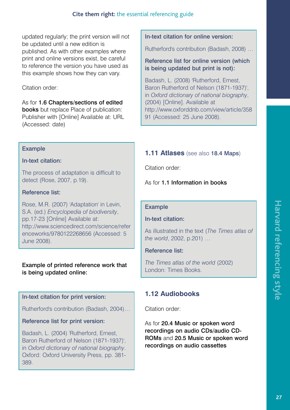updated regularly; the print version will not be updated until a new edition is published. As with other examples where print and online versions exist, be careful to reference the version you have used as this example shows how they can vary.

#### Citation order:

As for 1.6 Chapters/sections of edited **books** but replace Place of publication: Publisher with [Online] Available at: URL (Accessed: date)

#### Example

#### In-text citation:

The process of adaptation is difficult to detect (Rose, 2007, p.19).

#### Reference list:

Rose, M.R. (2007) 'Adaptation' in Levin, S.A. (ed.) *Encyclopedia of biodiversity*, pp.17-23 [Online] Available at: http://www.sciencedirect.com/science/refer enceworks/9780122268656 (Accessed: 5 June 2008).

#### Example of printed reference work that is being updated online:

#### In-text citation for print version:

Rutherford's contribution (Badash, 2004)…

#### Reference list for print version:

Badash, L. (2004) 'Rutherford, Ernest, Baron Rutherford of Nelson (1871-1937)', in *Oxford dictionary of national biography*. Oxford: Oxford University Press, pp. 381- 389.

#### In-text citation for online version:

Rutherford's contribution (Badash, 2008) …

#### Reference list for online version (which is being updated but print is not):

Badash, L. (2008) 'Rutherford, Ernest, Baron Rutherford of Nelson (1871-1937)', in *Oxford dictionary of national biography*, (2004) [Online]. Available at http://www.oxforddnb.com/view/article/358 91 (Accessed: 25 June 2008).

#### **1.11 Atlases** (see also 18.4 Maps)

Citation order:

#### As for 1.1 Information in books

#### Example

#### In-text citation:

As illustrated in the text (*The Times atlas of the world*, 2002, p.201) …

#### Reference list:

*The Times atlas of the world* (2002) London: Times Books.

#### **1.12 Audiobooks**

Citation order:

As for 20.4 Music or spoken word recordings on audio CDs/audio CD-ROMs and 20.5 Music or spoken word recordings on audio cassettes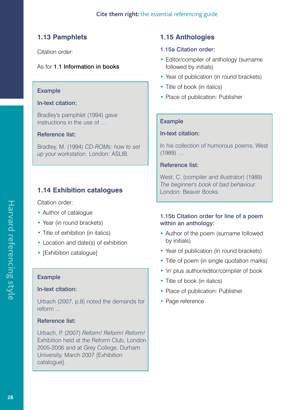## **1.13 Pamphlets**

Citation order:

#### As for 1.1 Information in books

#### Example

#### In-text citation:

Bradley's pamphlet (1994) gave instructions in the use of …

#### Reference list:

Bradley, M. (1994) *CD-ROMs: how to set up your workstation*. London: ASLIB.

## **1.14 Exhibition catalogues**

Citation order:

- Author of catalogue
- Year (in round brackets)
- Title of exhibition (in italics)
- Location and date(s) of exhibition
- [Exhibition catalogue]

#### Example

#### In-text citation:

Urbach (2007, p.8) noted the demands for reform ...

#### Reference list:

Urbach, P. (2007) *Reform! Reform! Reform!* Exhibition held at the Reform Club, London 2005-2006 and at Grey College, Durham University, March 2007 [Exhibition catalogue].

## **1.15 Anthologies**

#### 1.15a Citation order:

- Editor/compiler of anthology (surname followed by initials)
- Year of publication (in round brackets)
- Title of book (in italics)
- Place of publication: Publisher

#### Example

#### In-text citation:

In his collection of humorous poems, West  $(1989)$  ...

#### Reference list:

West, C. (compiler and illustrator) (1989) *The beginner's book of bad behaviour*. London: Beaver Books.

#### 1.15b Citation order for line of a poem within an anthology:

- Author of the poem (surname followed by initials)
- Year of publication (in round brackets)
- Title of poem (in single quotation marks)
- 'in' plus author/editor/compiler of book
- Title of book (in italics)
- Place of publication: Publisher
- Page reference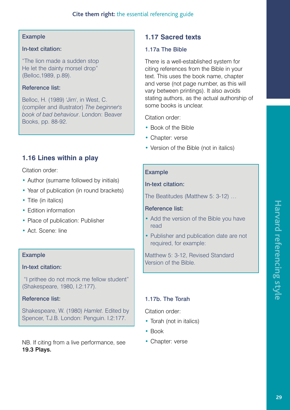#### Example

#### In-text citation:

"The lion made a sudden stop He let the dainty morsel drop" (Belloc,1989, p.89).

#### Reference list:

Belloc, H. (1989) 'Jim', in West, C. (compiler and illustrator) *The beginner's book of bad behaviour*. London: Beaver Books, pp. 88-92.

## **1.16 Lines within a play**

Citation order:

- Author (surname followed by initials)
- Year of publication (in round brackets)
- Title (in italics)
- Edition information
- Place of publication: Publisher
- Act. Scene: line

#### Example

#### In-text citation:

"I prithee do not mock me fellow student" (Shakespeare, 1980, I.2:177).

#### Reference list:

Shakespeare, W. (1980) *Hamlet*. Edited by Spencer, T.J.B. London: Penguin. I.2:177.

NB. If citing from a live performance, see 19.3 Plays.

## **1.17 Sacred texts**

#### 1.17a The Bible

There is a well-established system for citing references from the Bible in your text. This uses the book name, chapter and verse (not page number, as this will vary between printings). It also avoids stating authors, as the actual authorship of some books is unclear.

Citation order:

- Book of the Bible
- Chapter: verse
- Version of the Bible (not in italics)

#### Example

#### In-text citation:

The Beatitudes (Matthew 5: 3-12) …

#### Reference list:

- Add the version of the Bible you have read
- Publisher and publication date are not required, for example:

Matthew 5: 3-12, Revised Standard Version of the Bible.

#### 1.17b. The Torah

Citation order:

- Torah (not in italics)
- Book
- Chapter: verse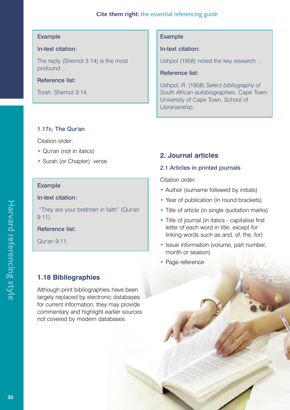#### Example

#### In-text citation:

The reply (Shemot 3:14) is the most profound …

#### Reference list:

Torah. Shemot 3:14.

#### 1.17c. The Qur'an

Citation order:

- Qu'ran (not in italics)
- Surah (or Chapter): verse

#### Example

#### In-text citation:

"They are your brethren in faith" (Qur'an 9:11).

#### Reference list:

Qur'an 9:11.

## **1.18 Bibliographies**

Although print bibliographies have been largely replaced by electronic databases for current information, they may provide commentary and highlight earlier sources not covered by modern databases.

#### Example

#### In-text citation:

Ushpol (1958) noted the key research ...

#### Reference list:

Ushpol, R. (1958) *Select bibliography of South African autobiographies*. Cape Town: University of Cape Town, School of Librarianship.

## **2. Journal articles**

#### 2.1 Articles in printed journals

Citation order:

- Author (surname followed by initials)
- Year of publication (in round brackets)
- Title of article (in single quotation marks)
- Title of journal (in italics capitalise first letter of each word in title, except for linking words such as and, of, the, for)
- Issue information (volume, part number, month or season)
- Page reference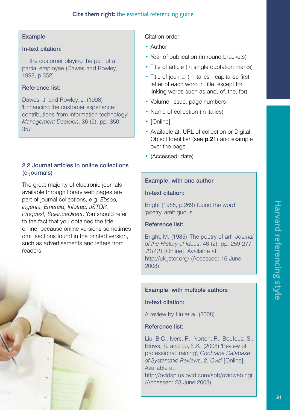#### Example

#### In-text citation:

… the customer playing the part of a partial employee (Dawes and Rowley, 1998, p.352).

#### Reference list:

Dawes, J. and Rowley, J. (1998) 'Enhancing the customer experience: contributions from information technology', *Management Decision*, 36 (5), pp. 350- 357.

#### 2.2 Journal articles in online collections (e-journals)

The great majority of electronic journals available through library web pages are part of journal collections, e.g. *Ebsco, Ingenta, Emerald, Infotrac, JSTOR, Proquest, ScienceDirect*. You should refer to the fact that you obtained the title online, because online versions sometimes omit sections found in the printed version, such as advertisements and letters from readers.



Citation order:

- Author
- Year of publication (in round brackets)
- Title of article (in single quotation marks)
- Title of journal (in italics capitalise first letter of each word in title, except for linking words such as and, of, the, for)
- Volume, issue, page numbers
- Name of collection (in italics)
- [Online]
- Available at: URL of collection or Digital Object Identifier (see p.21) and example over the page
- (Accessed: date)

#### Example: with one author

#### In-text citation:

Bright (1985, p.269) found the word 'poetry' ambiguous …

#### Reference list:

Bright, M. (1985) 'The poetry of art', *Journal of the History of Ideas*, 46 (2), pp. 259-277 *JSTOR* [Online]. Available at: http://uk.jstor.org/ (Accessed: 16 June 2008).

#### Example: with multiple authors

#### In-text citation:

A review by Liu *et al.* (2008) …

#### Reference list:

Liu, B.C., Ivers, R., Norton, R., Boufous, S., Blows, S. and Lo, S.K. (2008) 'Review of professional training', *Cochrane Database of Systematic Reviews*, 2, *Ovid* [Online]. Available at: http://ovidsp.uk.ovid.com/spb/ovidweb.cgi

(Accessed: 23 June 2008)..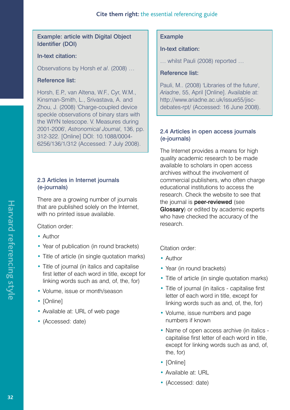#### Example: article with Digital Object Identifier (DOI)

#### In-text citation:

Observations by Horsh *et al*. (2008) …

#### Reference list:

Horsh, E.P., van Altena, W.F., Cyr, W.M., Kinsman-Smith, L., Srivastava, A. and Zhou, J. (2008) 'Charge-coupled device speckle observations of binary stars with the WIYN telescope. V. Measures during 2001-2006', *Astronomical Journal*, 136, pp. 312-322. [Online] DOI: 10.1088/0004- 6256/136/1/312 (Accessed: 7 July 2008).

#### 2.3 Articles in Internet journals (e-journals)

There are a growing number of journals that are published solely on the Internet, with no printed issue available.

Citation order:

- Author
- Year of publication (in round brackets)
- Title of article (in single quotation marks)
- Title of journal (in italics and capitalise first letter of each word in title, except for linking words such as and, of, the, for)
- Volume, issue or month/season
- [Online]
- Available at: URL of web page
- (Accessed: date)

#### Example

#### In-text citation:

… whilst Pauli (2008) reported …

#### Reference list:

Pauli, M.. (2008) 'Libraries of the future', *Ariadne*, 55, April [Online]. Available at: http://www.ariadne.ac.uk/issue55/jiscdebates-rpt/ (Accessed: 16 June 2008).

#### 2.4 Articles in open access journals (e-journals)

The Internet provides a means for high quality academic research to be made available to scholars in open access archives without the involvement of commercial publishers, who often charge educational institutions to access the research. Check the website to see that the journal is **peer-reviewed** (see Glossary) or edited by academic experts who have checked the accuracy of the research.

Citation order:

- Author
- Year (in round brackets)
- Title of article (in single quotation marks)
- Title of journal (in italics capitalise first letter of each word in title, except for linking words such as and, of, the, for)
- Volume, issue numbers and page numbers if known
- Name of open access archive (in italics capitalise first letter of each word in title, except for linking words such as and, of, the, for)
- [Online]
- Available at: URL
- (Accessed: date)

**H a R a r d**

**r e f e r e**

**n cin g s**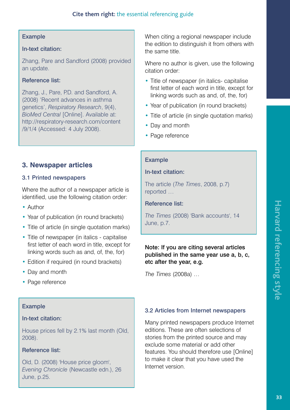#### Example

#### In-text citation:

Zhang, Pare and Sandford (2008) provided an update.

#### Reference list:

Zhang, J., Pare, P.D. and Sandford, A. (2008) 'Recent advances in asthma genetics', *Respiratory Research*, 9(4), *BioMed Central* [Online]. Available at: http://respiratory-research.com/content /9/1/4 (Accessed: 4 July 2008).

#### **3. Newspaper articles**

#### 3.1 Printed newspapers

Where the author of a newspaper article is identified, use the following citation order:

- Author
- Year of publication (in round brackets)
- Title of article (in single quotation marks)
- Title of newspaper (in italics capitalise first letter of each word in title, except for linking words such as and, of, the, for)
- Edition if required (in round brackets)
- Day and month
- Page reference

#### Example

#### In-text citation:

House prices fell by 2.1% last month (Old, 2008).

#### Reference list:

Old, D. (2008) 'House price gloom', *Evening Chronicle* (Newcastle edn.), 26 June, p.25.

When citing a regional newspaper include the edition to distinguish it from others with the same title.

Where no author is given, use the following citation order:

- Title of newspaper (in italics- capitalise first letter of each word in title, except for linking words such as and, of, the, for)
- Year of publication (in round brackets)
- Title of article (in single quotation marks)
- Day and month
- Page reference

#### Example

#### In-text citation:

The article (*The Times*, 2008, p.7) reported …

#### Reference list:

*The Times* (2008) 'Bank accounts', 14 June, p.7.

Note: If you are citing several articles published in the same year use a, b, c, etc after the year, e.g.

*The Times* (2008a) …

#### 3.2 Articles from Internet newspapers

Many printed newspapers produce Internet editions. These are often selections of stories from the printed source and may exclude some material or add other features. You should therefore use [Online] to make it clear that you have used the Internet version.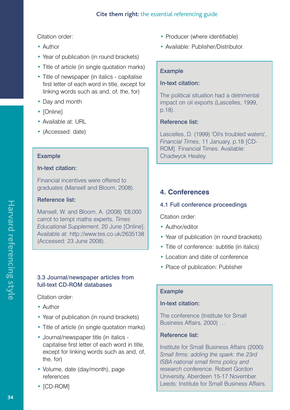#### Citation order:

- Author
- Year of publication (in round brackets)
- Title of article (in single quotation marks)
- Title of newspaper (in italics capitalise first letter of each word in title, except for linking words such as and, of, the, for)
- Day and month
- [Online]
- Available at: URL
- (Accessed: date)

#### Example

#### In-text citation:

Financial incentives were offered to graduates (Mansell and Bloom, 2008).

#### Reference list:

Mansell, W. and Bloom, A. (2008) '£8,000 carrot to tempt maths experts, *Times Educational Supplement*, 20 June [Online]. Available at: http://www.tes.co.uk/2635138 (Accessed: 23 June 2008).

#### 3.3 Journal/newspaper articles from full-text CD-ROM databases

#### Citation order:

- Author
- Year of publication (in round brackets)
- Title of article (in single quotation marks)
- Journal/newspaper title (in italics capitalise first letter of each word in title, except for linking words such as and, of, the, for)
- Volume, date (day/month), page references
- [CD-ROM]
- Producer (where identifiable)
- Available: Publisher/Distributor.

#### Example

#### In-text citation:

The political situation had a detrimental impact on oil exports (Lascelles, 1999, p.18).

#### Reference list:

Lascelles, D. (1999) 'Oil's troubled waters', *Financial Times*, 11 January, p.18 [CD-ROM]. Financial Times. Available: Chadwyck Healey.

## **4. Conferences**

#### 4.1 Full conference proceedings

Citation order:

- Author/editor
- Year of publication (in round brackets)
- Title of conference: subtitle (in italics)
- Location and date of conference
- Place of publication: Publisher

#### Example

#### In-text citation:

The conference (Institute for Small Business Affairs, 2000) …

#### Reference list:

Institute for Small Business Affairs (2000) *Small firms: adding the spark: the 23rd ISBA national small firms policy and research conference*. Robert Gordon University, Aberdeen 15-17 November. Leeds: Institute for Small Business Affairs.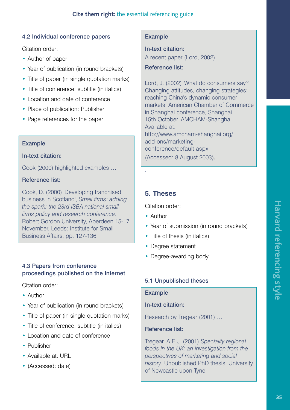#### 4.2 Individual conference papers

Citation order:

- Author of paper
- Year of publication (in round brackets)
- Title of paper (in single quotation marks)
- Title of conference: subtitle (in italics)
- Location and date of conference
- Place of publication: Publisher
- Page references for the paper

#### Example

#### In-text citation:

Cook (2000) highlighted examples …

#### Reference list:

Cook, D. (2000) 'Developing franchised business in Scotland', *Small firms: adding the spark: the 23rd ISBA national small firms policy and research conference*. Robert Gordon University, Aberdeen 15-17 November. Leeds: Institute for Small Business Affairs, pp. 127-136.

#### 4.3 Papers from conference proceedings published on the Internet

Citation order:

- Author
- Year of publication (in round brackets)
- Title of paper (in single quotation marks)
- Title of conference: subtitle (in italics)
- Location and date of conference
- Publisher
- Available at: URL
- (Accessed: date)

#### Example

#### In-text citation:

A recent paper (Lord, 2002) …

#### Reference list:

Lord, J. (2002) 'What do consumers say?' Changing attitudes, changing strategies: reaching China's dynamic consumer markets. American Chamber of Commerce in Shanghai conference, Shanghai 15th October. AMCHAM-Shanghai. Available at: http://www.amcham-shanghai.org/ add-ons/marketingconference/default.aspx (Accessed: 8 August 2003).

## **5. Theses**

.

Citation order:

- Author
- Year of submission (in round brackets)
- Title of thesis (in italics)
- Degree statement
- Degree-awarding body

#### 5.1 Unpublished theses

#### Example

#### In-text citation:

Research by Tregear (2001) …

#### Reference list:

Tregear, A.E.J. (2001) *Speciality regional foods in the UK: an investigation from the perspectives of marketing and social history*. Unpublished PhD thesis. University of Newcastle upon Tyne.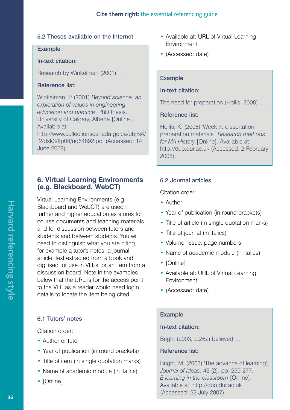#### 5.2 Theses available on the Internet

#### Example

#### In-text citation:

Research by Winkelman (2001) …

#### Reference list:

Winkelman, P. (2001) *Beyond science: an exploration of values in engineering education and practice*. PhD thesis. University of Calgary, Alberta [Online]. Available at: http://www.collectionscanada.gc.ca/obj/s4/

f2/dsk3/ftp04/nq64892.pdf (Accessed: 14 June 2008).

#### **6. Virtual Learning Environments (e.g. Blackboard, WebCT)**

Virtual Learning Environments (e.g. Blackboard and WebCT) are used in further and higher education as stores for course documents and teaching materials, and for discussion between tutors and students and between students. You will need to distinguish what you are citing, for example a tutor's notes, a journal article, text extracted from a book and digitised for use in VLEs, or an item from a discussion board. Note in the examples below that the URL is for the access point to the VLE as a reader would need login details to locate the item being cited.

#### 6.1 Tutors' notes

Citation order:

- Author or tutor
- Year of publication (in round brackets)
- Title of item (in single quotation marks)
- Name of academic module (in italics)
- [Online]
- Available at: URL of Virtual Learning Environment
- (Accessed: date)

#### Example

#### In-text citation:

The need for preparation (Hollis, 2008) …

#### Reference list:

Hollis, K. (2008) 'Week 7: dissertation preparation materials'. *Research methods for MA History* [Online]. Available at: http://duo.dur.ac.uk (Accessed: 2 February 2008).

#### 6.2 Journal articles

Citation order:

- Author
- Year of publication (in round brackets)
- Title of article (in single quotation marks)
- Title of journal (in italics)
- Volume, issue, page numbers
- Name of academic module (in italics)
- [Online]
- Available at: URL of Virtual Learning Environment
- (Accessed: date)

#### Example

#### In-text citation:

Bright (2003, p.262) believed …

#### Reference list:

Bright, M. (2003) 'The advance of learning', *Journal of Ideas*, 46 (2), pp. 259-277. *E-learning in the classroom* [Online]. Available at: http://duo.dur.ac.uk (Accessed: 23 July 2007).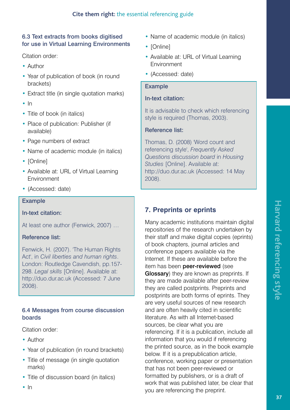## **Cite them right:** the essential referencing guide

#### 6.3 Text extracts from books digitised for use in Virtual Learning Environments

Citation order:

- Author
- Year of publication of book (in round brackets)
- Extract title (in single quotation marks)
- In
- Title of book (in italics)
- Place of publication: Publisher (if available)
- Page numbers of extract
- Name of academic module (in italics)
- [Online]
- Available at: URL of Virtual Learning Environment
- (Accessed: date)

#### Example

#### In-text citation:

At least one author (Fenwick, 2007) …

#### Reference list:

Fenwick, H. (2007). 'The Human Rights Act', in *Civil liberties and human rights*. London: Routledge Cavendish, pp.157- 298. *Legal skills* [Online]. Available at: http://duo.dur.ac.uk (Accessed: 7 June 2008).

#### 6.4 Messages from course discussion boards

Citation order:

- Author
- Year of publication (in round brackets)
- Title of message (in single quotation marks)
- Title of discussion board (in italics)
- Name of academic module (in italics)
- [Online]
- Available at: URL of Virtual Learning Environment
- (Accessed: date)

#### Example

#### In-text citation:

It is advisable to check which referencing style is required (Thomas, 2003).

#### Reference list:

Thomas, D. (2008) 'Word count and referencing style', *Frequently Asked Questions discussion board* in *Housing Studies* [Online]. Available at: http://duo.dur.ac.uk (Accessed: 14 May 2008).

# **7. Preprints or eprints**

Many academic institutions maintain digital repositories of the research undertaken by their staff and make digital copies (eprints) of book chapters, journal articles and conference papers available via the Internet. If these are available before the item has been peer-reviewed (see Glossary) they are known as preprints. If they are made available after peer-review they are called postprints. Preprints and postprints are both forms of eprints. They are very useful sources of new research and are often heavily cited in scientific literature. As with all Internet-based sources, be clear what you are referencing. If it is a publication, include all information that you would if referencing the printed source, as in the book example below. If it is a prepublication article, conference, working paper or presentation that has not been peer-reviewed or formatted by publishers, or is a draft of work that was published later, be clear that you are referencing the preprint.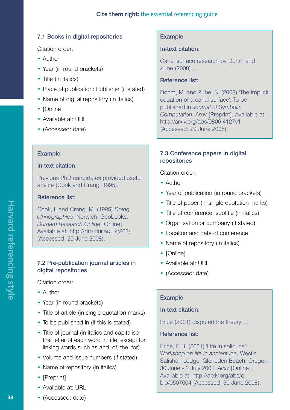# 7.1 Books in digital repositories

Citation order:

- Author
- Year (in round brackets)
- Title (in italics)
- Place of publication: Publisher (if stated)
- Name of digital repository (in italics)
- [Online]
- Available at: URL
- (Accessed: date)

#### Example

#### In-text citation:

Previous PhD candidates provided useful advice (Cook and Crang, 1995).

## Reference list:

Cook, I. and Crang, M. (1995) *Doing ethnographies*. Norwich: Geobooks. *Durham Research Online* [Online]. Available at: http://dro.dur.ac.uk/202/ (Accessed: 29 June 2008).

# 7.2 Pre-publication journal articles in digital repositories

Citation order:

- Author
- Year (in round brackets)
- Title of article (in single quotation marks)
- To be published in (if this is stated)
- Title of journal (in italics and capitalise first letter of each word in title, except for linking words such as and, of, the, for)
- Volume and issue numbers (if stated)
- Name of repository (in italics)
- [Preprint]
- Available at: URL
- (Accessed: date)

## Example

#### In-text citation:

Canal surface research by Dohm and Zube (2008) …

# Reference list:

Dohm, M. and Zube, S. (2008) 'The implicit equation of a canal surface'. To be published in *Journal of Symbolic Computation. Arxiv* [Preprint]. Available at: http://arxiv.org/abs/0806.4127v1 (Accessed: 29 June 2008).

## 7.3 Conference papers in digital repositories

Citation order:

- Author
- Year of publication (in round brackets)
- Title of paper (in single quotation marks)
- Title of conference: subtitle (in italics)
- Organisation or company (if stated)
- Location and date of conference
- Name of repository (in italics)
- [Online]
- Available at: URL
- (Accessed: date)

## Example

## In-text citation:

Price (2001) disputed the theory …

## Reference list:

Price, P. B. (2001) 'Life in solid ice?' *Workshop on life in ancient ice*, Westin Salishan Lodge, Gleneden Beach, Oregon, 30 June - 2 July 2001. *Arxiv* [Online]. Available at: http://arxiv.org/abs/qbio/0507004 (Accessed: 30 June 2008).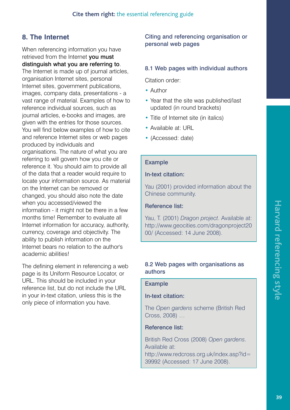# **8. The Internet**

#### When referencing information you have retrieved from the Internet you must distinguish what you are referring to.

The Internet is made up of journal articles, organisation Internet sites, personal Internet sites, government publications, images, company data, presentations - a vast range of material. Examples of how to reference individual sources, such as journal articles, e-books and images, are given with the entries for those sources. You will find below examples of how to cite and reference Internet sites or web pages produced by individuals and organisations. The nature of what you are referring to will govern how you cite or reference it. You should aim to provide all of the data that a reader would require to locate your information source. As material on the Internet can be removed or changed, you should also note the date when you accessed/viewed the information - it might not be there in a few months time! Remember to evaluate all Internet information for accuracy, authority, currency, coverage and objectivity. The ability to publish information on the Internet bears no relation to the author's academic abilities!

The defining element in referencing a web page is its Uniform Resource Locator, or URL. This should be included in your reference list, but do not include the URL in your in-text citation, unless this is the only piece of information you have.

# Citing and referencing organisation or personal web pages

#### 8.1 Web pages with individual authors

Citation order:

- Author
- Year that the site was published/last updated (in round brackets)
- Title of Internet site (in italics)
- Available at: URL
- (Accessed: date)

#### Example

#### In-text citation:

Yau (2001) provided information about the Chinese community.

#### Reference list:

Yau, T. (2001) *Dragon project*. Available at: http://www.geocities.com/dragonproject20 00/ (Accessed: 14 June 2008).

#### 8.2 Web pages with organisations as authors

#### Example

#### In-text citation:

The *Open gardens* scheme (British Red Cross, 2008) …

#### Reference list:

British Red Cross (2008) *Open gardens*. Available at: http://www.redcross.org.uk/index.asp?id= 39992 (Accessed: 17 June 2008).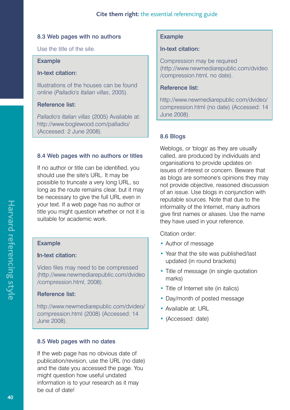#### 8.3 Web pages with no authors

Use the title of the site.

#### Example

#### In-text citation:

Illustrations of the houses can be found online (*Palladio's Italian villas*, 2005).

#### Reference list:

*Palladio's Italian villas* (2005) Available at: http://www.boglewood.com/palladio/ (Accessed: 2 June 2008).

#### 8.4 Web pages with no authors or titles

If no author or title can be identified, you should use the site's URL. It may be possible to truncate a very long URL, so long as the route remains clear, but it may be necessary to give the full URL even in your text. If a web page has no author or title you might question whether or not it is suitable for academic work.

#### Example

#### In-text citation:

Video files may need to be compressed (http://www.newmediarepublic.com/dvideo /compression.html, 2008).

## Reference list:

http://www.newmediarepublic.com/dvideo/ compression.html (2008) (Accessed: 14 June 2008).

## 8.5 Web pages with no dates

If the web page has no obvious date of publication/revision, use the URL (no date) and the date you accessed the page. You might question how useful undated information is to your research as it may be out of date!

## Example

#### In-text citation:

Compression may be required (http://www.newmediarepublic.com/dvideo /compression.html, no date).

#### Reference list:

http://www.newmediarepublic.com/dvideo/ compression.html (no date) (Accessed: 14 June 2008).

# 8.6 Blogs

Weblogs, or 'blogs' as they are usually called, are produced by individuals and organisations to provide updates on issues of interest or concern. Beware that as blogs are someone's opinions they may not provide objective, reasoned discussion of an issue. Use blogs in conjunction with reputable sources. Note that due to the informality of the Internet, many authors give first names or aliases. Use the name they have used in your reference.

- Author of message
- Year that the site was published/last updated (in round brackets)
- Title of message (in single quotation marks)
- Title of Internet site (in italics)
- Day/month of posted message
- Available at: URL
- (Accessed: date)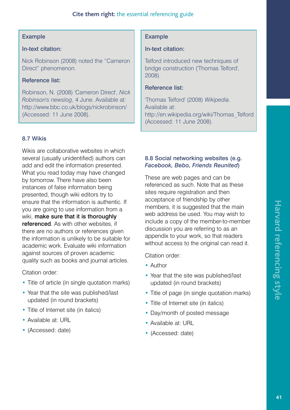# Example

## In-text citation:

Nick Robinson (2008) noted the "Cameron Direct" phenomenon.

# Reference list:

Robinson, N. (2008) 'Cameron Direct', *Nick Robinson's newslog*, 4 June. Available at: http://www.bbc.co.uk/blogs/nickrobinson/ (Accessed: 11 June 2008).

# 8.7 Wikis

Wikis are collaborative websites in which several (usually unidentified) authors can add and edit the information presented. What you read today may have changed by tomorrow. There have also been instances of false information being presented, though wiki editors try to ensure that the information is authentic. If you are going to use information from a wiki, make sure that it is thoroughly referenced. As with other websites, if there are no authors or references given the information is unlikely to be suitable for academic work. Evaluate wiki information against sources of proven academic quality such as books and journal articles.

Citation order:

- Title of article (in single quotation marks)
- Year that the site was published/last updated (in round brackets)
- Title of Internet site (in italics)
- Available at: URL
- (Accessed: date)

# Example

#### In-text citation:

Telford introduced new techniques of bridge construction ('Thomas Telford', 2008).

## Reference list:

'Thomas Telford' (2008) *Wikipedia*. Available at: http://en.wikipedia.org/wiki/Thomas\_Telford (Accessed: 11 June 2008).

## 8.8 Social networking websites (e.g. *Facebook, Bebo, Friends Reunited*)

These are web pages and can be referenced as such. Note that as these sites require registration and then acceptance of friendship by other members, it is suggested that the main web address be used. You may wish to include a copy of the member-to-member discussion you are referring to as an appendix to your work, so that readers without access to the original can read it.

- Author
- Year that the site was published/last updated (in round brackets)
- Title of page (in single quotation marks)
- Title of Internet site (in italics)
- Day/month of posted message
- Available at: URL
- (Accessed: date)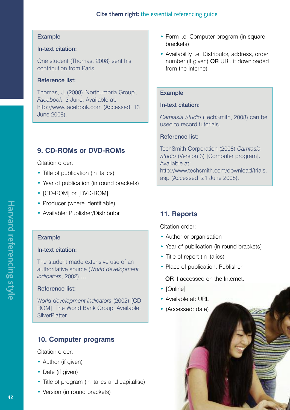## **Cite them right:** the essential referencing guide

#### Example

#### In-text citation:

One student (Thomas, 2008) sent his contribution from Paris.

## Reference list:

Thomas, J. (2008) 'Northumbria Group', *Facebook*, 3 June. Available at: http://www.facebook.com (Accessed: 13 June 2008).

# **9. CD-ROMs or DVD-ROMs**

Citation order:

- Title of publication (in italics)
- Year of publication (in round brackets)
- [CD-ROM] or [DVD-ROM]
- Producer (where identifiable)
- Available: Publisher/Distributor

## Example

## In-text citation:

The student made extensive use of an authoritative source (*World development indicators*, 2002) …

## Reference list:

*World development indicators* (2002) [CD-ROM]. The World Bank Group. Available: SilverPlatter.

# **10. Computer programs**

Citation order:

- Author (if given)
- Date (if given)
- Title of program (in italics and capitalise)
- Version (in round brackets)
- Form i.e. Computer program (in square brackets)
- Availability i.e. Distributor, address, order number (if given) OR URL if downloaded from the Internet

## Example

## In-text citation:

*Camtasia Studio* (TechSmith, 2008) can be used to record tutorials.

# Reference list:

TechSmith Corporation (2008) *Camtasia Studio* (Version 3) [Computer program]. Available at: http://www.techsmith.com/download/trials. asp (Accessed: 21 June 2008).

# **11. Reports**

Citation order:

- Author or organisation
- Year of publication (in round brackets)
- Title of report (in italics)
- Place of publication: Publisher

OR if accessed on the Internet:

- [Online]
- Available at: URL
- (Accessed: date)

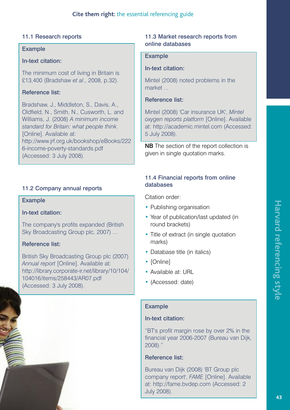## 11.1 Research reports

#### Example

#### In-text citation:

The minimum cost of living in Britain is £13,400 (Bradshaw *et al*., 2008, p.32).

#### Reference list:

Bradshaw, J., Middleton, S., Davis, A., Oldfield, N., Smith, N., Cusworth, L. and Williams, J. (2008) *A minimum income standard for Britain: what people think*. [Online]. Available at: http://www.jrf.org.uk/bookshop/eBooks/222 6-income-poverty-standards.pdf (Accessed: 3 July 2008).

# 11.2 Company annual reports

#### Example

#### In-text citation:

The company's profits expanded (British Sky Broadcasting Group plc, 2007) ...

#### Reference list:

British Sky Broadcasting Group plc (2007) *Annual report* [Online]. Available at: http://library.corporate-ir.net/library/10/104/ 104016/items/258443/AR07.pdf (Accessed: 3 July 2008).

# 11.3 Market research reports from online databases

#### Example

#### In-text citation:

Mintel (2008) noted problems in the market ...

#### Reference list:

Mintel (2008) 'Car insurance UK', *Mintel oxygen reports platform* [Online]. Available at: http://academic.mintel.com (Accessed: 5 July 2008).

**NB** The section of the report collection is given in single quotation marks.

# 11.4 Financial reports from online databases

Citation order:

- Publishing organisation
- Year of publication/last updated (in round brackets)
- Title of extract (in single quotation marks)
- Database title (in italics)
- [Online]
- Available at: URL
- (Accessed: date)

## Example

#### In-text citation:

"BT's profit margin rose by over 2% in the financial year 2006-2007 (Bureau van Dijk, 2008)."

## Reference list:

Bureau van Dijk (2008) 'BT Group plc company report', *FAME* [Online]. Available at: http://fame.bvdep.com (Accessed: 2 July 2008).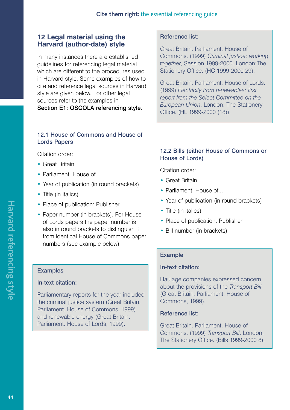# **12 Legal material using the Harvard (author-date) style**

In many instances there are established guidelines for referencing legal material which are different to the procedures used in Harvard style. Some examples of how to cite and reference legal sources in Harvard style are given below. For other legal sources refer to the examples in Section E1: OSCOLA referencing style.

#### 12.1 House of Commons and House of Lords Papers

Citation order:

- Great Britain
- Parliament. House of...
- Year of publication (in round brackets)
- Title (in italics)
- Place of publication: Publisher
- Paper number (in brackets). For House of Lords papers the paper number is also in round brackets to distinguish it from identical House of Commons paper numbers (see example below)

## **Examples**

#### In-text citation:

Parliamentary reports for the year included the criminal justice system (Great Britain. Parliament. House of Commons, 1999) and renewable energy (Great Britain. Parliament. House of Lords, 1999).

# Reference list:

Great Britain. Parliament. House of Commons. (1999) *Criminal justice: working together*, Session 1999-2000. London:The Stationery Office. (HC 1999-2000 29).

Great Britain. Parliament. House of Lords. (1999) *Electricity from renewables: first report from the Select Committee on the European Union*. London: The Stationery Office. (HL 1999-2000 (18)).

# 12.2 Bills (either House of Commons or House of Lords)

Citation order:

- Great Britain
- Parliament. House of...
- Year of publication (in round brackets)
- Title (in italics)
- Place of publication: Publisher
- Bill number (in brackets)

## Example

## In-text citation:

Haulage companies expressed concern about the provisions of the *Transport Bill* (Great Britain. Parliament. House of Commons, 1999).

## Reference list:

Great Britain. Parliament. House of Commons. (1999) *Transport Bill*. London: The Stationery Office. (Bills 1999-2000 8).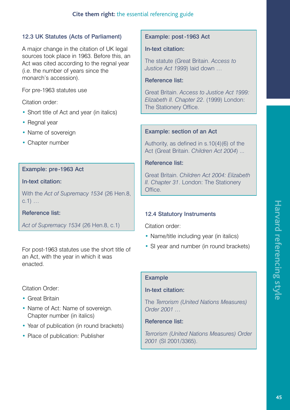# 12.3 UK Statutes (Acts of Parliament)

A major change in the citation of UK legal sources took place in 1963. Before this, an Act was cited according to the regnal year (i.e. the number of years since the monarch's accession).

For pre-1963 statutes use

Citation order:

- Short title of Act and year (in italics)
- Regnal year
- Name of sovereign
- Chapter number

#### Example: pre-1963 Act

#### In-text citation:

With the *Act of Supremacy 1534* (26 Hen.8, c.1) …

#### Reference list:

*Act of Supremacy 1534* (26 Hen.8, c.1)

For post-1963 statutes use the short title of an Act, with the year in which it was enacted.

#### Citation Order:

- Great Britain
- Name of Act: Name of sovereign. Chapter number (in italics)
- Year of publication (in round brackets)
- Place of publication: Publisher

#### Example: post -1963 Act

#### In-text citation:

The statute (Great Britain. *Access to Justice Act 1999*) laid down …

#### Reference list:

Great Britain. *Access to Justice Act 1999: Elizabeth II. Chapter 22*. (1999) London: The Stationery Office.

#### Example: section of an Act

Authority, as defined in s.10(4)(6) of the Act (Great Britain. *Children Act 2004*) ...

#### Reference list:

Great Britain. *Children Act 2004: Elizabeth II. Chapter 31*. London: The Stationery Office.

#### 12.4 Statutory Instruments

Citation order:

- Name/title including year (in italics)
- SI year and number (in round brackets)

#### Example

#### In-text citation:

The *Terrorism (United Nations Measures) Order 2001 …*

#### Reference list:

*Terrorism (United Nations Measures) Order 2001* (SI 2001/3365).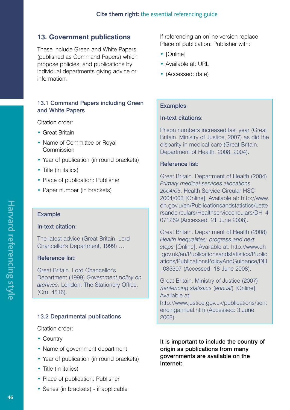# **13. Government publications**

These include Green and White Papers (published as Command Papers) which propose policies, and publications by individual departments giving advice or information.

#### 13.1 Command Papers including Green and White Papers

Citation order:

- Great Britain
- Name of Committee or Royal Commission
- Year of publication (in round brackets)
- Title (in italics)
- Place of publication: Publisher
- Paper number (in brackets)

#### Example

#### In-text citation:

The latest advice (Great Britain. Lord Chancellor's Department, 1999) …

## Reference list:

Great Britain. Lord Chancellor's Department (1999) *Government policy on archives*. London: The Stationery Office. (Cm. 4516).

## 13.2 Departmental publications

Citation order:

- Country
- Name of government department
- Year of publication (in round brackets)
- Title (in italics)
- Place of publication: Publisher
- Series (in brackets) if applicable

If referencing an online version replace Place of publication: Publisher with:

- [Online]
- Available at: URL
- (Accessed: date)

# Examples

#### In-text citations:

Prison numbers increased last year (Great Britain. Ministry of Justice, 2007) as did the disparity in medical care (Great Britain. Department of Health, 2008; 2004).

## Reference list:

Great Britain. Department of Health (2004) *Primary medical services allocations 2004/05*. Health Service Circular HSC 2004/003 [Online]. Available at: http://www. dh.gov.u/en/Publicationsandstatistics/Lette rsandcirculars/Healthservicecirculars/DH\_4 071269 (Accessed: 21 June 2008).

Great Britain. Department of Health (2008) *Health inequalities: progress and next steps* [Online]. Available at: http://www.dh .gov.uk/en/Publicationsandstatistics/Public ations/PublicationsPolicyAndGuidance/DH \_085307 (Accessed: 18 June 2008).

Great Britain. Ministry of Justice (2007) *Sentencing statistics* (*annual*) [Online]. Available at: http://www.justice.gov.uk/publications/sent encingannual.htm (Accessed: 3 June 2008).

It is important to include the country of origin as publications from many governments are available on the Internet:

**H a R a r d**

**r e f e r e**

**n cin g s tyle**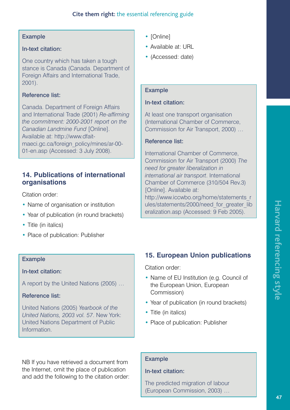## Example

## In-text citation:

One country which has taken a tough stance is Canada (Canada. Department of Foreign Affairs and International Trade, 2001).

# Reference list:

Canada. Department of Foreign Affairs and International Trade (2001) *Re-affirming the commitment: 2000-2001 report on the Canadian Landmine Fund* [Online]. Available at: http://www.dfaitmaeci.gc.ca/foreign\_policy/mines/ar-00- 01-en.asp (Accessed: 3 July 2008).

# **14. Publications of international organisations**

Citation order:

- Name of organisation or institution
- Year of publication (in round brackets)
- Title (in italics)
- Place of publication: Publisher

## Example

# In-text citation:

A report by the United Nations (2005) …

# Reference list:

United Nations (2005) *Yearbook of the United Nations, 2003 vol. 57*. New York: United Nations Department of Public Information.

NB If you have retrieved a document from the Internet, omit the place of publication and add the following to the citation order:

- [Online]
- Available at: URL
- (Accessed: date)

# Example

## In-text citation:

At least one transport organisation (International Chamber of Commerce, Commission for Air Transport, 2000) …

# Reference list:

International Chamber of Commerce, Commission for Air Transport (2000) *The need for greater liberalization in international air transport*. International Chamber of Commerce (310/504 Rev.3) [Online]. Available at:

http://www.iccwbo.org/home/statements\_r ules/statements/2000/need for greater lib eralization.asp (Accessed: 9 Feb 2005).

# **15. European Union publications**

Citation order:

- Name of EU Institution (e.g. Council of the European Union, European Commission)
- Year of publication (in round brackets)
- Title (in italics)
- Place of publication: Publisher

# Example

## In-text citation:

The predicted migration of labour (European Commission, 2003) …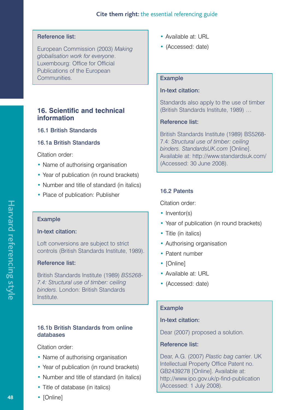#### Reference list:

European Commission (2003) *Making globalisation work for everyone*. Luxembourg: Office for Official Publications of the European **Communities** 

# **16. Scientific and technical information**

## 16.1 British Standards

## 16.1a British Standards

Citation order:

- Name of authorising organisation
- Year of publication (in round brackets)
- Number and title of standard (in italics)
- Place of publication: Publisher

## Example

## In-text citation:

Loft conversions are subject to strict controls (British Standards Institute, 1989).

# Reference list:

British Standards Institute (1989) *BS5268- 7.4: Structural use of timber: ceiling binders*. London: British Standards **Institute** 

# 16.1b British Standards from online databases

Citation order:

• [Online]

- Name of authorising organisation
- Year of publication (in round brackets)
- Number and title of standard (in italics)
- Title of database (in italics)
- Available at: URL
- (Accessed: date)

# Example

# In-text citation:

Standards also apply to the use of timber (British Standards Institute, 1989) …

# Reference list:

British Standards Institute (1989) BS5268- 7.4: *Structural use of timber: ceiling binders. StandardsUK.com* [Online]. Available at: http://www.standardsuk.com/ (Accessed: 30 June 2008).

# 16.2 Patents

Citation order:

- Inventor(s)
- Year of publication (in round brackets)
- Title (in italics)
- Authorising organisation
- Patent number
- [Online]
- Available at: URL
- (Accessed: date)

# Example

# In-text citation:

Dear (2007) proposed a solution.

# Reference list:

Dear, A.G. (2007) *Plastic bag carrier*. UK Intellectual Property Office Patent no. GB2439278 [Online]. Available at: http://www.ipo.gov.uk/p-find-publication (Accessed: 1 July 2008).

**H a R a r d**

**r e f e r e**

**n cin g s tyle**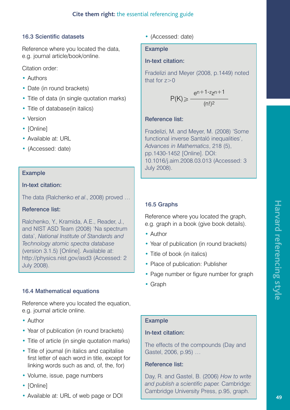# 16.3 Scientific datasets

Reference where you located the data, e.g. journal article/book/online.

Citation order:

- Authors
- Date (in round brackets)
- Title of data (in single quotation marks)
- Title of database(in italics)
- Version
- [Online]
- Available at: URL
- (Accessed: date)

# Example

# In-text citation:

The data (Ralchenko *et al*., 2008) proved …

# Reference list:

Ralchenko, Y., Kramida, A.E., Reader, J., and NIST ASD Team (2008) 'Na spectrum data', *National Institute of Standards and Technology atomic spectra database* (version 3.1.5) [Online]. Available at: http://physics.nist.gov/asd3 (Accessed: 2 July 2008).

# 16.4 Mathematical equations

Reference where you located the equation, e.g. journal article online.

- Author
- Year of publication (in round brackets)
- Title of article (in single quotation marks)
- Title of journal (in italics and capitalise first letter of each word in title, except for linking words such as and, of, the, for)
- Volume, issue, page numbers
- [Online]
- Available at: URL of web page or DOI

• (Accessed: date)

# Example

# In-text citation:

Fradelizi and Meyer (2008, p.1449) noted that for  $z>0$ 

$$
P(K)\!\geqslant\frac{\mathrm{e}^{n+1\text{-}z}z^{n+1}}{(n!)^2}
$$

# Reference list:

Fradelizi, M. and Meyer, M. (2008) 'Some functional inverse Santaló inequalities', *Advances in Mathematics*, 218 (5), pp.1430-1452 [Online]. DOI: 10.1016/j.aim.2008.03.013 (Accessed: 3 July 2008).

# 16.5 Graphs

Reference where you located the graph, e.g. graph in a book (give book details).

- Author
- Year of publication (in round brackets)
- Title of book (in italics)
- Place of publication: Publisher
- Page number or figure number for graph
- Graph

# Example

## In-text citation:

The effects of the compounds (Day and Gastel, 2006, p.95) …

# Reference list:

Day, R. and Gastel, B. (2006) *How to write and publish a scientific paper.* Cambridge: Cambridge University Press, p.95, graph.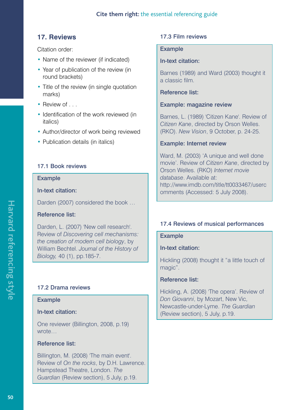# **17. Reviews**

Citation order:

- Name of the reviewer (if indicated)
- Year of publication of the review (in round brackets)
- Title of the review (in single quotation marks)
- Review of ...
- Identification of the work reviewed (in italics)
- Author/director of work being reviewed
- Publication details (in italics)

## 17.1 Book reviews

#### Example

#### In-text citation:

Darden (2007) considered the book ...

## Reference list:

Darden, L. (2007) 'New cell research'. Review of *Discovering cell mechanisms: the creation of modern cell biology*, by William Bechtel. *Journal of the History of Biology,* 40 (1), pp.185-7.

# 17.2 Drama reviews

#### Example

## In-text citation:

One reviewer (Billington, 2008, p.19) wrote…

## Reference list:

Billington, M. (2008) 'The main event'. Review of *On the rocks*, by D.H. Lawrence. Hampstead Theatre, London. *The Guardian* (Review section), 5 July, p.19.

## 17.3 Film reviews

#### Example

## In-text citation:

Barnes (1989) and Ward (2003) thought it a classic film.

## Reference list:

## Example: magazine review

Barnes, L. (1989) 'Citizen Kane'. Review of *Citizen Kane*, directed by Orson Welles. (RKO). *New Vision*, 9 October, p. 24-25.

# Example: Internet review

Ward, M. (2003) 'A unique and well done movie'. Review of *Citizen Kane*, directed by Orson Welles. (RKO) *Internet movie database*. Available at: http://www.imdb.com/title/tt0033467/userc omments (Accessed: 5 July 2008).

# 17.4 Reviews of musical performances

Example

# In-text citation:

Hickling (2008) thought it "a little touch of magic".

# Reference list:

Hickling, A. (2008) 'The opera'. Review of *Don Giovanni*, by Mozart, New Vic, Newcastle-under-Lyme. *The Guardian* (Review section), 5 July, p.19.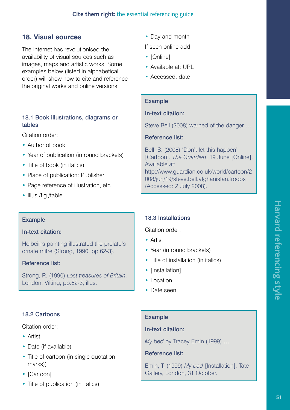# **18. Visual sources**

The Internet has revolutionised the availability of visual sources such as images, maps and artistic works. Some examples below (listed in alphabetical order) will show how to cite and reference the original works and online versions.

# 18.1 Book illustrations, diagrams or tables

Citation order:

- Author of book
- Year of publication (in round brackets)
- Title of book (in italics)
- Place of publication: Publisher
- Page reference of illustration, etc.
- Illus./fig./table

## Example

#### In-text citation:

Holbein's painting illustrated the prelate's ornate mitre (Strong, 1990, pp.62-3).

#### Reference list:

Strong, R. (1990) *Lost treasures of Britain*. London: Viking, pp.62-3, illus.

# 18.2 Cartoons

Citation order:

- Artist
- Date (if available)
- Title of cartoon (in single quotation marks))
- [Cartoon]
- Title of publication (in italics)

• Day and month

If seen online add:

- [Online]
- Available at: URL
- Accessed: date

#### Example

#### In-text citation:

Steve Bell (2008) warned of the danger …

#### Reference list:

Bell, S. (2008) 'Don't let this happen' [Cartoon]. *The Guardian*, 19 June [Online]. Available at: http://www.guardian.co.uk/world/cartoon/2 008/jun/19/steve.bell.afghanistan.troops (Accessed: 2 July 2008).

## 18.3 Installations

Citation order:

- Artist
- Year (in round brackets)
- Title of installation (in italics)
- [Installation]
- Location
- Date seen

## Example

#### In-text citation:

*My bed* by Tracey Emin (1999) …

#### Reference list:

Emin, T. (1999) *My bed* [Installation]. Tate Gallery, London, 31 October.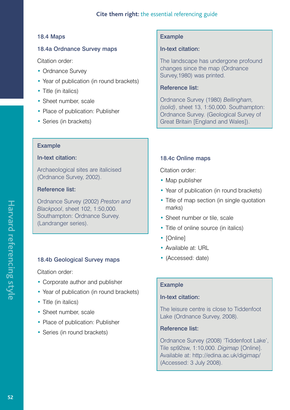## 18.4 Maps

#### 18.4a Ordnance Survey maps

Citation order:

- Ordnance Survey
- Year of publication (in round brackets)
- Title (in italics)
- Sheet number, scale
- Place of publication: Publisher
- Series (in brackets)

#### Example

#### In-text citation:

Archaeological sites are italicised (Ordnance Survey, 2002).

#### Reference list:

Ordnance Survey (2002) *Preston and Blackpool*, sheet 102, 1:50,000. Southampton: Ordnance Survey. (Landranger series).

## 18.4b Geological Survey maps

Citation order:

- Corporate author and publisher
- Year of publication (in round brackets)
- Title (in italics)
- Sheet number, scale
- Place of publication: Publisher
- Series (in round brackets)

# Example

#### In-text citation:

The landscape has undergone profound changes since the map (Ordnance Survey,1980) was printed.

# Reference list:

Ordnance Survey (1980) *Bellingham, (solid)*, sheet 13, 1:50,000. Southampton: Ordnance Survey. (Geological Survey of Great Britain [England and Wales]).

# 18.4c Online maps

Citation order:

- Map publisher
- Year of publication (in round brackets)
- Title of map section (in single quotation marks)
- Sheet number or tile, scale
- Title of online source (in italics)
- [Online]
- Available at: URL
- (Accessed: date)

# Example

## In-text citation:

The leisure centre is close to Tiddenfoot Lake (Ordnance Survey, 2008).

## Reference list:

Ordnance Survey (2008) 'Tiddenfoot Lake', Tile sp92sw, 1:10,000. *Digimap* [Online]. Available at: http://edina.ac.uk/digimap/ (Accessed: 3 July 2008).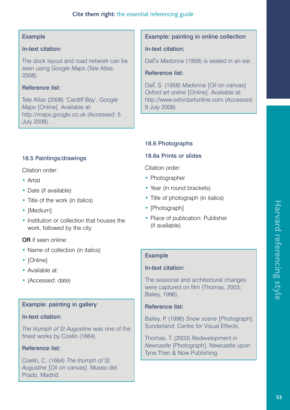# Example

## In-text citation:

The dock layout and road network can be seen using *Google Maps* (Tele Atlas, 2008).

# Reference list:

Tele Atlas (2008) 'Cardiff Bay', *Google Maps* [Online]. Available at: http://maps.google.co.uk (Accessed: 5 July 2008).

# 18.5 Paintings/drawings

Citation order:

- Artist
- Date (if available)
- Title of the work (in italics)
- [Medium]
- Institution or collection that houses the work, followed by the city

OR if seen online:

- Name of collection (in italics)
- [Online]
- Available at:
- (Accessed: date)

## Example: painting in gallery

## In-text citation:

*The triumph of St Augustine* was one of the finest works by Coello (1664).

## Reference list:

Coello, C. (1664) *The triumph of St. Augustine* [Oil on canvas]. Museo del Prado, Madrid.

# Example: painting in online collection

#### In-text citation:

Dali's *Madonna* (1958) is seated in an ear.

## Reference list:

Dali, S. (1958) *Madonna* [Oil on canvas] *Oxford art online* [Online]. Available at: http://www.oxfordartonline.com (Accessed: 9 July 2008).

# 18.6 Photographs

## 18.6a Prints or slides

Citation order:

- Photographer
- Year (in round brackets)
- Title of photograph (in italics)
- [Photograph]
- Place of publication: Publisher (if available)

## Example

## In-text citation:

The seasonal and architectural changes were captured on film (Thomas, 2003; Bailey, 1996).

## Reference list:

Bailey, P. (1996) *Snow scene* [Photograph]. Sunderland: Centre for Visual Effects.

Thomas, T. (2003) *Redevelopment in Newcastle* [Photograph]. Newcastle upon Tyne:Then & Now Publishing.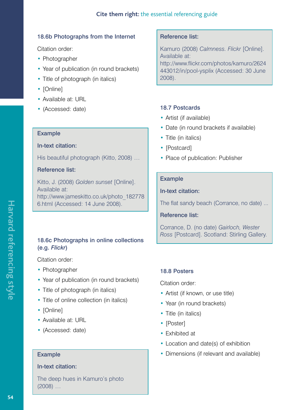# 18.6b Photographs from the Internet

Citation order:

- Photographer
- Year of publication (in round brackets)
- Title of photograph (in italics)
- [Online]
- Available at: URL
- (Accessed: date)

## Example

#### In-text citation:

His beautiful photograph (Kitto, 2008) …

## Reference list:

Kitto, J. (2008) *Golden sunset* [Online]. Available at: http://www.jameskitto.co.uk/photo\_182778 6.html (Accessed: 14 June 2008).

# 18.6c Photographs in online collections (e.g. *Flickr*)

Citation order:

- Photographer
- Year of publication (in round brackets)
- Title of photograph (in italics)
- Title of online collection (in italics)
- [Online]
- Available at: URL
- (Accessed: date)

# Example

## In-text citation:

The deep hues in Kamuro's photo (2008) …

# Reference list:

Kamuro (2008) *Calmness. Flickr* [Online]. Available at: http://www.flickr.com/photos/kamuro/2624 443012/in/pool-ysplix (Accessed: 30 June 2008).

# 18.7 Postcards

- Artist (if available)
- Date (in round brackets if available)
- Title (in italics)
- [Postcard]
- Place of publication: Publisher

#### Example

## In-text citation:

The flat sandy beach (Corrance, no date) ...

## Reference list:

Corrance, D. (no date) *Gairloch, Wester Ross* [Postcard]. Scotland: Stirling Gallery.

## 18.8 Posters

- Artist (if known, or use title)
- Year (in round brackets)
- Title (in italics)
- [Poster]
- Exhibited at
- Location and date(s) of exhibition
- Dimensions (if relevant and available)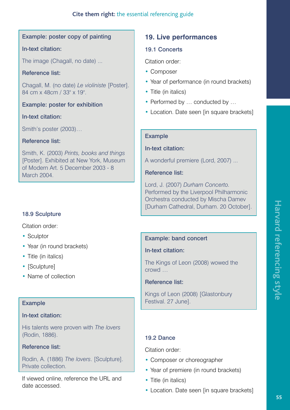## Example: poster copy of painting

#### In-text citation:

The image (Chagall, no date) ...

## Reference list:

Chagall, M. (no date) *Le violiniste* [Poster]. 84 cm x 48cm / 33" x 19".

#### Example: poster for exhibition

#### In-text citation:

Smith's poster (2003)…

## Reference list:

Smith, K. (2003) *Prints, books and things* [Poster]. Exhibited at New York, Museum of Modern Art. 5 December 2003 - 8 March 2004.

# 18.9 Sculpture

Citation order:

- Sculptor
- Year (in round brackets)
- Title (in italics)
- [Sculpture]
- Name of collection

## Example

## In-text citation:

His talents were proven with *The lovers* (Rodin, 1886).

## Reference list:

Rodin, A. (1886) *The lovers*. [Sculpture]. Private collection.

If viewed online, reference the URL and date accessed.

# **19. Live performances**

# 19.1 Concerts

Citation order:

- Composer
- Year of performance (in round brackets)
- Title (in italics)
- Performed by ... conducted by ...
- Location. Date seen [in square brackets]

#### Example

## In-text citation:

A wonderful premiere (Lord, 2007) ...

#### Reference list:

Lord, J. (2007) *Durham Concerto.* Performed by the Liverpool Philharmonic Orchestra conducted by Mischa Damev [Durham Cathedral, Durham. 20 October].

## Example: band concert

#### In-text citation:

The Kings of Leon (2008) wowed the crowd …

## Reference list:

Kings of Leon (2008) [Glastonbury Festival. 27 June].

## 19.2 Dance

- Composer or choreographer
- Year of premiere (in round brackets)
- Title (in italics)
- Location. Date seen [in square brackets]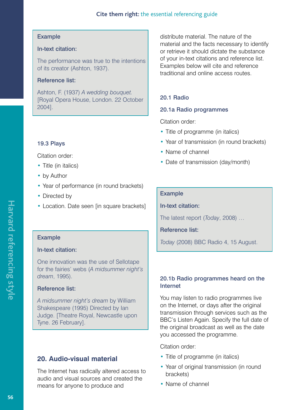#### Example

#### In-text citation:

The performance was true to the intentions of its creator (Ashton, 1937).

## Reference list:

Ashton, F. (1937) *A wedding bouquet.* [Royal Opera House, London. 22 October 2004].

# 19.3 Plays

Citation order:

- Title (in italics)
- by Author
- Year of performance (in round brackets)
- Directed by
- Location. Date seen [in square brackets]

# Example

## In-text citation:

One innovation was the use of Sellotape for the fairies' webs (*A midsummer night's dream*, 1995).

# Reference list:

*A midsummer night's dream* by William Shakespeare (1995) Directed by Ian Judge. [Theatre Royal, Newcastle upon Tyne. 26 February].

# **20. Audio-visual material**

The Internet has radically altered access to audio and visual sources and created the means for anyone to produce and

distribute material. The nature of the material and the facts necessary to identify or retrieve it should dictate the substance of your in-text citations and reference list. Examples below will cite and reference traditional and online access routes.

# 20.1 Radio

# 20.1a Radio programmes

Citation order:

- Title of programme (in italics)
- Year of transmission (in round brackets)
- Name of channel
- Date of transmission (day/month)

# Example

## In-text citation:

The latest report (*Today*, 2008) …

Reference list:

*Today* (2008) BBC Radio 4, 15 August.

# 20.1b Radio programmes heard on the Internet

You may listen to radio programmes live on the Internet, or days after the original transmission through services such as the BBC's Listen Again. Specify the full date of the original broadcast as well as the date you accessed the programme.

Citation order:

- Title of programme (in italics)
- Year of original transmission (in round brackets)
- Name of channel

**H**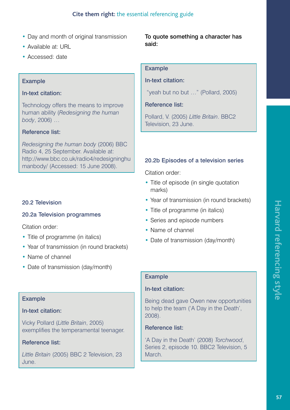## **Cite them right:** the essential referencing guide

- Day and month of original transmission
- Available at: URL
- Accessed: date

#### Example

#### In-text citation:

Technology offers the means to improve human ability (*Redesigning the human body*, 2006) …

#### Reference list:

*Redesigning the human body* (2006) BBC Radio 4, 25 September. Available at: http://www.bbc.co.uk/radio4/redesigninghu manbody/ (Accessed: 15 June 2008).

#### 20.2 Television

#### 20.2a Television programmes

Citation order:

- Title of programme (in italics)
- Year of transmission (in round brackets)
- Name of channel
- Date of transmission (day/month)

#### Example

#### In-text citation:

Vicky Pollard (*Little Britain*, 2005) exemplifies the temperamental teenager.

#### Reference list:

*Little Britain* (2005) BBC 2 Television, 23 June.

To quote something a character has said:

#### Example

#### In-text citation:

"yeah but no but …" (Pollard, 2005)

#### Reference list:

Pollard, V. (2005) *Little Britain*. BBC2 Television, 23 June.

#### 20.2b Episodes of a television series

Citation order:

- Title of episode (in single quotation marks)
- Year of transmission (in round brackets)
- Title of programme (in italics)
- Series and episode numbers
- Name of channel
- Date of transmission (day/month)

#### Example

#### In-text citation:

Being dead gave Owen new opportunities to help the team ('A Day in the Death', 2008).

#### Reference list:

'A Day in the Death' (2008) *Torchwood*, Series 2, episode 10. BBC2 Television, 5 March.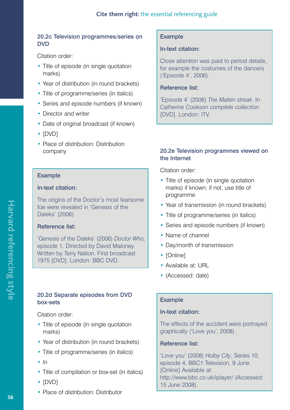#### 20.2c Television programmes/series on DVD

Citation order:

- Title of episode (in single quotation marks)
- Year of distribution (in round brackets)
- Title of programme/series (in italics)
- Series and episode numbers (if known)
- Director and writer
- Date of original broadcast (if known)
- [DVD]
- Place of distribution: Distribution company

#### Example

#### In-text citation:

The origins of the Doctor's most fearsome foe were revealed in 'Genesis of the Daleks' (2006).

#### Reference list:

'Genesis of the Daleks' (2006) *Doctor Who,* episode 1. Directed by David Maloney. Written by Terry Nation. First broadcast 1975 [DVD]. London: BBC DVD.

#### 20.2d Separate episodes from DVD box-sets

Citation order:

- Title of episode (in single quotation marks)
- Year of distribution (in round brackets)
- Title of programme/series (in italics)
- In
- Title of compilation or box-set (in italics)
- [DVD]
- Place of distribution: Distributor

#### Example

#### In-text citation:

Close attention was paid to period details, for example the costumes of the dancers ('Episode 4', 2006).

#### Reference list:

'Episode 4' (2006) *The Mallen streak*. In *Catherine Cookson complete collection* [DVD]. London: ITV.

#### 20.2e Television programmes viewed on the Internet

Citation order:

- Title of episode (in single quotation marks) if known; if not, use title of programme
- Year of transmission (in round brackets)
- Title of programme/series (in italics)
- Series and episode numbers (if known)
- Name of channel
- Day/month of transmission
- [Online]
- Available at: URL
- (Accessed: date)

#### Example

#### In-text citation:

The effects of the accident were portrayed graphically ('Love you', 2008).

#### Reference list:

'Love you' (2008) *Holby City*, Series 10, episode 4, BBC1 Television, 9 June. [Online] Available at: http://www.bbc.co.uk/iplayer/ (Accessed: 15 June 2008).

**H a R a r d**

**r e f e r e**

**n cin g s tyle**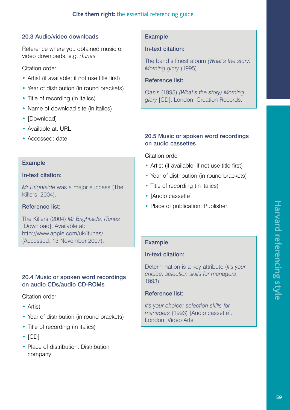# 20.3 Audio/video downloads

Reference where you obtained music or video downloads, e.g. *iTunes.*

Citation order:

- Artist (if available; if not use title first)
- Year of distribution (in round brackets)
- Title of recording (in italics)
- Name of download site (in italics)
- [Download]
- Available at: URL
- Accessed: date

#### Example

#### In-text citation:

*Mr Brightside* was a major success (The Killers, 2004).

## Reference list:

The Killers (2004) *Mr Brightside*. *iTunes* [Download]. Available at: http://www.apple.com/uk/itunes/ (Accessed: 13 November 2007).

# 20.4 Music or spoken word recordings on audio CDs/audio CD-ROMs

Citation order:

- Artist
- Year of distribution (in round brackets)
- Title of recording (in italics)
- [CD]
- Place of distribution: Distribution company

# Example

#### In-text citation:

The band's finest album *(What's the story) Morning glory* (1995) …

# Reference list:

Oasis (1995) *(What's the story) Morning glory* [CD]. London: Creation Records.

## 20.5 Music or spoken word recordings on audio cassettes

Citation order:

- Artist (if available; if not use title first)
- Year of distribution (in round brackets)
- Title of recording (in italics)
- [Audio cassette]
- Place of publication: Publisher

## Example

## In-text citation:

Determination is a key attribute (*It's your choice: selection skills for managers*, 1993).

## Reference list:

*It's your choice: selection skills for managers* (1993) [Audio cassette]. London: Video Arts.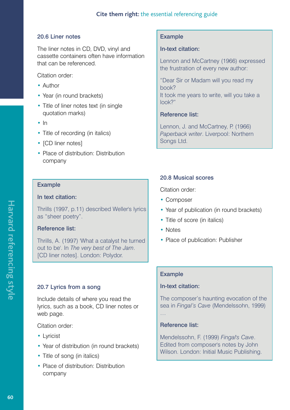# 20.6 Liner notes

The liner notes in CD, DVD, vinyl and cassette containers often have information that can be referenced.

Citation order:

- Author
- Year (in round brackets)
- Title of liner notes text (in single quotation marks)
- In
- Title of recording (in italics)
- **[CD liner notes]**
- Place of distribution: Distribution company

# Example

## In text citation:

Thrills (1997, p.11) described Weller's lyrics as "sheer poetry".

## Reference list:

Thrills, A. (1997) 'What a catalyst he turned out to be'. In *The very best of The Jam*. [CD liner notes]. London: Polydor.

# 20.7 Lyrics from a song

Include details of where you read the lyrics, such as a book, CD liner notes or web page.

Citation order:

- Lyricist
- Year of distribution (in round brackets)
- Title of song (in italics)
- Place of distribution: Distribution company

# Example

## In-text citation:

Lennon and McCartney (1966) expressed the frustration of every new author:

"Dear Sir or Madam will you read my book? It took me years to write, will you take a look?"

# Reference list:

Lennon, J. and McCartney, P. (1966) *Paperback writer*. Liverpool: Northern Songs Ltd.

# 20.8 Musical scores

Citation order:

- Composer
- Year of publication (in round brackets)
- Title of score (in italics)
- Notes
- Place of publication: Publisher

## Example

## In-text citation:

The composer's haunting evocation of the sea in *Fingal's Cave* (Mendelssohn, 1999) …

# Reference list:

Mendelssohn, F. (1999) *Fingal's Cave*. Edited from composer's notes by John Wilson. London: Initial Music Publishing.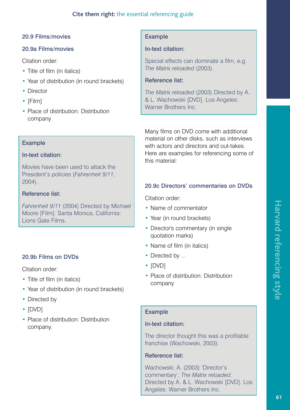# 20.9 Films/movies

# 20.9a Films/movies

Citation order:

- Title of film (in italics)
- Year of distribution (in round brackets)
- Director
- [Film]
- Place of distribution: Distribution company

# Example

## In-text citation:

Movies have been used to attack the President's policies (*Fahrenheit 9/11*, 2004).

# Reference list:

*Fahrenheit 9/11* (2004) Directed by Michael Moore [Film]. Santa Monica, California: Lions Gate Films.

# 20.9b Films on DVDs

Citation order:

- Title of film (in italics)
- Year of distribution (in round brackets)
- Directed by
- [DVD]
- Place of distribution: Distribution company.

# Example

## In-text citation:

Special effects can dominate a film, e.g. *The Matrix reloaded* (2003).

# Reference list:

*The Matrix reloaded* (2003) Directed by A. & L. Wachowski [DVD]. Los Angeles: Warner Brothers Inc.

Many films on DVD come with additional material on other disks, such as interviews with actors and directors and out-takes. Here are examples for referencing some of this material:

# 20.9c Directors' commentaries on DVDs

Citation order:

- Name of commentator
- Year (in round brackets)
- Director's commentary (in single quotation marks)
- Name of film (in italics)
- Directed by ...
- [DVD]
- Place of distribution: Distribution company

# Example

## In-text citation:

The director thought this was a profitable franchise (Wachowski, 2003).

# Reference list:

Wachowski, A. (2003) 'Director's commentary', *The Matrix reloaded*. Directed by A. & L. Wachowski [DVD]. Los Angeles: Warner Brothers Inc.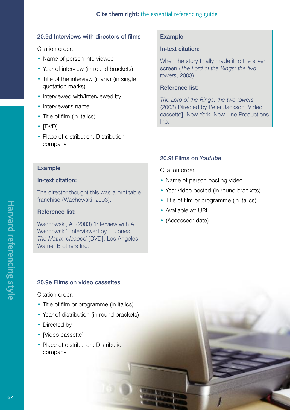#### 20.9d Interviews with directors of films

Citation order:

- Name of person interviewed
- Year of interview (in round brackets)
- Title of the interview (if any) (in single quotation marks)
- Interviewed with/Interviewed by
- Interviewer's name
- Title of film (in italics)
- [DVD]
- Place of distribution: Distribution company

## **Example**

#### In-text citation:

The director thought this was a profitable franchise (Wachowski, 2003).

# Reference list:

Wachowski, A. (2003) 'Interview with A. Wachowski'. Interviewed by L. Jones. *The Matrix reloaded* [DVD]. Los Angeles: Warner Brothers Inc.

## 20.9e Films on video cassettes

Citation order:

- Title of film or programme (in italics)
- Year of distribution (in round brackets)
- Directed by
- [Video cassette]
- Place of distribution: Distribution company

## Example

#### In-text citation:

When the story finally made it to the silver screen (*The Lord of the Rings: the two towers*, 2003) …

# Reference list:

*The Lord of the Rings: the two towers* (2003) Directed by Peter Jackson [Video cassette]. New York: New Line Productions Inc.

# 20.9f Films on *Youtube*

- Name of person posting video
- Year video posted (in round brackets)
- Title of film or programme (in italics)
- Available at: URL
- (Accessed: date)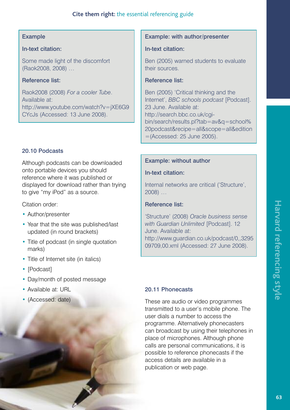## Example

## In-text citation:

Some made light of the discomfort (Raok2008, 2008) …

# Reference list:

Raok2008 (2008) *For a cooler Tube*. Available at: http://www.youtube.com/watch?v=jXE6G9 CYcJs (Accessed: 13 June 2008).

# 20.10 Podcasts

Although podcasts can be downloaded onto portable devices you should reference where it was published or displayed for download rather than trying to give "my iPod" as a source.

Citation order:

- Author/presenter
- Year that the site was published/last updated (in round brackets)
- Title of podcast (in single quotation marks)
- Title of Internet site (in italics)
- [Podcast]
- Day/month of posted message
- Available at: URL
- (Accessed: date)

# Example: with author/presenter

#### In-text citation:

Ben (2005) warned students to evaluate their sources.

# Reference list:

Ben (2005) 'Critical thinking and the Internet', *BBC schools podcast* [Podcast]. 23 June. Available at: http://search.bbc.co.uk/cgibin/search/results.pl?tab=av&q=school% 20podcast&recipe=all&scope=all&edition =(Accessed: 25 June 2005).

## Example: without author

#### In-text citation:

Internal networks are critical ('Structure', 2008) …

#### Reference list:

'Structure' (2008) *Oracle business sense with Guardian Unlimited* [Podcast]. 12 June. Available at: http://www.guardian.co.uk/podcast/0,,3295 09709,00.xml (Accessed: 27 June 2008).

# 20.11 Phonecasts

These are audio or video programmes transmitted to a user's mobile phone. The user dials a number to access the programme. Alternatively phonecasters can broadcast by using their telephones in place of microphones. Although phone calls are personal communications, it is possible to reference phonecasts if the access details are available in a publication or web page.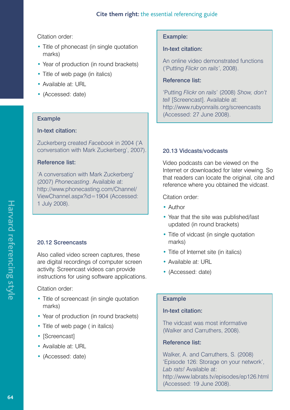Citation order:

- Title of phonecast (in single quotation marks)
- Year of production (in round brackets)
- Title of web page (in italics)
- Available at: URL
- (Accessed: date)

#### Example

## In-text citation:

Zuckerberg created *Facebook* in 2004 ('A conversation with Mark Zuckerberg', 2007).

# Reference list:

'A conversation with Mark Zuckerberg' (2007) *Phonecasting*. Available at: http://www.phonecasting.com/Channel/ ViewChannel.aspx?id=1904 (Accessed: 1 July 2008).

# 20.12 Screencasts

Also called video screen captures, these are digital recordings of computer screen activity. Screencast videos can provide instructions for using software applications.

Citation order:

- Title of screencast (in single quotation marks)
- Year of production (in round brackets)
- Title of web page ( in italics)
- [Screencast]
- Available at: URL
- (Accessed: date)

# Example:

## In-text citation:

An online video demonstrated functions ('Putting *Flickr* on *rails'*, 2008).

# Reference list:

'Putting *Flickr* on *rails*' (2008) *Show, don't tell* [Screencast]. Available at: http://www.rubyonrails.org/screencasts (Accessed: 27 June 2008).

# 20.13 Vidcasts/vodcasts

Video podcasts can be viewed on the Internet or downloaded for later viewing. So that readers can locate the original, cite and reference where you obtained the vidcast.

Citation order:

- Author
- Year that the site was published/last updated (in round brackets)
- Title of vidcast (in single quotation marks)
- Title of Internet site (in italics)
- Available at: URL
- (Accessed: date)

## Example

# In-text citation:

The vidcast was most informative (Walker and Carruthers, 2008).

# Reference list:

Walker, A. and Carruthers, S. (2008) 'Episode 126: Storage on your network', *Lab rats!* Available at: http://www.labrats.tv/episodes/ep126.html (Accessed: 19 June 2008).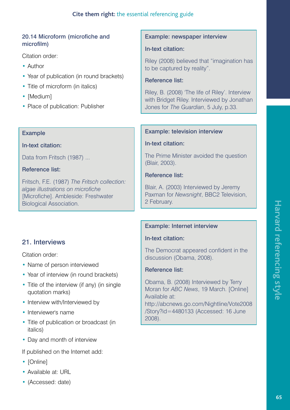#### 20.14 Microform (microfiche and microfilm)

Citation order:

- Author
- Year of publication (in round brackets)
- Title of microform (in italics)
- [Medium]
- Place of publication: Publisher

## Example

# In-text citation:

Data from Fritsch (1987) ...

## Reference list:

Fritsch, F.E. (1987) *The Fritsch collection: algae illustrations on microfiche* [Microfiche]. Ambleside: Freshwater Biological Association.

# 21. Interviews

Citation order:

- Name of person interviewed
- Year of interview (in round brackets)
- Title of the interview (if any) (in single quotation marks)
- Interview with/Interviewed by
- Interviewer's name
- Title of publication or broadcast (in italics)
- Day and month of interview

If published on the Internet add:

- [Online]
- Available at: URL
- (Accessed: date)

# Example: newspaper interview

## In-text citation:

Riley (2008) believed that "imagination has to be captured by reality".

# Reference list:

Riley, B. (2008) 'The life of Riley'. Interview with Bridget Riley. Interviewed by Jonathan Jones for *The Guardian*, 5 July, p.33.

# Example: television interview

## In-text citation:

The Prime Minister avoided the question (Blair, 2003).

# Reference list:

Blair, A. (2003) Interviewed by Jeremy Paxman for *Newsnight*, BBC2 Television, 2 February.

## Example: Internet interview

## In-text citation:

The Democrat appeared confident in the discussion (Obama, 2008).

# Reference list:

Obama, B. (2008) Interviewed by Terry Moran for *ABC News*, 19 March. [Online] Available at: http://abcnews.go.com/Nightline/Vote2008 /Story?id=4480133 (Accessed: 16 June 2008).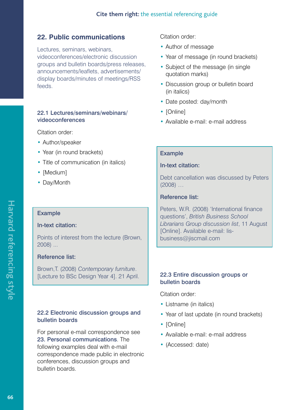# **22. Public communications**

Lectures, seminars, webinars, videoconferences/electronic discussion groups and bulletin boards/press releases, announcements/leaflets, advertisements/ display boards/minutes of meetings/RSS feeds.

## 22.1 Lectures/seminars/webinars/ videoconferences

Citation order:

- Author/speaker
- Year (in round brackets)
- Title of communication (in italics)
- [Medium]
- Day/Month

## Example

#### In-text citation:

Points of interest from the lecture (Brown, 2008) ...

## Reference list:

Brown,T. (2008) *Contemporary furniture*. [Lecture to BSc Design Year 4]. 21 April.

# 22.2 Electronic discussion groups and bulletin boards

For personal e-mail correspondence see 23. Personal communications. The following examples deal with e-mail correspondence made public in electronic conferences, discussion groups and bulletin boards.

Citation order:

- Author of message
- Year of message (in round brackets)
- Subject of the message (in single quotation marks)
- Discussion group or bulletin board (in italics)
- Date posted: day/month
- [Online]
- Available e-mail: e-mail address

## Example

#### In-text citation:

Debt cancellation was discussed by Peters (2008) …

## Reference list:

Peters, W.R. (2008) 'International finance questions', *British Business School Librarians Group discussion list*, 11 August [Online]. Available e-mail: lisbusiness@jiscmail.com

## 22.3 Entire discussion groups or bulletin boards

- Listname (in italics)
- Year of last update (in round brackets)
- [Online]
- Available e-mail: e-mail address
- (Accessed: date)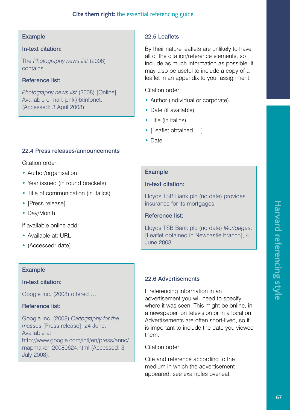# Example

## In-text citation:

The *Photography news list* (2008) contains …

# Reference list:

*Photography news list* (2008) [Online]. Available e-mail: pnl@btinfonet. (Accessed: 3 April 2008).

# 22.4 Press releases/announcements

Citation order:

- Author/organisation
- Year issued (in round brackets)
- Title of communication (in italics)
- [Press release]
- Day/Month

If available online add:

- Available at: URL
- (Accessed: date)

## Example

## In-text citation:

Google Inc. (2008) offered …

# Reference list:

Google Inc. (2008) *Cartography for the masses* [Press release]. 24 June. Available at: http://www.google.com/intl/en/press/annc/ mapmaker\_20080624.html (Accessed: 3 July 2008).

# 22.5 Leaflets

By their nature leaflets are unlikely to have all of the citation/reference elements, so include as much information as possible. It may also be useful to include a copy of a leaflet in an appendix to your assignment.

Citation order:

- Author (individual or corporate)
- Date (if available)
- Title (in italics)
- [Leaflet obtained ... ]
- Date

# Example

# In-text citation:

Lloyds TSB Bank plc (no date) provides insurance for its mortgages.

# Reference list:

Lloyds TSB Bank plc (no date) *Mortgages*. [Leaflet obtained in Newcastle branch], 4 June 2008.

# 22.6 Advertisements

If referencing information in an advertisement you will need to specify where it was seen. This might be online, in a newspaper, on television or in a location. Advertisements are often short-lived, so it is important to include the date you viewed them.

Citation order:

Cite and reference according to the medium in which the advertisement appeared; see examples overleaf.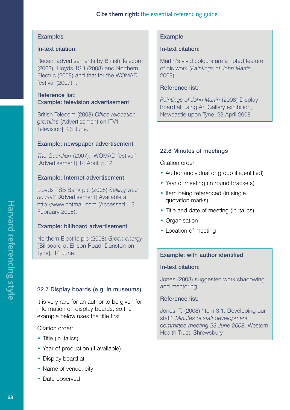# **Examples**

## In-text citation:

Recent advertisements by British Telecom (2008), Lloyds TSB (2008) and Northern Electric (2008) and that for the WOMAD festival (2007) ...

# Reference list: Example: television advertisement

British Telecom (2008) *Office relocation gremlins* [Advertisement on ITV1 Television]. 23 June.

# Example: newspaper advertisement

*The Guardian* (2007), 'WOMAD festival' [Advertisement] 14 April, p.12.

# Example: Internet advertisement

Lloyds TSB Bank plc (2008) *Selling your house?* [Advertisement] Available at http://www.hotmail.com (Accessed: 13 February 2008).

# Example: billboard advertisement

Northern Electric plc (2008) *Green energy* [Billboard at Ellison Road, Dunston-on-Tyne]. 14 June.

# 22.7 Display boards (e.g. in museums)

It is very rare for an author to be given for information on display boards, so the example below uses the title first.

Citation order:

- Title (in italics)
- Year of production (if available)
- Display board at
- Name of venue, city
- Date observed

# Example

# In-text citation:

Martin's vivid colours are a noted feature of his work (*Paintings of John Martin*, 2008).

# Reference list:

*Paintings of John Martin* (2008) Display board at Laing Art Gallery exhibition, Newcastle upon Tyne, 23 April 2008.

# 22.8 Minutes of meetings

Citation order

- Author (individual or group if identified)
- Year of meeting (in round brackets)
- Item being referenced (in single quotation marks)
- Title and date of meeting (in italics)
- Organisation
- Location of meeting

# Example: with author identified

## In-text citation:

Jones (2008) suggested work shadowing and mentoring.

# Reference list:

Jones, T. (2008) 'Item 3.1: Developing our staff', *Minutes of staff development committee meeting 23 June 2008*, Western Health Trust, Shrewsbury.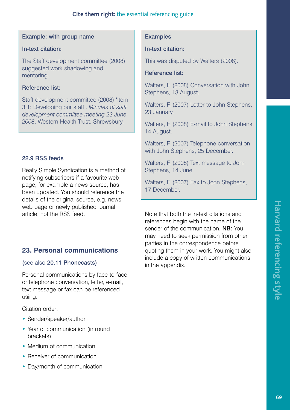## Example: with group name

#### In-text citation:

The Staff development committee (2008) suggested work shadowing and mentoring.

#### Reference list:

Staff development committee (2008) 'Item 3.1: Developing our staff'. *Minutes of staff development committee meeting 23 June 2008*, Western Health Trust, Shrewsbury.

## 22.9 RSS feeds

Really Simple Syndication is a method of notifying subscribers if a favourite web page, for example a news source, has been updated. You should reference the details of the original source, e.g. news web page or newly published journal article, not the RSS feed.

# **23. Personal communications**

## (see also 20.11 Phonecasts)

Personal communications by face-to-face or telephone conversation, letter, e-mail, text message or fax can be referenced using:

Citation order:

- Sender/speaker/author
- Year of communication (in round brackets)
- Medium of communication
- Receiver of communication
- Day/month of communication

#### **Examples**

#### In-text citation:

This was disputed by Walters (2008).

#### Reference list:

Walters, F. (2008) Conversation with John Stephens, 13 August.

Walters, F. (2007) Letter to John Stephens, 23 January.

Walters, F. (2008) E-mail to John Stephens, 14 August.

Walters, F. (2007) Telephone conversation with John Stephens, 25 December.

Walters, F. (2008) Text message to John Stephens, 14 June.

Walters, F. (2007) Fax to John Stephens, 17 December.

Note that both the in-text citations and references begin with the name of the sender of the communication. **NB:** You may need to seek permission from other parties in the correspondence before quoting them in your work. You might also include a copy of written communications in the appendix.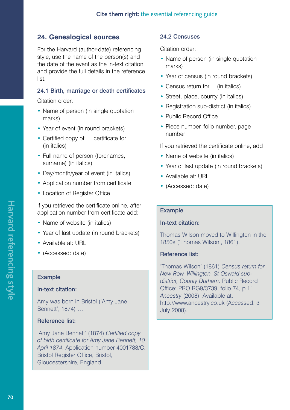# **24. Genealogical sources**

For the Harvard (author-date) referencing style, use the name of the person(s) and the date of the event as the in-text citation and provide the full details in the reference list.

#### 24.1 Birth, marriage or death certificates

Citation order:

- Name of person (in single quotation marks)
- Year of event (in round brackets)
- Certified copy of … certificate for (in italics)
- Full name of person (forenames, surname) (in italics)
- Day/month/year of event (in italics)
- Application number from certificate
- Location of Register Office

If you retrieved the certificate online, after application number from certificate add:

- Name of website (in italics)
- Year of last update (in round brackets)
- Available at: URL
- (Accessed: date)

#### Example

#### In-text citation:

Amy was born in Bristol ('Amy Jane Bennett', 1874) …

#### Reference list:

'Amy Jane Bennett' (1874) *Certified copy of birth certificate for Amy Jane Bennett, 10 April 1874*. Application number 4001788/C. Bristol Register Office, Bristol, Gloucestershire, England.

#### 24.2 Censuses

Citation order:

- Name of person (in single quotation marks)
- Year of census (in round brackets)
- Census return for... (in italics)
- Street, place, county (in italics)
- Registration sub-district (in italics)
- Public Record Office
- Piece number, folio number, page number

If you retrieved the certificate online, add

- Name of website (in italics)
- Year of last update (in round brackets)
- Available at: URL
- (Accessed: date)

## Example

## In-text citation:

Thomas Wilson moved to Willington in the 1850s ('Thomas Wilson', 1861).

## Reference list:

'Thomas Wilson' (1861) *Census return for New Row, Willington, St Oswald subdistrict, County Durham*. Public Record Office: PRO RG9/3739, folio 74, p.11. *Ancestry* (2008). Available at: http://www.ancestry.co.uk (Accessed: 3 July 2008).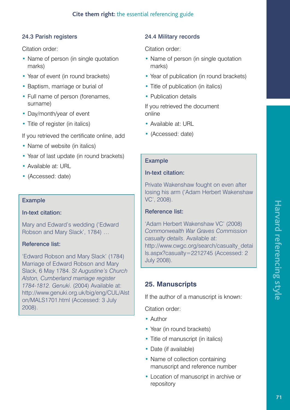# 24.3 Parish registers

Citation order:

- Name of person (in single quotation marks)
- Year of event (in round brackets)
- Baptism, marriage or burial of
- Full name of person (forenames, surname)
- Day/month/year of event
- Title of register (in italics)
- If you retrieved the certificate online, add
- Name of website (in italics)
- Year of last update (in round brackets)
- Available at: URL
- (Accessed: date)

## Example

## In-text citation:

Mary and Edward's wedding ('Edward Robson and Mary Slack', 1784) …

## Reference list:

'Edward Robson and Mary Slack' (1784) Marriage of Edward Robson and Mary Slack, 6 May 1784. *St Augustine's Church Alston, Cumberland marriage register 1784-1812. Genuki*. (2004) Available at: http://www.genuki.org.uk/big/eng/CUL/Alst on/MALS1701.html (Accessed: 3 July 2008).

# 24.4 Military records

Citation order:

- Name of person (in single quotation marks)
- Year of publication (in round brackets)
- Title of publication (in italics)
- Publication details

If you retrieved the document online

- Available at: URL
- (Accessed: date)

## Example

## In-text citation:

Private Wakenshaw fought on even after losing his arm ('Adam Herbert Wakenshaw VC', 2008).

## Reference list:

'Adam Herbert Wakenshaw VC' (2008) *Commonwealth War Graves Commission casualty details*. Available at: http://www.cwgc.org/search/casualty\_detai ls.aspx?casualty=2212745 (Accessed: 2 July 2008).

# **25. Manuscripts**

If the author of a manuscript is known:

- Author
- Year (in round brackets)
- Title of manuscript (in italics)
- Date (if available)
- Name of collection containing manuscript and reference number
- Location of manuscript in archive or repository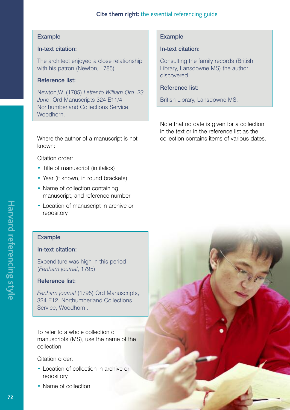# **Cite them right:** the essential referencing guide

#### Example

#### In-text citation:

The architect enjoyed a close relationship with his patron (Newton, 1785).

#### Reference list:

Newton,W. (1785) *Letter to William Ord*, *23 June*. Ord Manuscripts 324 E11/4, Northumberland Collections Service, Woodhorn.

Where the author of a manuscript is not known:

Citation order:

- Title of manuscript (in italics)
- Year (if known, in round brackets)
- Name of collection containing manuscript, and reference number
- Location of manuscript in archive or repository

# Example

#### In-text citation:

Consulting the family records (British Library, Lansdowne MS) the author discovered …

Reference list:

British Library, Lansdowne MS.

Note that no date is given for a collection in the text or in the reference list as the collection contains items of various dates.

#### Example

#### In-text citation:

Expenditure was high in this period (*Fenham journal*, 1795).

## Reference list:

*Fenham journal* (1795) Ord Manuscripts, 324 E12, Northumberland Collections Service, Woodhorn .

To refer to a whole collection of manuscripts (MS), use the name of the collection:

- Location of collection in archive or repository
- Name of collection

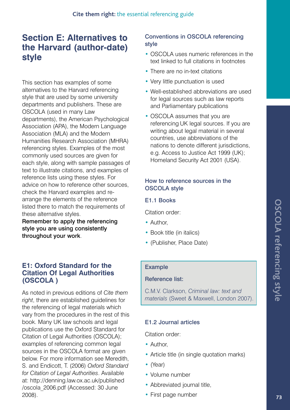## **Section E: Alternatives to the Harvard (author-date) style**

This section has examples of some alternatives to the Harvard referencing style that are used by some university departments and publishers. These are OSCOLA (used in many Law departments), the American Psychological Association (APA), the Modern Language Association (MLA) and the Modern Humanities Research Association (MHRA) referencing styles. Examples of the most commonly used sources are given for each style, along with sample passages of text to illustrate citations, and examples of reference lists using these styles. For advice on how to reference other sources, check the Harvard examples and rearrange the elements of the reference listed there to match the requirements of these alternative styles.

Remember to apply the referencing style you are using consistently throughout your work.

## **E1: Oxford Standard for the Citation Of Legal Authorities (OSCOLA )**

As noted in previous editions of *Cite them right*, there are established guidelines for the referencing of legal materials which vary from the procedures in the rest of this book. Many UK law schools and legal publications use the Oxford Standard for Citation of Legal Authorities (OSCOLA); examples of referencing common legal sources in the OSCOLA format are given below. For more information see Meredith, S. and Endicott, T. (2006) *Oxford Standard for Citation of Legal Authorities*. Available at: http://denning.law.ox.ac.uk/published /oscola\_2006.pdf (Accessed: 30 June 2008).

## Conventions in OSCOLA referencing style

- OSCOLA uses numeric references in the text linked to full citations in footnotes
- There are no in-text citations
- Very little punctuation is used
- Well-established abbreviations are used for legal sources such as law reports and Parliamentary publications
- OSCOLA assumes that you are referencing UK legal sources. If you are writing about legal material in several countries, use abbreviations of the nations to denote different jurisdictions, e.g. Access to Justice Act 1999 (UK); Homeland Security Act 2001 (USA).

## How to reference sources in the OSCOLA style

#### E1.1 Books

Citation order:

- Author,
- Book title (in italics)
- (Publisher, Place Date)

## Example

#### Reference list:

C.M.V. Clarkson, *Criminal law: text and materials* (Sweet & Maxwell, London 2007).

## E1.2 Journal articles

Citation order:

- Author,
- Article title (in single quotation marks)
- (Year)
- Volume number
- Abbreviated journal title,
- First page number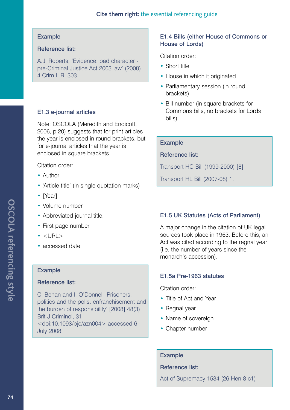## Example

#### Reference list:

A.J. Roberts, 'Evidence: bad character pre-Criminal Justice Act 2003 law' (2008) 4 Crim L R, 303.

## E1.3 e-journal articles

Note: OSCOLA (Meredith and Endicott, 2006, p.20) suggests that for print articles the year is enclosed in round brackets, but for e-journal articles that the year is enclosed in square brackets.

Citation order:

- Author
- 'Article title' (in single quotation marks)
- [Year]
- Volume number
- Abbreviated journal title,
- First page number
- $\cdot$  <URL>
- accessed date

## Example

## Reference list:

C. Behan and I. O'Donnell 'Prisoners, politics and the polls: enfranchisement and the burden of responsibility' [2008] 48(3) Brit J Criminol, 31  $<$ doi:10.1093/bic/azn004 $>$  accessed 6 July 2008.

## E1.4 Bills (either House of Commons or House of Lords)

Citation order:

- Short title
- House in which it originated
- Parliamentary session (in round brackets)
- Bill number (in square brackets for Commons bills, no brackets for Lords bills)

## Example

## Reference list:

Transport HC Bill (1999-2000) [8]

Transport HL Bill (2007-08) 1.

## E1.5 UK Statutes (Acts of Parliament)

A major change in the citation of UK legal sources took place in 1963. Before this, an Act was cited according to the regnal year (i.e. the number of years since the monarch's accession).

## E1.5a Pre-1963 statutes

Citation order:

- Title of Act and Year
- Regnal year
- Name of sovereign
- Chapter number

## Example

## Reference list:

Act of Supremacy 1534 (26 Hen 8 c1)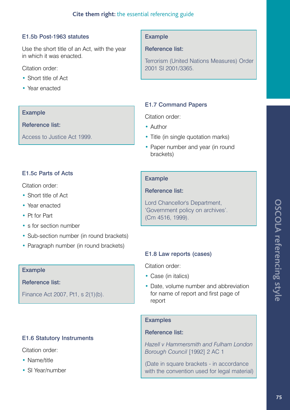## E1.5b Post-1963 statutes

Use the short title of an Act, with the year in which it was enacted.

Citation order:

- Short title of Act
- Year enacted

#### Example

Reference list:

Access to Justice Act 1999.

## E1.5c Parts of Acts

Citation order:

- Short title of Act
- Year enacted
- Pt for Part
- s for section number
- Sub-section number (in round brackets)
- Paragraph number (in round brackets)

## Example

Reference list:

Finance Act 2007, Pt1, s 2(1)(b).

## E1.6 Statutory Instruments

Citation order:

- Name/title
- SI Year/number

## Example

## Reference list:

Terrorism (United Nations Measures) Order 2001 SI 2001/3365.

## E1.7 Command Papers

Citation order:

- Author
- Title (in single quotation marks)
- Paper number and year (in round brackets)

## Example

## Reference list:

Lord Chancellor's Department, 'Government policy on archives'. (Cm 4516, 1999).

## E1.8 Law reports (cases)

Citation order:

- Case (in italics)
- Date, volume number and abbreviation for name of report and first page of report

## Examples

## Reference list:

*Hazell v Hammersmith and Fulham London Borough Council* [1992] 2 AC 1

(Date in square brackets - in accordance with the convention used for legal material)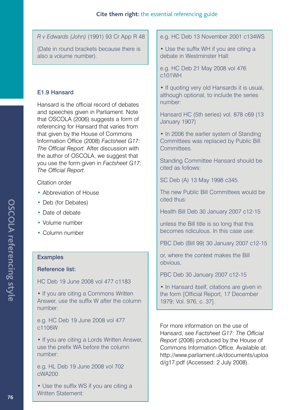*R v Edwards (John)* (1991) 93 Cr App R 48

(Date in round brackets because there is also a volume number).

## E1.9 Hansard

Hansard is the official record of debates and speeches given in Parliament. Note that OSCOLA (2006) suggests a form of referencing for Hansard that varies from that given by the House of Commons Information Office (2008) *Factsheet G17: The Official Report*. After discussion with the author of OSCOLA, we suggest that you use the form given in *Factsheet G17: The Official Report*.

Citation order

- Abbreviation of House
- Deb (for Debates)
- Date of debate
- Volume number
- Column number

## **Examples**

## Reference list:

HC Deb 19 June 2008 vol 477 c1183

• If you are citing a Commons Written Answer, use the suffix W after the column number:

e.g. HC Deb 19 June 2008 vol 477 c1106W

• If you are citing a Lords Written Answer, use the prefix WA before the column number:

e.g. HL Deb 19 June 2008 vol 702 cWA200

• Use the suffix WS if you are citing a Written Statement:

e.g. HC Deb 13 November 2001 c134WS

• Use the suffix WH if you are citing a debate in Westminster Hall:

e.g. HC Deb 21 May 2008 vol 476 c101WH

• If quoting very old Hansards it is usual, although optional, to include the series number:

Hansard HC (5th series) vol. 878 c69 (13 January 1907)

• In 2006 the earlier system of Standing Committees was replaced by Public Bill **Committees** 

Standing Committee Hansard should be cited as follows:

SC Deb (A) 13 May 1998 c345.

The new Public Bill Committees would be cited thus:

Health Bill Deb 30 January 2007 c12-15

unless the Bill title is so long that this becomes ridiculous. In this case use:

PBC Deb (Bill 99) 30 January 2007 c12-15

or, where the context makes the Bill obvious,

PBC Deb 30 January 2007 c12-15

• In Hansard itself, citations are given in the form [Official Report, 17 December 1979; Vol. 976, c. 37].

For more information on the use of Hansard, see *Factsheet G17: The Official Report* (2008) produced by the House of Commons Information Office. Available at: http://www.parliament.uk/documents/uploa d/g17.pdf (Accessed: 2 July 2008).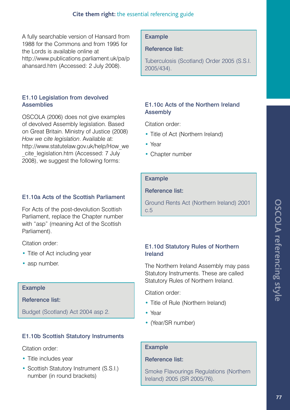A fully searchable version of Hansard from 1988 for the Commons and from 1995 for the Lords is available online at http://www.publications.parliament.uk/pa/p ahansard.htm (Accessed: 2 July 2008).

## E1.10 Legislation from devolved **Assemblies**

OSCOLA (2006) does not give examples of devolved Assembly legislation. Based on Great Britain. Ministry of Justice (2008) *How we cite legislation*. Available at: http://www.statutelaw.gov.uk/help/How\_we cite\_legislation.htm (Accessed: 7 July 2008), we suggest the following forms:

## E1.10a Acts of the Scottish Parliament

For Acts of the post-devolution Scottish Parliament, replace the Chapter number with "asp" (meaning Act of the Scottish Parliament).

Citation order:

- Title of Act including year
- asp number.

## Example

Reference list:

Budget (Scotland) Act 2004 asp 2.

## E1.10b Scottish Statutory Instruments

## Citation order:

- Title includes year
- Scottish Statutory Instrument (S.S.I.) number (in round brackets)

## Example

## Reference list:

Tuberculosis (Scotland) Order 2005 (S.S.I. 2005/434).

## E1.10c Acts of the Northern Ireland Assembly

Citation order:

- Title of Act (Northern Ireland)
- Year
- Chapter number

## Example

## Reference list:

Ground Rents Act (Northern Ireland) 2001 c.5

## E1.10d Statutory Rules of Northern Ireland

The Northern Ireland Assembly may pass Statutory Instruments. These are called Statutory Rules of Northern Ireland.

Citation order:

- Title of Rule (Northern Ireland)
- Year
- (Year/SR number)

## Example

## Reference list:

Smoke Flavourings Regulations (Northern Ireland) 2005 (SR 2005/76).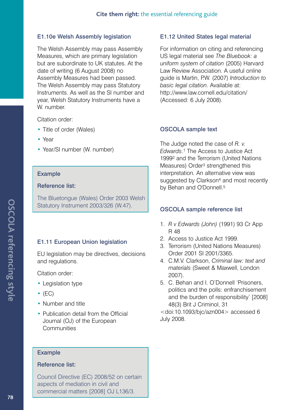#### E1.10e Welsh Assembly legislation

The Welsh Assembly may pass Assembly Measures, which are primary legislation but are subordinate to UK statutes. At the date of writing (6 August 2008) no Assembly Measures had been passed. The Welsh Assembly may pass Statutory Instruments. As well as the SI number and year, Welsh Statutory Instruments have a W. number.

Citation order:

- Title of order (Wales)
- Year
- Year/SI number (W. number)

#### Example

#### Reference list:

The Bluetongue (Wales) Order 2003 Welsh Statutory Instrument 2003/326 (W.47).

## E1.11 European Union legislation

EU legislation may be directives, decisions and regulations.

Citation order:

- Legislation type
- $\bullet$  (EC)
- Number and title
- Publication detail from the Official Journal (OJ) of the European **Communities**

## E1.12 United States legal material

For information on citing and referencing US legal material see *The Bluebook: a uniform system of citation* (2005) Harvard Law Review Association. A useful online guide is Martin, P.W. (2007) *Introduction to basic legal citation*. Available at: http://www.law.cornell.edu/citation/ (Accessed: 6 July 2008).

## OSCOLA sample text

The Judge noted the case of *R. v. Edwards*.1 The Access to Justice Act 19992 and the Terrorism (United Nations Measures) Order<sup>3</sup> strengthened this interpretation. An alternative view was suggested by Clarkson<sup>4</sup> and most recently by Behan and O'Donnell.<sup>5</sup>

## OSCOLA sample reference list

- 1. *R v Edwards (John)* (1991) 93 Cr App R 48
- 2. Access to Justice Act 1999.
- 3. Terrorism (United Nations Measures) Order 2001 SI 2001/3365.
- 4. C.M.V. Clarkson, *Criminal law: text and materials* (Sweet & Maxwell, London 2007).
- 5. C. Behan and I. O'Donnell 'Prisoners, politics and the polls: enfranchisement and the burden of responsibility' [2008] 48(3) Brit J Criminol, 31

<doi:10.1093/bjc/azn004> accessed 6 July 2008.

## Example

#### Reference list:

Council Directive (EC) 2008/52 on certain aspects of mediation in civil and commercial matters [2008] OJ L136/3.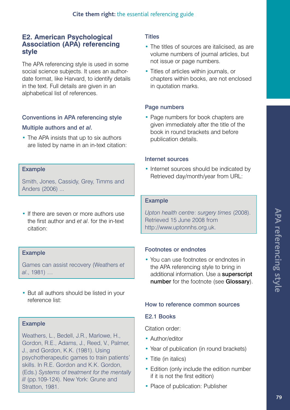## **E2. American Psychological Association (APA) referencing style**

The APA referencing style is used in some social science subjects. It uses an authordate format, like Harvard, to identify details in the text. Full details are given in an alphabetical list of references.

## Conventions in APA referencing style Multiple authors and *et al*.

• The APA insists that up to six authors are listed by name in an in-text citation:

#### Example

Smith, Jones, Cassidy, Grey, Timms and Anders (2006) ...

• If there are seven or more authors use the first author and *et al*. for the in-text citation:

#### Example

Games can assist recovery (Weathers *et al*., 1981) …

• But all authors should be listed in your reference list:

#### Example

Weathers, L., Bedell, J.R., Marlowe, H., Gordon, R.E., Adams, J., Reed, V., Palmer, J., and Gordon, K.K. (1981). Using psychotherapeutic games to train patients' skills. In R.E. Gordon and K.K. Gordon, (Eds.) *Systems of treatment for the mentally ill* (pp.109-124). New York: Grune and Stratton, 1981.

## **Titles**

- The titles of sources are italicised, as are volume numbers of journal articles, but not issue or page numbers.
- Titles of articles within journals, or chapters within books, are not enclosed in quotation marks.

#### Page numbers

• Page numbers for book chapters are given immediately after the title of the book in round brackets and before publication details.

#### Internet sources

• Internet sources should be indicated by Retrieved day/month/year from URL:

#### Example

*Upton health centre*: *surgery times* (2008). Retrieved 15 June 2008 from http://www.uptonnhs.org.uk.

#### Footnotes or endnotes

• You can use footnotes or endnotes in the APA referencing style to bring in additional information. Use a superscript number for the footnote (see Glossary).

#### How to reference common sources

#### E2.1 Books

Citation order:

- Author/editor
- Year of publication (in round brackets)
- Title (in italics)
- Edition (only include the edition number if it is not the first edition)
- Place of publication: Publisher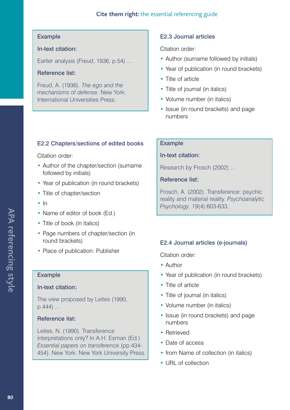## Example

## In-text citation:

Earlier analysis (Freud, 1936, p.54) …

## Reference list:

Freud, A. (1936). *The ego and the mechanisms of defense*. New York: International Universities Press.

## E2.2 Chapters/sections of edited books

Citation order:

- Author of the chapter/section (surname followed by initials)
- Year of publication (in round brackets)
- Title of chapter/section
- In
- Name of editor of book (Ed.)
- Title of book (in italics)
- Page numbers of chapter/section (in round brackets)
- Place of publication: Publisher

## Example

## In-text citation:

The view proposed by Leites (1990, p.444) …

## Reference list:

Leites, N. (1990). Transference interpretations only? In A.H. Esman (Ed.) *Essential papers on transference* (pp.434- 454). New York: New York University Press.

## E2.3 Journal articles

Citation order:

- Author (surname followed by initials)
- Year of publication (in round brackets)
- Title of article
- Title of journal (in italics)
- Volume number (in italics)
- Issue (in round brackets) and page numbers

#### Example

## In-text citation:

Research by Frosch (2002) …

## Reference list:

Frosch, A. (2002). Transference: psychic reality and material reality. *Psychoanalytic Psychology*, *19*(4):603-633.

## E2.4 Journal articles (e-journals)

Citation order:

- Author
- Year of publication (in round brackets)
- Title of article
- Title of journal (in italics)
- Volume number (in italics)
- Issue (in round brackets) and page numbers
- Retrieved
- Date of access
- from Name of collection (in italics)
- URL of collection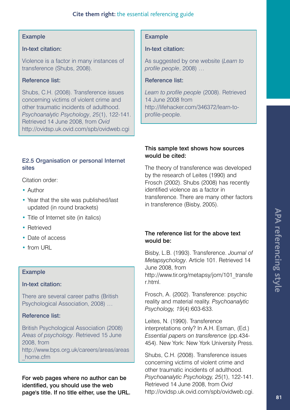## Example

## In-text citation:

Violence is a factor in many instances of transference (Shubs, 2008).

## Reference list:

Shubs, C.H. (2008). Transference issues concerning victims of violent crime and other traumatic incidents of adulthood. *Psychoanalytic Psychology*, *25*(1), 122-141. Retrieved 14 June 2008, from *Ovid* http://ovidsp.uk.ovid.com/spb/ovidweb.cgi

## E2.5 Organisation or personal Internet sites

Citation order:

- Author
- Year that the site was published/last updated (in round brackets)
- Title of Internet site (in italics)
- Retrieved
- Date of access
- from URL

## Example

## In-text citation:

There are several career paths (British Psychological Association, 2008) …

## Reference list:

British Psychological Association (2008) *Areas of psychology*. Retrieved 15 June 2008, from http://www.bps.org.uk/careers/areas/areas \_home.cfm

For web pages where no author can be identified, you should use the web page's title. If no title either, use the URL.

## Example

## In-text citation:

As suggested by one website (*Learn to profile people*, 2008) …

## Reference list:

*Learn to profile people* (2008). Retrieved 14 June 2008 from http://lifehacker.com/346372/learn-toprofile-people.

## This sample text shows how sources would be cited:

The theory of transference was developed by the research of Leites (1990) and Frosch (2002). Shubs (2008) has recently identified violence as a factor in transference. There are many other factors in transference (Bisby, 2005).

## The reference list for the above text would be:

Bisby, L.B. (1993). Transference. *Journal of Metapsychology*. Article 101. Retrieved 14 June 2008, from http://www.tir.org/metapsy/jom/101\_transfe r.html.

Frosch, A. (2002). Transference: psychic reality and material reality. *Psychoanalytic Psychology, 19*(4):603-633.

Leites, N. (1990). Transference interpretations only? In A.H. Esman, (Ed.) *Essential papers on transference* (pp.434- 454). New York: New York University Press.

Shubs, C.H. (2008). Transference issues concerning victims of violent crime and other traumatic incidents of adulthood. *Psychoanalytic Psychology, 25*(1), 122-141. Retrieved 14 June 2008, from *Ovid* http://ovidsp.uk.ovid.com/spb/ovidweb.cgi.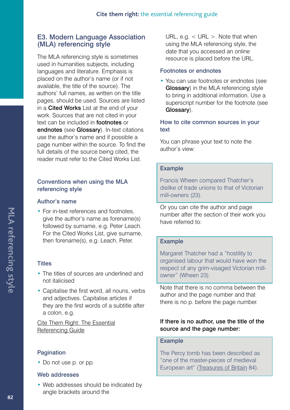## E3. Modern Language Association (MLA) referencing style

The MLA referencing style is sometimes used in humanities subjects, including languages and literature. Emphasis is placed on the author's name (or if not available, the title of the source). The authors' full names, as written on the title pages, should be used. Sources are listed in a **Cited Works** List at the end of your work. Sources that are not cited in your text can be included in footnotes or endnotes (see Glossary). In-text citations use the author's name and if possible a page number within the source. To find the full details of the source being cited, the reader must refer to the Cited Works List.

## Conventions when using the MLA referencing style

#### Author's name

• For in-text references and footnotes, give the author's name as forename(s) followed by surname, e.g. Peter Leach. For the Cited Works List, give surname, then forename(s), e.g. Leach, Peter.

#### **Titles**

- The titles of sources are underlined and not italicised
- Capitalise the first word, all nouns, verbs and adjectives. Capitalise articles if they are the first words of a subtitle after a colon, e.g.

Cite Them Right: The Essential Referencing Guide

#### Pagination

• Do not use p. or pp.

#### Web addresses

• Web addresses should be indicated by angle brackets around the

URL, e.g.  $<$  URL  $>$ . Note that when using the MLA referencing style, the date that you accessed an online resource is placed before the URL.

#### Footnotes or endnotes

• You can use footnotes or endnotes (see Glossary) in the MLA referencing style to bring in additional information. Use a superscript number for the footnote (see Glossary).

#### How to cite common sources in your text

You can phrase your text to note the author's view:

#### Example

Francis Wheen compared Thatcher's dislike of trade unions to that of Victorian mill-owners (23).

Or you can cite the author and page number after the section of their work you have referred to:

#### Example

Margaret Thatcher had a "hostility to organised labour that would have won the respect of any grim-visaged Victorian millowner" (Wheen 23).

Note that there is no comma between the author and the page number and that there is no p. before the page number.

#### If there is no author, use the title of the source and the page number:

#### Example

The Percy tomb has been described as "one of the master-pieces of medieval European art" (Treasures of Britain 84).

**M L A**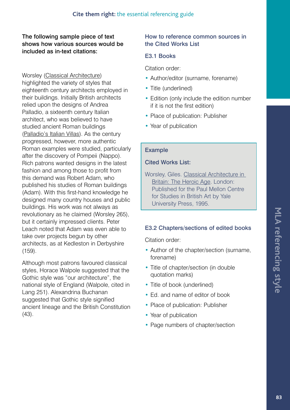## The following sample piece of text shows how various sources would be included as in-text citations:

Worsley (Classical Architecture) highlighted the variety of styles that eighteenth century architects employed in their buildings. Initially British architects relied upon the designs of Andrea Palladio, a sixteenth century Italian architect, who was believed to have studied ancient Roman buildings (Palladio's Italian Villas). As the century progressed, however, more authentic Roman examples were studied, particularly after the discovery of Pompeii (Nappo). Rich patrons wanted designs in the latest fashion and among those to profit from this demand was Robert Adam, who published his studies of Roman buildings (Adam). With this first-hand knowledge he designed many country houses and public buildings. His work was not always as revolutionary as he claimed (Worsley 265), but it certainly impressed clients. Peter Leach noted that Adam was even able to take over projects begun by other architects, as at Kedleston in Derbyshire (159).

Although most patrons favoured classical styles, Horace Walpole suggested that the Gothic style was "our architecture", the national style of England (Walpole, cited in Lang 251). Alexandrina Buchanan suggested that Gothic style signified ancient lineage and the British Constitution (43).

#### How to reference common sources in the Cited Works List

#### E3.1 Books

Citation order:

- Author/editor (surname, forename)
- Title (underlined)
- Edition (only include the edition number if it is not the first edition)
- Place of publication: Publisher
- Year of publication

#### Example

#### Cited Works List:

Worsley, Giles. Classical Architecture in Britain: The Heroic Age. London: Published for the Paul Mellon Centre for Studies in British Art by Yale University Press, 1995.

## E3.2 Chapters/sections of edited books

Citation order:

- Author of the chapter/section (surname, forename)
- Title of chapter/section (in double quotation marks)
- Title of book (underlined)
- Ed. and name of editor of book
- Place of publication: Publisher
- Year of publication
- Page numbers of chapter/section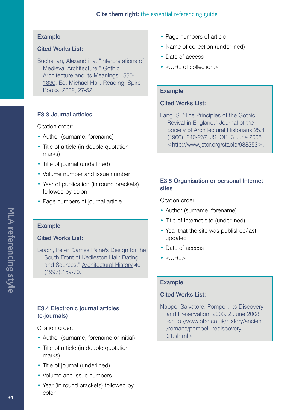## Example

## Cited Works List:

Buchanan, Alexandrina. "Interpretations of Medieval Architecture." Gothic Architecture and Its Meanings 1550- 1830. Ed. Michael Hall. Reading: Spire Books, 2002, 27-52.

## E3.3 Journal articles

Citation order:

- Author (surname, forename)
- Title of article (in double quotation marks)
- Title of journal (underlined)
- Volume number and issue number
- Year of publication (in round brackets) followed by colon
- Page numbers of journal article

## Example

## Cited Works List:

Leach, Peter. "James Paine's Design for the South Front of Kedleston Hall: Dating and Sources." Architectural History 40 (1997):159-70.

## E3.4 Electronic journal articles (e-journals)

Citation order:

- Author (surname, forename or initial)
- Title of article (in double quotation marks)
- Title of journal (underlined)
- Volume and issue numbers
- Year (in round brackets) followed by colon
- Page numbers of article
- Name of collection (underlined)
- Date of access
- < URL of collection >

## Example

## Cited Works List:

Lang, S. "The Principles of the Gothic Revival in England." Journal of the Society of Architectural Historians 25.4 (1966): 240-267. JSTOR. 3 June 2008. <http://www.jstor.org/stable/988353>.

## E3.5 Organisation or personal Internet sites

Citation order:

- Author (surname, forename)
- Title of Internet site (underlined)
- Year that the site was published/last updated
- Date of access
- $\cdot$  <URL>

## Example

## Cited Works List:

Nappo, Salvatore. Pompeii: Its Discovery and Preservation. 2003. 2 June 2008. <http://www.bbc.co.uk/history/ancient /romans/pompeii\_rediscovery\_ 01.shtml>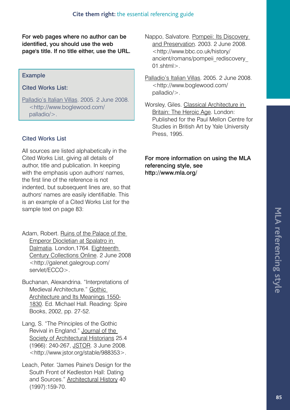For web pages where no author can be identified, you should use the web page's title. If no title either, use the URL.

## Example

Cited Works List:

Palladio's Italian Villas. 2005. 2 June 2008. <http://www.boglewood.com/ palladio/>.

## Cited Works List

All sources are listed alphabetically in the Cited Works List, giving all details of author, title and publication. In keeping with the emphasis upon authors' names, the first line of the reference is not indented, but subsequent lines are, so that authors' names are easily identifiable. This is an example of a Cited Works List for the sample text on page 83:

Adam, Robert. Ruins of the Palace of the Emperor Diocletian at Spalatro in Dalmatia. London,1764. Eighteenth Century Collections Online. 2 June 2008 <http://galenet.galegroup.com/ servlet/ECCO>.

- Buchanan, Alexandrina. "Interpretations of Medieval Architecture." Gothic Architecture and Its Meanings 1550- 1830. Ed. Michael Hall. Reading: Spire Books, 2002, pp. 27-52.
- Lang, S. "The Principles of the Gothic Revival in England." Journal of the Society of Architectural Historians 25.4 (1966): 240-267, JSTOR. 3 June 2008. <http://www.jstor.org/stable/988353>.
- Leach, Peter. "James Paine's Design for the South Front of Kedleston Hall: Dating and Sources." Architectural History 40 (1997):159-70.

Nappo, Salvatore. Pompeii: Its Discovery and Preservation. 2003. 2 June 2008. <http://www.bbc.co.uk/history/ ancient/romans/pompeii\_rediscovery  $01.s$ html $>$ .

- Palladio's Italian Villas. 2005. 2 June 2008. <http://www.boglewood.com/ palladio/>.
- Worsley, Giles. Classical Architecture in Britain: The Heroic Age. London: Published for the Paul Mellon Centre for Studies in British Art by Yale University Press, 1995.

For more information on using the MLA referencing style, see http://www.mla.org/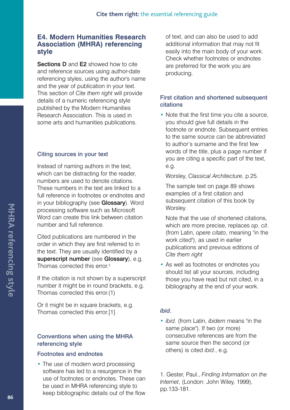## **E4. Modern Humanities Research Association (MHRA) referencing style**

Sections D and E2 showed how to cite and reference sources using author-date referencing styles, using the author's name and the year of publication in your text. This section of *Cite them right* will provide details of a numeric referencing style published by the Modern Humanities Research Association. This is used in some arts and humanities publications.

#### Citing sources in your text

Instead of naming authors in the text, which can be distracting for the reader, numbers are used to denote citations. These numbers in the text are linked to a full reference in footnotes or endnotes and in your bibliography (see Glossary). Word processing software such as Microsoft Word can create this link between citation number and full reference.

Cited publications are numbered in the order in which they are first referred to in the text. They are usually identified by a superscript number (see Glossary), e.g. Thomas corrected this error.1

If the citation is not shown by a superscript number it might be in round brackets, e.g. Thomas corrected this error.(1)

Or it might be in square brackets, e.g. Thomas corrected this error.[1]

## Conventions when using the MHRA referencing style

## Footnotes and endnotes

• The use of modern word processing software has led to a resurgence in the use of footnotes or endnotes. These can be used in MHRA referencing style to keep bibliographic details out of the flow

of text, and can also be used to add additional information that may not fit easily into the main body of your work. Check whether footnotes or endnotes are preferred for the work you are producing.

## First citation and shortened subsequent citations

• Note that the first time you cite a source, you should give full details in the footnote or endnote. Subsequent entries to the same source can be abbreviated to author's surname and the first few words of the title, plus a page number if you are citing a specific part of the text, e.g.

Worsley, *Classical Architecture*, p.25.

The sample text on page 89 shows examples of a first citation and subsequent citation of this book by Worsley.

Note that the use of shortened citations, which are more precise, replaces *op. cit*. (from Latin, *opere citato*, meaning "in the work cited"), as used in earlier publications and previous editions of *Cite them right*

• As well as footnotes or endnotes you should list all your sources, including those you have read but not cited, in a bibliography at the end of your work.

## *ibid*.

• *ibid*. (from Latin, *ibidem* means "in the same place"). If two (or more) consecutive references are from the same source then the second (or others) is cited *ibid*., e.g.

1. Gester, Paul., *Finding Information on the Internet*, (London: John Wiley, 1999), pp.133-181.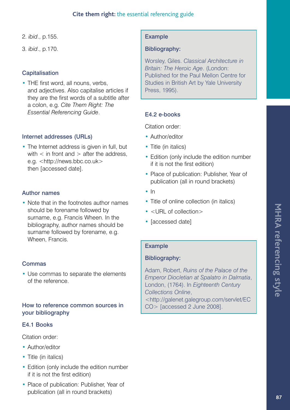- 2. *ibid*., p.155.
- 3. *ibid*., p.170.

## **Capitalisation**

• THF first word, all nouns, verbs, and adjectives. Also capitalise articles if they are the first words of a subtitle after a colon, e.g. *Cite Them Right: The Essential Referencing Guide*.

## Internet addresses (URLs)

• The Internet address is given in full, but with  $\lt$  in front and  $>$  after the address. e.g. <http://news.bbc.co.uk> then [accessed date].

#### Author names

• Note that in the footnotes author names should be forename followed by surname, e.g. Francis Wheen. In the bibliography, author names should be surname followed by forename, e.g. Wheen, Francis.

## Commas

• Use commas to separate the elements of the reference.

## How to reference common sources in your bibliography

## E4.1 Books

Citation order:

- Author/editor
- Title (in italics)
- Edition (only include the edition number if it is not the first edition)
- Place of publication: Publisher, Year of publication (all in round brackets)

## Example

## Bibliography:

Worsley, Giles. *Classical Architecture in Britain: The Heroic Age*. (London: Published for the Paul Mellon Centre for Studies in British Art by Yale University Press, 1995).

## E4.2 e-books

Citation order:

- Author/editor
- Title (in italics)
- Edition (only include the edition number if it is not the first edition)
- Place of publication: Publisher, Year of publication (all in round brackets)
- In
- Title of online collection (in italics)
- <URL of collection>
- [accessed date]

## Example

## Bibliography:

Adam, Robert, *Ruins of the Palace of the Emperor Diocletian at Spalatro in Dalmatia*, London, (1764). In *Eighteenth Century Collections Online*, <http://galenet.galegroup.com/servlet/EC CO> [accessed 2 June 2008].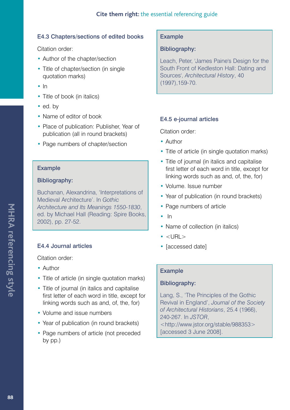## E4.3 Chapters/sections of edited books

Citation order:

- Author of the chapter/section
- Title of chapter/section (in single quotation marks)
- In
- Title of book (in italics)
- ed. by
- Name of editor of book
- Place of publication: Publisher, Year of publication (all in round brackets)
- Page numbers of chapter/section

#### Example

#### Bibliography:

Buchanan, Alexandrina, 'Interpretations of Medieval Architecture'. In *Gothic Architecture and Its Meanings 1550-1830*, ed. by Michael Hall (Reading: Spire Books, 2002), pp. 27-52.

## E4.4 Journal articles

Citation order:

- Author
- Title of article (in single quotation marks)
- Title of journal (in italics and capitalise first letter of each word in title, except for linking words such as and, of, the, for)
- Volume and issue numbers
- Year of publication (in round brackets)
- Page numbers of article (not preceded by pp.)

#### Example

#### Bibliography:

Leach, Peter, 'James Paine's Design for the South Front of Kedleston Hall: Dating and Sources', *Architectural History*, 40 (1997),159-70.

## E4.5 e-journal articles

Citation order:

- Author
- Title of article (in single quotation marks)
- Title of journal (in italics and capitalise first letter of each word in title, except for linking words such as and, of, the, for)
- Volume. Issue number
- Year of publication (in round brackets)
- Page numbers of article
- In
- Name of collection (in italics)
- $\cdot$  <URL>
- [accessed date]

## Example

## Bibliography:

Lang, S., 'The Principles of the Gothic Revival in England', *Journal of the Society of Architectural Historians*, 25.4 (1966), 240-267. In *JSTOR*, <http://www.jstor.org/stable/988353> [accessed 3 June 2008].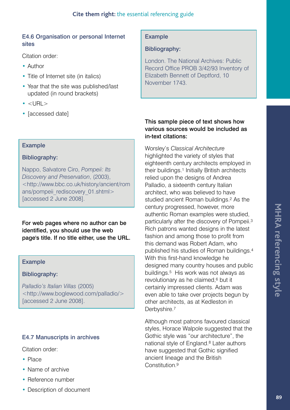## E4.6 Organisation or personal Internet sites

Citation order:

- Author
- Title of Internet site (in italics)
- Year that the site was published/last updated (in round brackets)
- $\cdot$  <URL>
- [accessed date]

#### Example

#### Bibliography:

Nappo, Salvatore Ciro, *Pompeii: Its Discovery and Preservation*, (2003), <http://www.bbc.co.uk/history/ancient/rom ans/pompeii\_rediscovery\_01.shtml> [accessed 2 June 2008].

For web pages where no author can be identified, you should use the web page's title. If no title either, use the URL.

#### Example

#### Bibliography:

*Palladio's Italian Villas* (2005) <http://www.boglewood.com/palladio/> [accessed 2 June 2008].

#### E4.7 Manuscripts in archives

Citation order:

- Place
- Name of archive
- Reference number
- Description of document

#### Example

#### Bibliography:

London. The National Archives: Public Record Office PROB 3/42/93 Inventory of Elizabeth Bennett of Deptford, 10 November 1743.

## This sample piece of text shows how various sources would be included as in-text citations:

Worsley's *Classical Architecture* highlighted the variety of styles that eighteenth century architects employed in their buildings.<sup>1</sup> Initially British architects relied upon the designs of Andrea Palladio, a sixteenth century Italian architect, who was believed to have studied ancient Roman buildings.<sup>2</sup> As the century progressed, however, more authentic Roman examples were studied, particularly after the discovery of Pompeii.3 Rich patrons wanted designs in the latest fashion and among those to profit from this demand was Robert Adam, who published his studies of Roman buildings.4 With this first-hand knowledge he designed many country houses and public buildings.5 His work was not always as revolutionary as he claimed.<sup>6</sup> but it certainly impressed clients. Adam was even able to take over projects begun by other architects, as at Kedleston in Derbyshire.<sup>7</sup>

Although most patrons favoured classical styles, Horace Walpole suggested that the Gothic style was "our architecture", the national style of England.8 Later authors have suggested that Gothic signified ancient lineage and the British Constitution<sup>9</sup>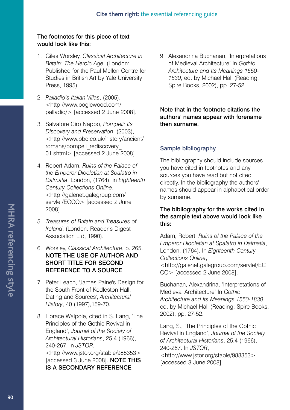## The footnotes for this piece of text would look like this:

- 1. Giles Worsley, *Classical Architecture in Britain: The Heroic Age*. (London: Published for the Paul Mellon Centre for Studies in British Art by Yale University Press, 1995).
- 2. *Palladio's Italian Villas*, (2005), <http://www.boglewood.com/ palladio/> [accessed 2 June 2008].
- 3. Salvatore Ciro Nappo, *Pompeii: Its Discovery and Preservation*, (2003), <http://www.bbc.co.uk/history/ancient/ romans/pompeii\_rediscovery 01.shtml> [accessed 2 June 2008].
- 4. Robert Adam, *Ruins of the Palace of the Emperor Diocletian at Spalatro in Dalmatia*, London, (1764), in *Eighteenth Century Collections Online*, <http://galenet.galegroup.com/ servlet/ECCO > [accessed 2 June 2008].
- 5. *Treasures of Britain and Treasures of Ireland*, (London: Reader's Digest Association Ltd, 1990).
- 6. Worsley, *Classical Architecture*, p. 265. NOTE THE USE OF AUTHOR AND SHORT TITLE FOR SECOND REFERENCE TO A SOURCE
- 7. Peter Leach, 'James Paine's Design for the South Front of Kedleston Hall: Dating and Sources', *Architectural History*, 40 (1997),159-70.
- 8. Horace Walpole, cited in S. Lang, 'The Principles of the Gothic Revival in England', *Journal of the Society of Architectural Historians*, 25.4 (1966), 240-267. In *JSTOR*, <http://www.jstor.org/stable/988353> [accessed 3 June 2008]. NOTE THIS IS A SECONDARY REFERENCE

9. Alexandrina Buchanan, 'Interpretations of Medieval Architecture' In *Gothic Architecture and Its Meanings 1550- 1830*, ed. by Michael Hall (Reading: Spire Books, 2002), pp. 27-52.

Note that in the footnote citations the authors' names appear with forename then surname.

## Sample bibliography

The bibliography should include sources you have cited in footnotes and any sources you have read but not cited directly. In the bibliography the authors' names should appear in alphabetical order by surname.

## The bibliography for the works cited in the sample text above would look like this:

Adam, Robert, *Ruins of the Palace of the Emperor Diocletian at Spalatro in Dalmatia*, London, (1764). In *Eighteenth Century Collections Online*,

<http://galenet.galegroup.com/servlet/EC CO> [accessed 2 June 2008].

Buchanan, Alexandrina, 'Interpretations of Medieval Architecture' In *Gothic Architecture and Its Meanings 1550-1830*, ed. by Michael Hall (Reading: Spire Books, 2002), pp. 27-52.

Lang, S., 'The Principles of the Gothic Revival in England', *Journal of the Society of Architectural Historians*, 25.4 (1966), 240-267. In *JSTOR*,

<http://www.jstor.org/stable/988353> [accessed 3 June 2008].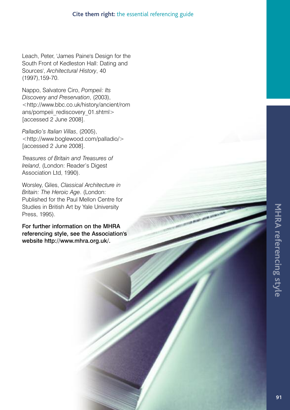Leach, Peter, 'James Paine's Design for the South Front of Kedleston Hall: Dating and Sources', *Architectural History*, 40 (1997),159-70.

Nappo, Salvatore Ciro, *Pompeii: Its Discovery and Preservation*, (2003), <http://www.bbc.co.uk/history/ancient/rom ans/pompeii\_rediscovery\_01.shtml> [accessed 2 June 2008].

*Palladio's Italian Villas*, (2005), <http://www.boglewood.com/palladio/> [accessed 2 June 2008].

*Treasures of Britain and Treasures of Ireland*, (London: Reader's Digest Association Ltd, 1990).

Worsley, Giles, *Classical Architecture in Britain: The Heroic Age*. (London: Published for the Paul Mellon Centre for Studies in British Art by Yale University Press, 1995).

For further information on the MHRA referencing style, see the Association's website http://www.mhra.org.uk/.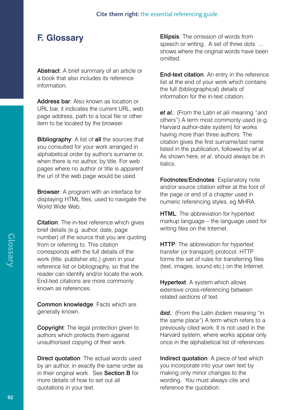# **F. Glossary**

Abstract: A brief summary of an article or a book that also includes its reference information.

Address bar: Also known as location or URL bar, it indicates the current URL, web page address, path to a local file or other item to be located by the browser.

**Bibliography:** A list of **all** the sources that you consulted for your work arranged in alphabetical order by author's surname or, when there is no author, by title. For web pages where no author or title is apparent the url of the web page would be used.

**Browser:** A program with an interface for displaying HTML files, used to navigate the World Wide Web.

**Citation:** The in-text reference which gives brief details (e.g. author, date, page number) of the source that you are quoting from or referring to. This citation corresponds with the full details of the work (title, publisher etc.) given in your reference list or bibliography, so that the reader can identify and/or locate the work. End-text citations are more commonly known as references.

Common knowledge: Facts which are generally known.

**Copyright:** The legal protection given to authors which protects them against unauthorised copying of their work.

**Direct quotation:** The actual words used by an author, in exactly the same order as in their original work. See Section B for more details of how to set out all quotations in your text.

**Ellipsis:** The omission of words from speech or writing. A set of three dots ... shows where the original words have been omitted.

End-text citation: An entry in the reference list at the end of your work which contains the full (bibliographical) details of information for the in-text citation.

*et al.*: (From the Latin *et alii* meaning "and others") A term most commonly used (e.g. Harvard author-date system) for works having more than three authors. The citation gives the first surname/last name listed in the publication, followed by *et al*. As shown here, *et al*. should always be in italics.

Footnotes/Endnotes: Explanatory note and/or source citation either at the foot of the page or end of a chapter used in numeric referencing styles, eg MHRA.

HTML: The abbreviation for hypertext markup language – the language used for writing files on the Internet.

**HTTP:** The abbreviation for hypertext transfer (or transport) protocol. HTTP forms the set of rules for transferring files (text, images, sound etc.) on the Internet.

Hypertext: A system which allows extensive cross-referencing between related sections of text.

*ibid*.: (From the Latin *ibidem* meaning "in the same place") A term which refers to a previously cited work. It is not used in the Harvard system, where works appear only once in the alphabetical list of references.

Indirect quotation: A piece of text which you incorporate into your own text by making only minor changes to the wording. You must always cite and reference the quotation.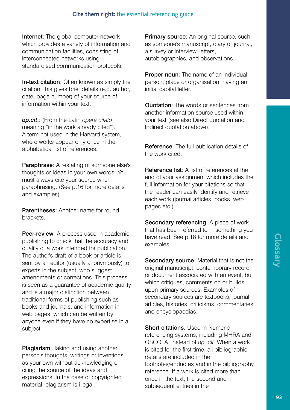**Internet:** The global computer network which provides a variety of information and communication facilities, consisting of interconnected networks using standardised communication protocols.

In-text citation: Often known as simply the citation, this gives brief details (e.g. author, date, page number) of your source of information within your text.

*op.cit*.: (From the Latin *opere citato* meaning "in the work already cited"). A term not used in the Harvard system, where works appear only once in the alphabetical list of references.

Paraphrase: A restating of someone else's thoughts or ideas in your own words. You must always cite your source when paraphrasing. (See p.16 for more details and examples)

Parentheses: Another name for round brackets.

Peer-review: A process used in academic publishing to check that the accuracy and quality of a work intended for publication. The author's draft of a book or article is sent by an editor (usually anonymously) to experts in the subject, who suggest amendments or corrections. This process is seen as a guarantee of academic quality and is a major distinction between traditional forms of publishing such as books and journals, and information in web pages, which can be written by anyone even if they have no expertise in a subject.

**Plagiarism:** Taking and using another person's thoughts, writings or inventions as your own without acknowledging or citing the source of the ideas and expressions. In the case of copyrighted material, plagiarism is illegal.

**Primary source:** An original source, such as someone's manuscript, diary or journal, a survey or interview, letters, autobiographies, and observations.

**Proper noun:** The name of an individual person, place or organisation, having an initial capital letter.

Quotation: The words or sentences from another information source used within your text (see also Direct quotation and Indirect quotation above).

Reference: The full publication details of the work cited.

Reference list: A list of references at the end of your assignment which includes the full information for your citations so that the reader can easily identify and retrieve each work (journal articles, books, web pages etc.).

Secondary referencing: A piece of work that has been referred to in something you have read. See p.18 for more details and examples.

Secondary source: Material that is not the original manuscript, contemporary record or document associated with an event, but which critiques, comments on or builds upon primary sources. Examples of secondary sources are textbooks, journal articles, histories, criticisms, commentaries and encyclopaedias.

**Short citations: Used in Numeric** referencing systems, including MHRA and OSCOLA, instead of *op. cit.* When a work is cited for the first time, all bibliographic details are included in the footnotes/endnotes and in the bibliography reference. If a work is cited more than once in the text, the second and subsequent entries in the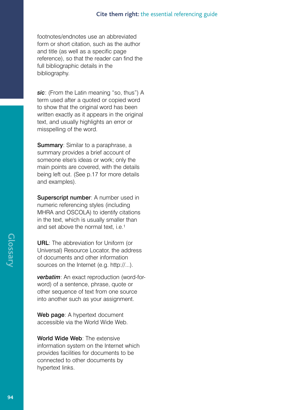footnotes/endnotes use an abbreviated form or short citation, such as the author and title (as well as a specific page reference), so that the reader can find the full bibliographic details in the bibliography.

*sic*: (From the Latin meaning "so, thus") A term used after a quoted or copied word to show that the original word has been written exactly as it appears in the original text, and usually highlights an error or misspelling of the word.

**Summary:** Similar to a paraphrase, a summary provides a brief account of someone else's ideas or work; only the main points are covered, with the details being left out. (See p.17 for more details and examples).

**Superscript number:** A number used in numeric referencing styles (including MHRA and OSCOLA) to identify citations in the text, which is usually smaller than and set above the normal text, i.e.1

URL: The abbreviation for Uniform (or Universal) Resource Locator, the address of documents and other information sources on the Internet (e.g. http://...).

*verbatim*: An exact reproduction (word-forword) of a sentence, phrase, quote or other sequence of text from one source into another such as your assignment.

Web page: A hypertext document accessible via the World Wide Web.

World Wide Web: The extensive information system on the Internet which provides facilities for documents to be connected to other documents by hypertext links.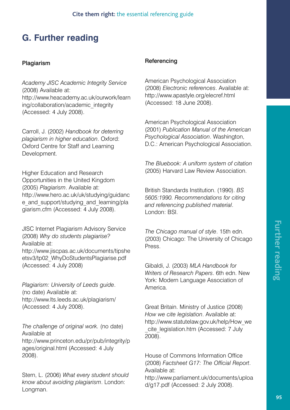# **G. Further reading**

## Plagiarism

*Academy JISC Academic Integrity Service* (2008) Available at: http://www.heacademy.ac.uk/ourwork/learn ing/collaboration/academic\_integrity (Accessed: 4 July 2008).

Carroll, J. (2002) *Handbook for deterring plagiarism in higher education*. Oxford: Oxford Centre for Staff and Learning Development.

Higher Education and Research Opportunities in the United Kingdom (2005) *Plagiarism*. Available at: http://www.hero.ac.uk/uk/studying/guidanc e and support/studying and learning/pla giarism.cfm (Accessed: 4 July 2008).

JISC Internet Plagiarism Advisory Service (2008) *Why do students plagiarise?* Available at: http://www.jiscpas.ac.uk/documents/tipshe

etsv3/tp02\_WhyDoStudentsPlagiarise.pdf (Accessed: 4 July 2008)

*Plagiarism: University of Leeds guide*. (no date) Available at: http://www.lts.leeds.ac.uk/plagiarism/ (Accessed: 4 July 2008).

*The challenge of original work.* (no date) Available at http://www.princeton.edu/pr/pub/integrity/p ages/original.html (Accessed: 4 July 2008).

Stern, L. (2006) *What every student should know about avoiding plagiarism*. London: Longman.

## **Referencing**

American Psychological Association (2008) *Electronic references*. Available at: http://www.apastyle.org/elecref.html (Accessed: 18 June 2008).

American Psychological Association (2001) *Publication Manual of the American Psychological Association*. Washington, D.C.: American Psychological Association.

*The Bluebook: A uniform system of citation* (2005) Harvard Law Review Association.

British Standards Institution. (1990). *BS 5605:1990. Recommendations for citing and referencing published material*. London: BSI.

*The Chicago manual of style*. 15th edn. (2003) Chicago: The University of Chicago Press.

Gibaldi, J. (2003) *MLA Handbook for Writers of Research Papers*. 6th edn. New York: Modern Language Association of America.

Great Britain. Ministry of Justice (2008) *How we cite legislation*. Available at: http://www.statutelaw.gov.uk/help/How\_we cite\_legislation.htm (Accessed: 7 July 2008).

House of Commons Information Office (2008) *Factsheet G17: The Official Report*. Available at:

http://www.parliament.uk/documents/uploa d/g17.pdf (Accessed: 2 July 2008).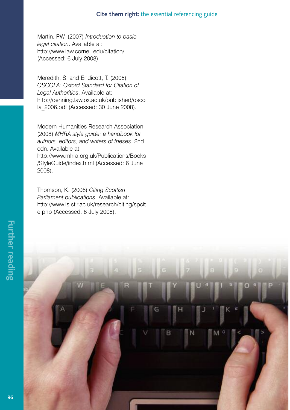Martin, P.W. (2007) *Introduction to basic legal citation*. Available at: http://www.law.cornell.edu/citation/ (Accessed: 6 July 2008).

Meredith, S. and Endicott, T. (2006) *OSCOLA: Oxford Standard for Citation of Legal Authorities*. Available at: http://denning.law.ox.ac.uk/published/osco la\_2006.pdf (Accessed: 30 June 2008).

Modern Humanities Research Association (2008) *MHRA style guide: a handbook for authors, editors, and writers of theses*. 2nd edn. Available at:

http://www.mhra.org.uk/Publications/Books /StyleGuide/index.html (Accessed: 6 June 2008).

Thomson, K. (2006) *Citing Scottish Parliament publications*. Available at: http://www.is.stir.ac.uk/research/citing/spcit e.php (Accessed: 8 July 2008).

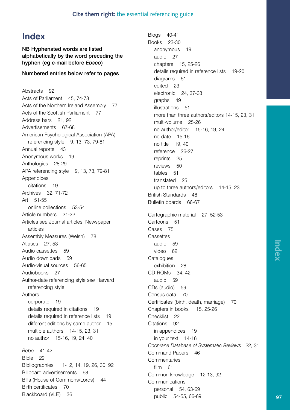## **Index**

NB Hyphenated words are listed alphabetically by the word preceding the hyphen (eg e-mail before *Ebsco*)

#### Numbered entries below refer to pages

Abstracts 92 Acts of Parliament 45, 74-78 Acts of the Northern Ireland Assembly 77 Acts of the Scottish Parliament 77 Address bars 21, 92 Advertisements 67-68 American Psychological Association (APA) referencing style 9, 13, 73, 79-81 Annual reports 43 Anonymous works 19 Anthologies 28-29 APA referencing style 9, 13, 73, 79-81 Appendices citations 19 Archives 32, 71-72 Art 51-55 online collections 53-54 Article numbers 21-22 Articles *see* Journal articles, Newspaper articles Assembly Measures (Welsh) 78 Atlases 27, 53 Audio cassettes 59 Audio downloads 59 Audio-visual sources 56-65 Audiobooks 27 Author-date referencing style *see* Harvard referencing style Authors corporate 19 details required in citations 19 details required in reference lists 19 different editions by same author 15 multiple authors 14-15, 23, 31 no author 15-16, 19, 24, 40 *Bebo* 41-42 Bible 29 Bibliographies 11-12, 14, 19, 26, 30, 92

Billboard advertisements 68 Bills (House of Commons/Lords) 44 Birth certificates 70 Blackboard (VLE) 36

Blogs 40-41 Books 23-30 anonymous 19 audio 27 chapters 15, 25-26 details required in reference lists 19-20 diagrams 51 edited 23 electronic 24, 37-38 graphs 49 illustrations 51 more than three authors/editors 14-15, 23, 31 multi-volume 25-26 no author/editor 15-16, 19, 24 no date 15-16 no title 19, 40 reference 26-27 reprints 25 reviews 50 tables 51 translated 25 up to three authors/editors 14-15, 23 British Standards 48 Bulletin boards 66-67 Cartographic material 27, 52-53 Cartoons 51 Cases 75 **Cassettes** audio 59 video 62 **Catalogues** exhibition 28 CD-ROMs 34, 42 audio 59 CDs (audio) 59 Census data 70 Certificates (birth, death, marriage) 70 Chapters in books 15, 25-26 Checklist 22 Citations 92 in appendices 19 in your text 14-16 *Cochrane Database of Systematic Reviews* 22, 31 Command Papers 46 **Commentaries** film 61 Common knowledge 12-13, 92 **Communications** personal 54, 63-69 public 54-55, 66-69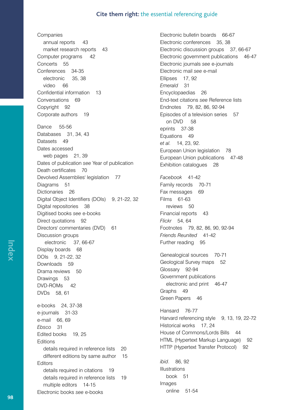Companies annual reports 43 market research reports 43 Computer programs 42 Concerts 55 Conferences 34-35 electronic 35, 38 video 66 Confidential information 13 Conversations 69 Copyright 92 Corporate authors 19 Dance 55-56 Databases 31, 34, 43 Datasets 49 Dates accessed web pages 21, 39 Dates of publication *see* Year of publication Death certificates 70 Devolved Assemblies' legislation 77 Diagrams 51 Dictionaries 26 Digital Object Identifiers (DOIs) 9, 21-22, 32 Digital repositories 38 Digitised books *see* e-books Direct quotations 92 Directors' commentaries (DVD) 61 Discussion groups electronic 37, 66-67 Display boards 68 DOIs 9, 21-22, 32 Downloads 59 Drama reviews 50 Drawings 53 DVD-ROMs 42 DVDs 58, 61 e-books 24, 37-38 e-journals 31-33 e-mail 66, 69 *Ebsco* 31 Edited books 19, 25 **Editions** details required in reference lists 20 different editions by same author 15 **Editors** details required in citations 19 details required in reference lists 19 multiple editors 14-15 Electronic books *see* e-books

Electronic bulletin boards 66-67 Electronic conferences 35, 38 Electronic discussion groups 37, 66-67 Electronic government publications 46-47 Electronic journals *see* e-journals Electronic mail *see* e-mail Ellipses 17, 92 *Emerald* 31 Encyclopaedias 26 End-text citations *see* Reference lists Endnotes 79, 82, 86, 92-94 Episodes of a television series 57 on DVD 58 eprints 37-38 Equations 49 *et al.* 14, 23, 92. European Union legislation 78 European Union publications 47-48 Exhibition catalogues 28 *Facebook* 41-42 Family records 70-71 Fax messages 69 Films 61-63 reviews 50 Financial reports 43 *Flickr* 54, 64 Footnotes 79, 82, 86, 90, 92-94 *Friends Reunited* 41-42 Further reading 95 Genealogical sources 70-71 Geological Survey maps 52 Glossary 92-94 Government publications electronic and print 46-47 Graphs 49 Green Papers 46 Hansard 76-77 Harvard referencing style 9, 13, 19, 22-72 Historical works 17, 24 House of Commons/Lords Bills 44 HTML (Hypertext Markup Language) 92 HTTP (Hypertext Transfer Protocol) 92 *ibid*. 86, 92 Illustrations book 51 Images online 51-54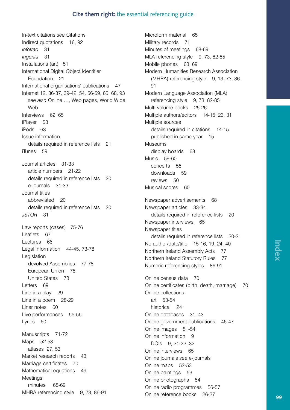In-text citations *see* Citations Indirect quotations 16, 92 *Infotrac* 31 *Ingenta* 31 Installations (art) 51 International Digital Object Identifier Foundation 21 International organisations' publications 47 Internet 12, 36-37, 39-42, 54, 56-59, 65, 68, 93 *see also* Online …, Web pages, World Wide Web Interviews 62, 65 iPlayer 58 iPods 63 Issue information details required in reference lists 21 iTunes 59 Journal articles 31-33 article numbers 21-22 details required in reference lists 20 e-journals 31-33 Journal titles abbreviated 20 details required in reference lists 20 *JSTOR* 31 Law reports (cases) 75-76 Leaflets 67 Lectures 66 Legal information 44-45, 73-78 Legislation devolved Assemblies 77-78 European Union 78 United States 78 Letters 69 Line in a play 29 Line in a poem 28-29 Liner notes 60 Live performances 55-56 Lyrics 60 Manuscripts 71-72 Maps 52-53 atlases 27, 53 Market research reports 43 Marriage certificates 70 Mathematical equations 49 Meetings minutes 68-69 MHRA referencing style 9, 73, 86-91

Microform material 65 Military records 71 Minutes of meetings 68-69 MLA referencing style 9, 73, 82-85 Mobile phones 63, 69 Modern Humanities Research Association (MHRA) referencing style 9, 13, 73, 86-91 Modern Language Association (MLA) referencing style 9, 73, 82-85 Multi-volume books 25-26 Multiple authors/editors 14-15, 23, 31 Multiple sources details required in citations 14-15 published in same year 15 Museums display boards 68 Music 59-60 concerts 55 downloads 59 reviews 50 Musical scores 60 Newspaper advertisements 68 Newspaper articles 33-34 details required in reference lists 20 Newspaper interviews 65 Newspaper titles details required in reference lists 20-21 No author/date/title 15-16, 19, 24, 40 Northern Ireland Assembly Acts 77 Northern Ireland Statutory Rules 77 Numeric referencing styles 86-91 Online census data 70 Online certificates (birth, death, marriage) 70 Online collections art 53-54 historical 24 Online databases 31, 43 Online government publications 46-47 Online images 51-54 Online information 9 DOIs 9, 21-22, 32 Online interviews 65 Online journals *see* e-journals Online maps 52-53 Online paintings 53 Online photographs 54 Online radio programmes 56-57 Online reference books 26-27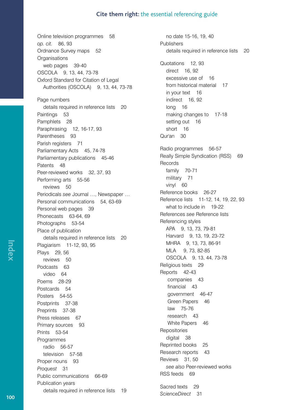Online television programmes 58 *op. cit.* 86, 93 Ordnance Survey maps 52 **Organisations** web pages 39-40 OSCOLA 9, 13, 44, 73-78 Oxford Standard for Citation of Legal Authorities (OSCOLA) 9, 13, 44, 73-78 Page numbers details required in reference lists 20 Paintings 53 Pamphlets 28 Paraphrasing 12, 16-17, 93 Parentheses 93 Parish registers 71 Parliamentary Acts 45, 74-78 Parliamentary publications 45-46 Patents 48 Peer-reviewed works 32, 37, 93 Performing arts 55-56 reviews 50 Periodicals *see* Journal …, Newspaper … Personal communications 54, 63-69 Personal web pages 39 Phonecasts 63-64, 69 Photographs 53-54 Place of publication details required in reference lists 20 Plagiarism 11-12, 93, 95 Plays 29, 56 reviews 50 Podcasts 63 video 64 Poems 28-29 Postcards 54 Posters 54-55 Postprints 37-38 Preprints 37-38 Press releases 67 Primary sources 93 Prints 53-54 Programmes radio 56-57 television 57-58 Proper nouns 93 *Proquest* 31 Public communications 66-69 Publication years details required in reference lists 19

no date 15-16, 19, 40 Publishers details required in reference lists 20 Quotations 12, 93 direct 16, 92 excessive use of 16 from historical material 17 in your text 16 indirect 16, 92 long 16 making changes to 17-18 setting out 16 short 16 Qur'an 30 Radio programmes 56-57 Really Simple Syndication (RSS) 69 Records family 70-71 military 71 vinyl 60 Reference books 26-27 Reference lists 11-12, 14, 19, 22, 93 what to include in 19-22 References *see* Reference lists Referencing styles APA 9, 13, 73, 79-81 Harvard 9, 13, 19, 23-72 MHRA 9, 13, 73, 86-91 MLA 9, 73, 82-85 OSCOLA 9, 13, 44, 73-78 Religious texts 29 Reports 42-43 companies 43 financial 43 government 46-47 Green Papers 46 law 75-76 research 43 White Papers 46 **Repositories** digital 38 Reprinted books 25 Research reports 43 Reviews 31, 50 *see also* Peer-reviewed works RSS feeds 69 Sacred texts 29 *ScienceDirect* 31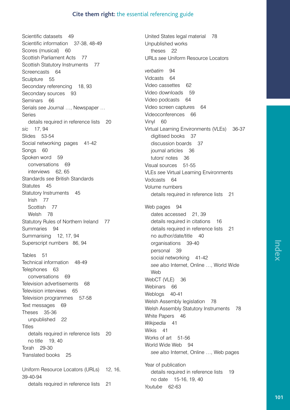Scientific datasets 49 Scientific information 37-38, 48-49 Scores (musical) 60 Scottish Parliament Acts 77 Scottish Statutory Instruments 77 Screencasts 64 Sculpture 55 Secondary referencing 18, 93 Secondary sources 93 Seminars 66 Serials *see* Journal …, Newspaper … Series details required in reference lists 20 *sic* 17, 94 Slides 53-54 Social networking pages 41-42 Songs 60 Spoken word 59 conversations 69 interviews 62, 65 Standards *see* British Standards Statutes 45 Statutory Instruments 45 Irish 77 Scottish 77 Welsh 78 Statutory Rules of Northern Ireland 77 Summaries 94 Summarising 12, 17, 94 Superscript numbers 86, 94 Tables 51 Technical information 48-49 Telephones 63 conversations 69 Television advertisements 68 Television interviews 65 Television programmes 57-58 Text messages 69 Theses 35-36 unpublished 22 **Titles** details required in reference lists 20 no title 19, 40 Torah 29-30 Translated books 25 Uniform Resource Locators (URLs) 12, 16, 39-40-94 details required in reference lists 21

United States legal material 78 Unpublished works theses 22 URLs *see* Uniform Resource Locators *verbatim* 94 Vidcasts 64 Video cassettes 62 Video downloads 59 Video podcasts 64 Video screen captures 64 Videoconferences 66 Vinyl 60 Virtual Learning Environments (VLEs) 36-37 digitised books 37 discussion boards 37 journal articles 36 tutors' notes 36 Visual sources 51-55 VLEs *see* Virtual Learning Environments Vodcasts 64 Volume numbers details required in reference lists 21 Web pages 94 dates accessed 21, 39 details required in citations 16 details required in reference lists 21 no author/date/title 40 organisations 39-40 personal 39 social networking 41-42 *see also* Internet, Online …, World Wide Web WebCT (VLE) 36 Webinars 66 Weblogs 40-41 Welsh Assembly legislation 78 Welsh Assembly Statutory Instruments 78 White Papers 46 *Wikipedia* 41 Wikis 41 Works of art 51-56 World Wide Web 94 *see also* Internet, Online …, Web pages Year of publication details required in reference lists 19 no date 15-16, 19, 40

*Youtube* 62-63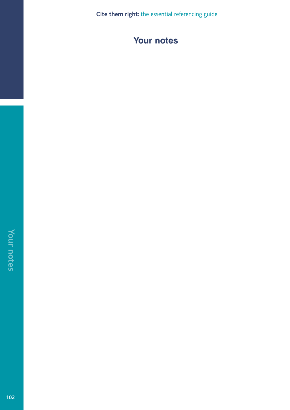# **Your notes**